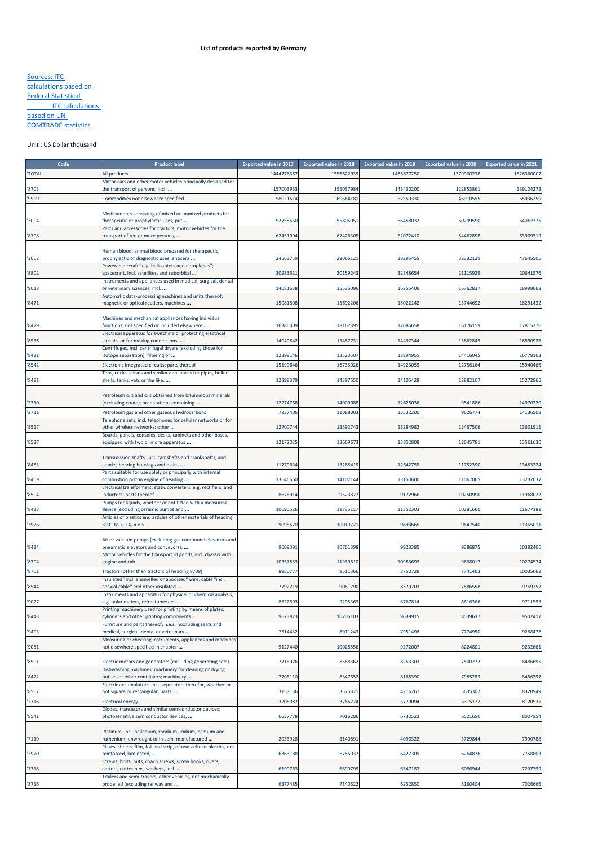## Sources: ITC calculations based on Federal Statistical **ITC calculations** based on UN COMTRADE statistics

## Unit : US Dollar thousand

| Code         | <b>Product label</b>                                                                                                 | <b>Exported value in 2017</b> | <b>Exported value in 2018</b> | <b>Exported value in 2019</b> | <b>Exported value in 2020</b> | <b>Exported value in 2021</b> |
|--------------|----------------------------------------------------------------------------------------------------------------------|-------------------------------|-------------------------------|-------------------------------|-------------------------------|-------------------------------|
| <b>TOTAL</b> | All products                                                                                                         | 1444776367                    | 1556622939                    | 1486877250                    | 1379900278                    | 1626360007                    |
|              | Motor cars and other motor vehicles principally designed for                                                         |                               |                               |                               |                               |                               |
| 8703         | the transport of persons, incl.                                                                                      | 157003953                     | 155037984                     | 143430200                     | 122853861                     | 139124273                     |
| '9999        | Commodities not elsewhere specified                                                                                  | 5802151                       | 6066418                       | 57559330                      | 46910555                      | 65936259                      |
|              | Medicaments consisting of mixed or unmixed products for                                                              |                               |                               |                               |                               |                               |
| 3004         | therapeutic or prophylactic uses, put                                                                                | 52758660                      | 55805051                      | 56458032                      | 60299590                      | 64062375                      |
|              | Parts and accessories for tractors, motor vehicles for the                                                           |                               |                               |                               |                               |                               |
| 8708         | transport of ten or more persons,                                                                                    | 62451994                      | 67426305                      | 62072410                      | 54462898                      | 63909319                      |
|              | Human blood; animal blood prepared for therapeutic,                                                                  |                               |                               |                               |                               |                               |
| '3002        | prophylactic or diagnostic uses; antisera                                                                            | 24563759                      | 29066121                      | 28295455                      | 32332129                      | 47645505                      |
|              | Powered aircraft "e.g. helicopters and aeroplanes";                                                                  |                               |                               |                               |                               |                               |
| '8802        | spacecraft, incl. satellites, and suborbital                                                                         | 30983611                      | 30159243                      | 32348654                      | 21115929                      | 20641576                      |
| '9018        | Instruments and appliances used in medical, surgical, dental<br>or veterinary sciences, incl.                        | 14081638                      | 15536096                      | 16255409                      | 16762837                      | 18998668                      |
|              | Automatic data-processing machines and units thereof;                                                                |                               |                               |                               |                               |                               |
| '8471        | magnetic or optical readers, machines                                                                                | 15081808                      | 15692206                      | 15022142                      | 15744692                      | 18291432                      |
|              |                                                                                                                      |                               |                               |                               |                               |                               |
| 8479         | Machines and mechanical appliances having individual<br>functions, not specified or included elsewhere               | 16386309                      | 18167395                      | 17686658                      | 16176159                      | 17815276                      |
|              | Electrical apparatus for switching or protecting electrical                                                          |                               |                               |                               |                               |                               |
| 8536         | circuits, or for making connections                                                                                  | 14049642                      | 15487731                      | 14497344                      | 13862849                      | 16890926                      |
|              | Centrifuges, incl. centrifugal dryers (excluding those for                                                           |                               |                               |                               |                               |                               |
| 8421         | isotope separation); filtering or                                                                                    | 12399146                      | 13520507                      | 13894955                      | 14416045                      | 16778163                      |
| 8542         | Electronic integrated circuits; parts thereof<br>Taps, cocks, valves and similar appliances for pipes, boiler        | 15190646                      | 16733026                      | 14923059                      | 12756164                      | 15940466                      |
| 8481         | shells, tanks, vats or the like,                                                                                     | 12898379                      | 14397550                      | 14105428                      | 12882107                      | 15272965                      |
|              |                                                                                                                      |                               |                               |                               |                               |                               |
|              | Petroleum oils and oils obtained from bituminous minerals                                                            |                               |                               |                               |                               |                               |
| '2710        | (excluding crude); preparations containing                                                                           | 12274768                      | 14009088                      | 12628036                      | 9541886                       | 14970220                      |
| 2711         | Petroleum gas and other gaseous hydrocarbons                                                                         | 7237406                       | 11088003                      | 13532200                      | 9626774                       | 14136508                      |
| 8517         | Telephone sets, incl. telephones for cellular networks or for<br>other wireless networks; other                      | 12700744                      | 13592743                      | 13284982                      | 13467506                      | 13601911                      |
|              | Boards, panels, consoles, desks, cabinets and other bases,                                                           |                               |                               |                               |                               |                               |
| 8537         | equipped with two or more apparatus                                                                                  | 12172025                      | 13669673                      | 13852808                      | 12645781                      | 13561630                      |
|              |                                                                                                                      |                               |                               |                               |                               |                               |
| 8483         | Transmission shafts, incl. camshafts and crankshafts, and<br>cranks; bearing housings and plain                      | 11779634                      | 13268419                      | 12642755                      | 11752390                      | 13463224                      |
|              | Parts suitable for use solely or principally with internal                                                           |                               |                               |                               |                               |                               |
| 8409         | combustion piston engine of heading                                                                                  | 13646560                      | 14107144                      | 13150600                      | 11067065                      | 13237037                      |
|              | Electrical transformers, static converters, e.g. rectifiers, and                                                     |                               |                               |                               |                               |                               |
| 8504         | inductors; parts thereof<br>Pumps for liquids, whether or not fitted with a measuring                                | 8676914                       | 9523877                       | 9172966                       | 10250990                      | 11968022                      |
| 8413         | device (excluding ceramic pumps and                                                                                  | 10695526                      | 11735117                      | 11352303                      | 10281660                      | 11677181                      |
|              | Articles of plastics and articles of other materials of heading                                                      |                               |                               |                               |                               |                               |
| 3926         | 3901 to 3914, n.e.s.                                                                                                 | 9095570                       | 1001072                       | 9693665                       | 9647540                       | 11365011                      |
|              | Air or vacuum pumps (excluding gas compound elevators and                                                            |                               |                               |                               |                               |                               |
| '8414        | pneumatic elevators and conveyors);                                                                                  | 9609391                       | 10761398                      | 9923385                       | 9386875                       | 10382406                      |
|              | Motor vehicles for the transport of goods, incl. chassis with                                                        |                               |                               |                               |                               |                               |
| 8704         | engine and cab                                                                                                       | 10357833                      | 11939610                      | 10983693                      | 9638017                       | 10274574                      |
| 8701         | Tractors (other than tractors of heading 8709)                                                                       | 895077                        | 9511366                       | 8750728                       | 7741463                       | 10035662                      |
| 8544         | Insulated "incl. enamelled or anodised" wire, cable "incl.<br>coaxial cable" and other insulated:                    | 7792219                       | 9061790                       | 8379703                       | 7886558                       | 9769252                       |
|              | Instruments and apparatus for physical or chemical analysis,                                                         |                               |                               |                               |                               |                               |
| '9027        | e.g. polarimeters, refractometers,                                                                                   | 8622893                       | 9295363                       | 8767814                       | 8616366                       | 9711593                       |
|              | Printing machinery used for printing by means of plates,                                                             |                               |                               |                               |                               |                               |
| '8443        | cylinders and other printing components                                                                              | 9673823                       | 10705103                      | 9639915                       | 8539637                       | 9502417                       |
| '9403        | Furniture and parts thereof, n.e.s. (excluding seats and<br>medical, surgical, dental or veterinary                  | 7514432                       | 8011243                       | 7951498                       | 7774990                       | 9268478                       |
|              | Measuring or checking instruments, appliances and machines                                                           |                               |                               |                               |                               |                               |
| '9031        | not elsewhere specified in chapter                                                                                   | 9127440                       | 10028556                      | 9272007                       | 8224801                       | 9232661                       |
|              |                                                                                                                      |                               |                               |                               |                               |                               |
| '8501        | Electric motors and generators (excluding generating sets)<br>Dishwashing machines; machinery for cleaning or drying | 7716926                       | 8568362                       | 8253303                       | 7500272                       | 8486695                       |
| '8422        | bottles or other containers; machinery                                                                               | 7706110                       | 8347652                       | 8165390                       | 7985283                       | 8466297                       |
|              | Electric accumulators, incl. separators therefor, whether or                                                         |                               |                               |                               |                               |                               |
| '8507        | not square or rectangular; parts                                                                                     | 3153136                       | 357587                        | 4216767                       | 5635302                       | 8320949                       |
| 2716         | <b>Electrical energy</b>                                                                                             | 320508                        | 376627                        | 3779094                       | 3315122                       | 8120535                       |
|              | Diodes, transistors and similar semiconductor devices;                                                               |                               |                               |                               |                               |                               |
| '8541        | photosensitive semiconductor devices,                                                                                | 6687778                       | 7016286                       | 6732523                       | 6521650                       | 8007954                       |
|              | Platinum, incl. palladium, rhodium, iridium, osmium and                                                              |                               |                               |                               |                               |                               |
| 7110         | ruthenium, unwrought or in semi-manufactured                                                                         | 2033928                       | 3140691                       | 4090322                       | 5729844                       | 7990788                       |
|              | Plates, sheets, film, foil and strip, of non-cellular plastics, not                                                  |                               |                               |                               |                               |                               |
| 3920         | reinforced, laminated,                                                                                               | 6363188                       | 6755037                       | 6427309                       | 6264876                       | 7758803                       |
| 7318         | Screws, bolts, nuts, coach screws, screw hooks, rivets,<br>cotters, cotter pins, washers, incl.                      | 6190763                       | 6890799                       | 6547183                       | 6086944                       | 7297399                       |
|              | Trailers and semi-trailers; other vehicles, not mechanically                                                         |                               |                               |                               |                               |                               |
| 8716         | propelled (excluding railway and                                                                                     | 6377485                       | 7140622                       | 6252850                       | 5160404                       | 7026666                       |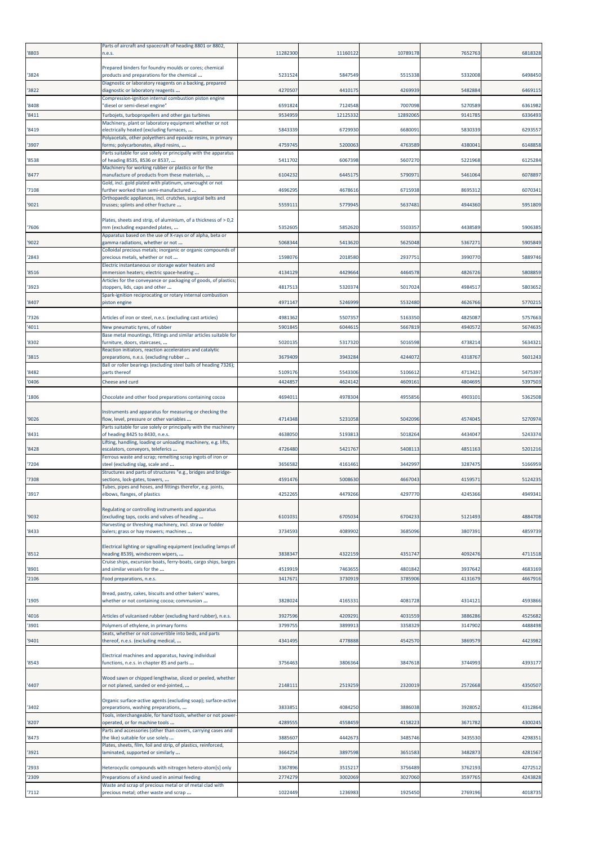| '8803          | Parts of aircraft and spacecraft of heading 8801 or 8802,<br>n.e.s.                                   | 11282300           | 11160122            | 10789178           | 7652763            | 6818328            |
|----------------|-------------------------------------------------------------------------------------------------------|--------------------|---------------------|--------------------|--------------------|--------------------|
| '3824          | Prepared binders for foundry moulds or cores; chemical<br>products and preparations for the chemical  | 5231524            | 5847549             | 5515338            | 5332008            | 6498450            |
| '3822          | Diagnostic or laboratory reagents on a backing, prepared<br>diagnostic or laboratory reagents         | 4270507            | 4410175             | 4269939            | 5482884            | 6469115            |
|                | Compression-ignition internal combustion piston engine                                                | 6591824            |                     | 7007098            | 5270589            | 6361982            |
| '8408<br>'8411 | "diesel or semi-diesel engine"<br>Turbojets, turbopropellers and other gas turbines                   | 9534959            | 7124548<br>12125332 | 12892065           | 9141785            | 6336493            |
| '8419          | Machinery, plant or laboratory equipment whether or not<br>electrically heated (excluding furnaces,   | 5843339            | 6729930             | 6680091            | 5830339            | 6293557            |
| '3907          | Polyacetals, other polyethers and epoxide resins, in primary<br>forms; polycarbonates, alkyd resins,  | 4759745            | 5200063             | 4763589            | 4380041            | 6148858            |
| '8538          | Parts suitable for use solely or principally with the apparatus<br>of heading 8535, 8536 or 8537,     | 5411702            | 6067398             | 5607270            | 5221968            | 6125284            |
| '8477          | Machinery for working rubber or plastics or for the<br>manufacture of products from these materials,  | 6104232            | 6445175             | 5790971            | 5461064            | 6078897            |
| '7108          | Gold, incl. gold plated with platinum, unwrought or not<br>further worked than semi-manufactured      | 4696295            | 4678616             | 6715938            | 8695312            | 6070341            |
| '9021          | Orthopaedic appliances, incl. crutches, surgical belts and<br>trusses; splints and other fracture     | 5559111            | 5779945             | 5637481            | 4944360            | 5951809            |
| '7606          | Plates, sheets and strip, of aluminium, of a thickness of > 0,2<br>mm (excluding expanded plates,     | 5352605            | 5852620             | 5503357            | 4438589            | 5906385            |
| '9022          | Apparatus based on the use of X-rays or of alpha, beta or<br>gamma radiations, whether or not         | 5068344            | 5413620             | 5625048            | 5367271            | 5905849            |
| '2843          | Colloidal precious metals; inorganic or organic compounds of<br>precious metals, whether or not       | 1598076            | 2018580             | 2937751            | 3990770            | 5889746            |
| '8516          | Electric instantaneous or storage water heaters and<br>immersion heaters; electric space-heating      | 4134129            | 4429664             | 4464578            | 4826726            | 5808859            |
| '3923          | Articles for the conveyance or packaging of goods, of plastics;<br>stoppers, lids, caps and other     | 4817513            | 5320374             | 5017024            | 4984517            | 5803652            |
| '8407          | Spark-ignition reciprocating or rotary internal combustion<br>piston engine                           | 4971147            | 5246999             | 5532480            | 4626766            | 5770215            |
| '7326          | Articles of iron or steel, n.e.s. (excluding cast articles)                                           | 4981362            | 5507357             | 5163350            | 4825087            | 5757663            |
| '4011          | New pneumatic tyres, of rubber                                                                        | 5901845            | 604461              | 5667819            | 4940572            | 5674635            |
| '8302          | Base metal mountings, fittings and similar articles suitable for<br>furniture, doors, staircases,     | 5020135            | 5317320             | 5016598            | 4738214            | 5634321            |
| '3815          | Reaction initiators, reaction accelerators and catalytic<br>preparations, n.e.s. (excluding rubber    | 3679409            | 3943284             | 4244072            | 4318767            | 5601243            |
| '8482          | Ball or roller bearings (excluding steel balls of heading 7326);<br>parts thereof                     | 5109176            | 5543306             | 5106612            | 4713421            | 5475397            |
| '0406          | Cheese and curd                                                                                       | 442485             | 4624142             | 4609161            | 4804695            | 5397503            |
| '1806          | Chocolate and other food preparations containing cocoa                                                | 4694011            | 4978304             | 4955856            | 4903101            | 5362508            |
| '9026          | Instruments and apparatus for measuring or checking the<br>flow, level, pressure or other variables   | 4714348            | 5231058             | 5042096            | 4574045            | 5270974            |
| '8431          | Parts suitable for use solely or principally with the machinery<br>of heading 8425 to 8430, n.e.s.    | 4638050            | 5193813             | 5018264            | 4434047            | 5243374            |
| '8428          | Lifting, handling, loading or unloading machinery, e.g. lifts,<br>escalators, conveyors, teleferics   | 4726480            | 5421767             | 5408113            | 4851163            | 5201216            |
| '7204          | Ferrous waste and scrap; remelting scrap ingots of iron or<br>steel (excluding slag, scale and        | 3656582            | 4161461             | 3442997            | 3287475            | 5166959            |
| '7308          | Structures and parts of structures "e.g., bridges and bridge-<br>sections, lock-gates, towers,        | 4591476            | 5008630             | 4667043            | 4159571            | 5124235            |
| '3917          | Tubes, pipes and hoses, and fittings therefor, e.g. joints,<br>elbows, flanges, of plastics           | 425226             | 447926              | 4297770            | 424536             | 4949341            |
| '9032          | Regulating or controlling instruments and apparatus<br>(excluding taps, cocks and valves of heading   | 6101031            | 6705034             | 6704233            | 5121493            | 4884708            |
| '8433          | Harvesting or threshing machinery, incl. straw or fodder<br>balers; grass or hay mowers; machines     | 3734593            | 4089902             | 3685096            | 3807391            | 4859739            |
|                | Electrical lighting or signalling equipment (excluding lamps of                                       |                    |                     |                    |                    |                    |
| '8512          | heading 8539), windscreen wipers,<br>Cruise ships, excursion boats, ferry-boats, cargo ships, barges  | 3838347            | 4322159             | 4351747            | 4092476            | 4711518            |
| '8901<br>'2106 | and similar vessels for the<br>Food preparations, n.e.s.                                              | 4519919<br>3417671 | 7463655<br>3730919  | 4801842<br>3785906 | 3937642<br>4131679 | 4683169<br>4667916 |
|                | Bread, pastry, cakes, biscuits and other bakers' wares,                                               |                    |                     |                    |                    |                    |
| '1905          | whether or not containing cocoa; communion                                                            | 3828024            | 4165331             | 4081728            | 4314121            | 4593866            |
| '4016          | Articles of vulcanised rubber (excluding hard rubber), n.e.s.                                         | 3927596            | 4209291             | 4031559            | 3886286            | 4525682            |
| '3901          | Polymers of ethylene, in primary forms<br>Seats, whether or not convertible into beds, and parts      | 379975             | 3899913             | 3358329            | 3147902            | 4488498            |
| '9401          | thereof, n.e.s. (excluding medical,                                                                   | 4341495            | 4778888             | 4542570            | 3869579            | 4423982            |
| '8543          | Electrical machines and apparatus, having individual<br>functions, n.e.s. in chapter 85 and parts     | 3756463            | 3806364             | 3847618            | 3744993            | 4393177            |
| '4407          | Wood sawn or chipped lengthwise, sliced or peeled, whether<br>or not planed, sanded or end-jointed,   | 2148111            | 2519259             | 2320019            | 2572668            | 4350507            |
| '3402          | Organic surface-active agents (excluding soap); surface-active<br>preparations, washing preparations, | 3833851            | 4084250             | 3886038            | 3928052            | 4312864            |
| '8207          | Tools, interchangeable, for hand tools, whether or not power-<br>operated, or for machine tools       | 4289555            | 4558459             | 4158223            | 3671782            | 4300245            |
| '8473          | Parts and accessories (other than covers, carrying cases and<br>the like) suitable for use solely     | 3885607            | 444267              | 3485746            | 3435530            | 4298351            |
| '3921          | Plates, sheets, film, foil and strip, of plastics, reinforced,<br>laminated, supported or similarly   | 3664254            | 3897598             | 3651583            | 3482873            | 4281567            |
| '2933          | Heterocyclic compounds with nitrogen hetero-atom[s] only                                              | 3367896            | 3515217             | 3756489            | 3762193            | 4272512            |
| '2309          | Preparations of a kind used in animal feeding                                                         | 2774279            | 3002069             | 3027060            | 3597765            | 4243828            |
| '7112          | Waste and scrap of precious metal or of metal clad with<br>precious metal; other waste and scrap      | 1022449            | 1236983             | 1925450            | 2769196            | 4018735            |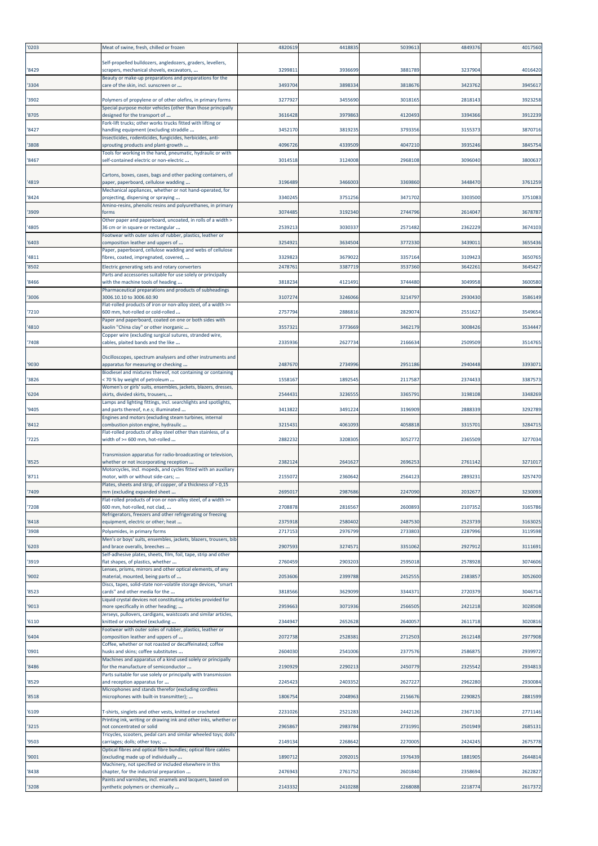| '0203 | Meat of swine, fresh, chilled or frozen                                                                  | 4820619 | 4418835 | 5039613 | 484937  | 4017560 |
|-------|----------------------------------------------------------------------------------------------------------|---------|---------|---------|---------|---------|
| '8429 | Self-propelled bulldozers, angledozers, graders, levellers,<br>scrapers, mechanical shovels, excavators, | 329981  | 3936699 | 3881789 | 3237904 | 4016420 |
| '3304 | Beauty or make-up preparations and preparations for the<br>care of the skin, incl. sunscreen or          | 3493704 | 3898334 | 3818676 | 3423762 | 3945617 |
| '3902 | Polymers of propylene or of other olefins, in primary forms                                              | 3277927 | 3455690 | 3018165 | 2818143 | 3923258 |
| '8705 | Special purpose motor vehicles (other than those principally<br>designed for the transport of            | 3616428 | 3979863 | 4120493 | 3394366 | 3912239 |
| '8427 | Fork-lift trucks; other works trucks fitted with lifting or<br>handling equipment (excluding straddle    | 3452170 | 3819235 | 3793356 | 315537  | 387071  |
| '3808 | Insecticides, rodenticides, fungicides, herbicides, anti-<br>sprouting products and plant-growth         | 4096726 | 4339509 | 4047210 | 3935246 | 384575  |
| '8467 | Fools for working in the hand, pneumatic, hydraulic or with<br>self-contained electric or non-electric   | 3014518 | 3124008 | 2968108 | 3096040 | 380063  |
| '4819 | Cartons, boxes, cases, bags and other packing containers, of<br>paper, paperboard, cellulose wadding     | 3196489 | 3466003 | 3369860 | 3448470 | 3761259 |
| '8424 | Mechanical appliances, whether or not hand-operated, for<br>projecting, dispersing or spraying           | 3340245 | 3751256 | 3471702 | 3303500 | 3751083 |
| '3909 | Amino-resins, phenolic resins and polyurethanes, in primary<br>forms                                     | 3074485 | 3192340 | 2744796 | 2614047 | 3678787 |
| '4805 | Other paper and paperboard, uncoated, in rolls of a width ><br>36 cm or in square or rectangular         | 2539213 | 3030337 | 2571482 | 2362229 | 367410  |
| '6403 | Footwear with outer soles of rubber, plastics, leather or<br>composition leather and uppers of           | 3254921 | 3634504 | 3772330 | 3439011 | 3655436 |
| '4811 | Paper, paperboard, cellulose wadding and webs of cellulose<br>fibres, coated, impregnated, covered,      | 3329823 | 3679022 | 3357164 | 3109423 | 365076  |
| '8502 | Electric generating sets and rotary converters                                                           | 247876  | 3387719 | 3537360 | 364226  | 3645427 |
| '8466 | Parts and accessories suitable for use solely or principally<br>with the machine tools of heading        | 3818234 | 4121491 | 3744480 | 304995  | 360058  |
| '3006 | Pharmaceutical preparations and products of subheadings<br>3006.10.10 to 3006.60.90                      | 310727  | 3246066 | 3214797 | 2930430 | 3586149 |
| '7210 | Flat-rolled products of iron or non-alloy steel, of a width >=<br>600 mm, hot-rolled or cold-rolled      | 2757794 | 2886816 | 2829074 | 255162  | 354965  |
| '4810 | Paper and paperboard, coated on one or both sides with<br>kaolin "China clay" or other inorganic         | 355732  | 3773669 | 3462179 | 3008426 | 3534447 |
| '7408 | Copper wire (excluding surgical sutures, stranded wire,<br>cables, plaited bands and the like            | 2335936 | 2627734 | 2166634 | 2509509 | 3514765 |
|       | Oscilloscopes, spectrum analysers and other instruments and                                              |         |         |         |         |         |
| '9030 | apparatus for measuring or checking<br>Biodiesel and mixtures thereof, not containing or containing      | 2487670 | 2734996 | 2951186 | 2940448 | 339307  |
| '3826 | : 70 % by weight of petroleum<br>Women's or girls' suits, ensembles, jackets, blazers, dresses,          | 1558167 | 1892545 | 2117587 | 2374433 | 3387573 |
| '6204 | skirts, divided skirts, trousers,<br>Lamps and lighting fittings, incl. searchlights and spotlights,     | 2544431 | 3236555 | 3365791 | 3198108 | 3348269 |
| '9405 | and parts thereof, n.e.s; illuminated<br>Engines and motors (excluding steam turbines, internal          | 3413822 | 3491224 | 3196909 | 288833  | 329278  |
| '8412 | combustion piston engine, hydraulic<br>Flat-rolled products of alloy steel other than stainless, of a    | 3215431 | 4061093 | 4058818 | 3315701 | 328471  |
| '7225 | width of >= 600 mm, hot-rolled                                                                           | 2882232 | 3208305 | 3052772 | 2365509 | 3277034 |
| '8525 | Transmission apparatus for radio-broadcasting or television,<br>whether or not incorporating reception   | 2382124 | 2641627 | 2696253 | 2761142 | 3271017 |
| '8711 | Motorcycles, incl. mopeds, and cycles fitted with an auxiliary<br>motor, with or without side-cars;      | 2155072 | 2360642 | 2564123 | 2893231 | 3257470 |
| '7409 | Plates, sheets and strip, of copper, of a thickness of > 0,15<br>mm (excluding expanded sheet            | 2695017 | 2987686 | 2247090 | 2032677 | 3230093 |
| '7208 | Flat-rolled products of iron or non-alloy steel, of a width >=<br>600 mm, hot-rolled, not clad,          | 2708878 | 2816567 | 2600893 | 2107352 | 3165786 |
| '8418 | Refrigerators, freezers and other refrigerating or freezing<br>equipment, electric or other; heat        | 2375918 | 2580402 | 2487530 | 2523739 | 3163025 |
| '3908 | Polyamides, in primary forms<br>Men's or boys' suits, ensembles, jackets, blazers, trousers, bib         | 2717153 | 2976799 | 2733803 | 2287996 | 3119598 |
| '6203 | and brace overalls, breeches<br>Self-adhesive plates, sheets, film, foil, tape, strip and other          | 2907593 | 3274571 | 3351062 | 2927912 | 3111691 |
| '3919 | flat shapes, of plastics, whether<br>Lenses, prisms, mirrors and other optical elements, of any          | 2760459 | 2903203 | 2595018 | 2578928 | 3074606 |
| '9002 | material, mounted, being parts of<br>Discs, tapes, solid-state non-volatile storage devices, "smart      | 2053606 | 2399788 | 2452555 | 238385  | 3052600 |
| '8523 | cards" and other media for the<br>Liquid crystal devices not constituting articles provided for          | 3818566 | 3629099 | 3344371 | 2720379 | 3046714 |
| '9013 | more specifically in other heading;                                                                      | 2959663 | 3071936 | 2566505 | 2421218 | 3028508 |
| '6110 | lerseys, pullovers, cardigans, waistcoats and similar articles,<br>knitted or crocheted (excluding       | 2344947 | 2652628 | 2640057 | 2611718 | 3020816 |
| '6404 | Footwear with outer soles of rubber, plastics, leather or<br>composition leather and uppers of           | 2072738 | 2528381 | 2712503 | 2612148 | 2977908 |
| '0901 | Coffee, whether or not roasted or decaffeinated; coffee<br>husks and skins; coffee substitutes           | 2604030 | 2541006 | 2377576 | 2586875 | 2939972 |
| '8486 | Machines and apparatus of a kind used solely or principally<br>for the manufacture of semiconductor      | 2190929 | 2290213 | 2450779 | 2325542 | 2934813 |
| '8529 | Parts suitable for use solely or principally with transmission<br>and reception apparatus for            | 2245423 | 2403352 | 2627227 | 2962280 | 2930084 |
| '8518 | Microphones and stands therefor (excluding cordless<br>microphones with built-in transmitter);           | 1806754 | 2048963 | 2156676 | 2290825 | 2881599 |
| '6109 | T-shirts, singlets and other vests, knitted or crocheted                                                 | 2231026 | 2521283 | 2442126 | 2367130 | 2771146 |
| '3215 | Printing ink, writing or drawing ink and other inks, whether or<br>not concentrated or solid             | 2965867 | 2983784 | 2731991 | 2501949 | 2685131 |
| '9503 | Fricycles, scooters, pedal cars and similar wheeled toys; dolls'<br>carriages; dolls; other toys;        | 2149134 | 2268642 | 2270005 | 2424245 | 2675778 |
| '9001 | Optical fibres and optical fibre bundles; optical fibre cables<br>(excluding made up of individually     | 1890712 | 2092015 | 1976439 | 1881905 | 2644814 |
| '8438 | Machinery, not specified or included elsewhere in this<br>chapter, for the industrial preparation        | 2476943 | 2761752 | 2601840 | 2358694 | 2622827 |
| '3208 | Paints and varnishes, incl. enamels and lacquers, based on<br>synthetic polymers or chemically           | 2143332 | 2410288 | 2268088 | 2218774 | 2617372 |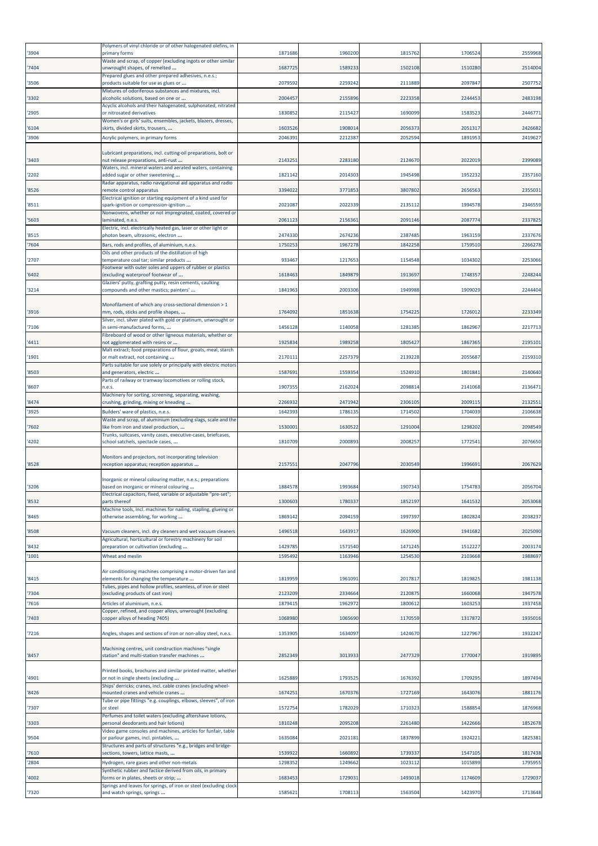| '3904          | Polymers of vinyl chloride or of other halogenated olefins, in<br>primary forms                         | 1871686            | 1960200            | 1815762            | 1706524            | 2559968            |
|----------------|---------------------------------------------------------------------------------------------------------|--------------------|--------------------|--------------------|--------------------|--------------------|
| '7404          | Waste and scrap, of copper (excluding ingots or other similar<br>unwrought shapes, of remelted          | 1687725            | 1589233            | 1502108            | 1510280            | 2514004            |
| '3506          | Prepared glues and other prepared adhesives, n.e.s.;<br>products suitable for use as glues or           | 2079592            | 2259242            | 2111889            | 2097847            | 2507752            |
| '3302          | Mixtures of odoriferous substances and mixtures, incl.<br>alcoholic solutions, based on one or          | 2004457            | 2155896            | 2223358            | 2244453            | 2483198            |
| '2905          | Acyclic alcohols and their halogenated, sulphonated, nitrated<br>or nitrosated derivatives              | 1830852            | 2115427            | 1690099            | 1583523            | 2446771            |
| '6104          | Women's or girls' suits, ensembles, jackets, blazers, dresses,<br>skirts, divided skirts, trousers,     | 1603526            | 1908014            | 2056373            | 2051317            | 2426682            |
| '3906          | Acrylic polymers, in primary forms                                                                      | 2046391            | 2212387            | 2052594            | 1891953            | 2419627            |
|                | Lubricant preparations, incl. cutting-oil preparations, bolt or                                         |                    |                    |                    |                    |                    |
| '3403          | nut release preparations, anti-rust<br>Waters, incl. mineral waters and aerated waters, containing      | 2143251            | 2283180            | 2124670            | 2022019            | 2399089            |
| '2202          | added sugar or other sweetening<br>Radar apparatus, radio navigational aid apparatus and radio          | 1821142            | 2014303            | 1945498            | 1952232            | 2357160            |
| '8526          | remote control apparatus<br>Electrical ignition or starting equipment of a kind used for                | 3394022            | 3771853            | 3807802            | 2656563            | 2355031            |
| '8511          | spark-ignition or compression-ignition<br>Nonwovens, whether or not impregnated, coated, covered or     | 2021087            | 2022339            | 2135112            | 1994578            | 2346559            |
| '5603          | laminated, n.e.s.                                                                                       | 2061123            | 215636             | 2091146            | 2087774            | 2337825            |
| '8515          | Electric, incl. electrically heated gas, laser or other light or<br>photon beam, ultrasonic, electron   | 2474330            | 2674236            | 2387485            | 1963159            | 2337676            |
| '7604          | Bars, rods and profiles, of aluminium, n.e.s.<br>Oils and other products of the distillation of high    | 1750253            | 1967278            | 1842258            | 1759510            | 2266278            |
| '2707          | temperature coal tar; similar products<br>Footwear with outer soles and uppers of rubber or plastics    | 933467             | 1217653            | 1154548            | 1034302            | 2253066            |
| '6402          | (excluding waterproof footwear of                                                                       | 1618463            | 1849879            | 1913697            | 1748357            | 2248244            |
| '3214          | Glaziers' putty, grafting putty, resin cements, caulking<br>compounds and other mastics; painters'      | 1841963            | 2003306            | 1949988            | 1909029            | 2244404            |
|                | Monofilament of which any cross-sectional dimension > 1                                                 |                    |                    |                    |                    |                    |
| '3916          | mm, rods, sticks and profile shapes,<br>Silver, incl. silver plated with gold or platinum, unwrought or | 1764092            | 1851638            | 1754225            | 1726012            | 2233349            |
| '7106          | in semi-manufactured forms,<br>Fibreboard of wood or other ligneous materials, whether or               | 1456128            | 1140058            | 1281385            | 1862967            | 2217713            |
| '4411          | not agglomerated with resins or<br>Malt extract; food preparations of flour, groats, meal, starch       | 1925834            | 1989258            | 1805427            | 1867365            | 2195101            |
| '1901          | or malt extract, not containing<br>Parts suitable for use solely or principally with electric motors    | 2170111            | 2257379            | 2139228            | 2055687            | 2159310            |
| '8503          | and generators, electric<br>Parts of railway or tramway locomotives or rolling stock,                   | 1587691            | 1559354            | 1524910            | 1801841            | 2140640            |
| '8607          | n.e.s.                                                                                                  | 1907355            | 2162024            | 2098814            | 2141068            | 2136471            |
| '8474          | Machinery for sorting, screening, separating, washing,<br>crushing, grinding, mixing or kneading        | 2266932            | 2471942            | 2306105            | 2009115            | 2132551            |
| '3925          | Builders' ware of plastics, n.e.s.<br>Waste and scrap, of aluminium (excluding slags, scale and the     | 1642393            | 1786135            | 1714502            | 1704039            | 2106638            |
| '7602          | like from iron and steel production,<br>Trunks, suitcases, vanity cases, executive-cases, briefcases,   | 1530001            | 1630522            | 1291004            | 1298202            | 2098549            |
| '4202          | school satchels, spectacle cases,                                                                       | 1810709            | 2000893            | 2008257            | 1772541            | 2076650            |
| '8528          | Monitors and projectors, not incorporating television<br>reception apparatus; reception apparatus       | 2157551            | 2047796            | 2030549            | 1996691            | 2067629            |
|                | Inorganic or mineral colouring matter, n.e.s.; preparations                                             |                    |                    |                    |                    |                    |
| '3206          | based on inorganic or mineral colouring                                                                 | 1884578            | 1993684            | 1907343            | 1754783            | 2056704            |
| '8532          | ; rectrical capacitors, fixed, variable or adjustable -pre-set.<br>parts thereof                        | 1300603            | 1780337            | 1852197            | 1641532            | 2053068            |
| '8465          | Machine tools, incl. machines for nailing, stapling, glueing or<br>otherwise assembling, for working    | 1869142            | 2094159            | 1997397            | 1802824            | 2038237            |
| '8508          | Vacuum cleaners, incl. dry cleaners and wet vacuum cleaners                                             | 1496518            | 1643917            | 1626900            | 1941682            | 2025090            |
| '8432          | Agricultural, horticultural or forestry machinery for soil<br>preparation or cultivation (excluding     | 1429785            | 1571540            | 1471245            | 1512227            | 2003174            |
| '1001          | Wheat and meslin                                                                                        | 1595492            | 1163946            | 1254530            | 2103668            | 1988697            |
|                | Air conditioning machines comprising a motor-driven fan and                                             |                    |                    |                    |                    |                    |
| '8415          | elements for changing the temperature<br>Tubes, pipes and hollow profiles, seamless, of iron or steel   | 1819959            | 1961091            | 2017817            | 1819825            | 1981138            |
| '7304<br>'7616 | (excluding products of cast iron)<br>Articles of aluminium, n.e.s.                                      | 2123209<br>1879415 | 2334664<br>1962972 | 2120875<br>1800612 | 1660068<br>1603253 | 1947578<br>1937458 |
|                | Copper, refined, and copper alloys, unwrought (excluding<br>copper alloys of heading 7405)              |                    |                    |                    |                    |                    |
| '7403          |                                                                                                         | 1068980            | 1065690            | 1170559            | 1317872            | 1935016            |
| '7216          | Angles, shapes and sections of iron or non-alloy steel, n.e.s.                                          | 1353905            | 1634097            | 1424670            | 1227967            | 1932247            |
| '8457          | Machining centres, unit construction machines "single<br>station" and multi-station transfer machines   | 2852349            | 3013933            | 2477329            | 1770047            | 1919895            |
|                | Printed books, brochures and similar printed matter, whether                                            |                    |                    |                    |                    |                    |
| '4901          | or not in single sheets (excluding<br>Ships' derricks; cranes, incl. cable cranes (excluding wheel-     | 1625889            | 1793525            | 1676392            | 1709295            | 1897494            |
| '8426          | mounted cranes and vehicle cranes<br>Tube or pipe fittings "e.g. couplings, elbows, sleeves", of iron   | 1674251            | 1670376            | 1727169            | 1643076            | 1881176            |
| '7307          | or steel<br>Perfumes and toilet waters (excluding aftershave lotions,                                   | 1572754            | 1782029            | 1710323            | 1588854            | 1876968            |
| '3303          | personal deodorants and hair lotions)                                                                   | 1810248            | 2095208            | 2261480            | 1422666            | 1852678            |
| '9504          | Video game consoles and machines, articles for funfair, table<br>or parlour games, incl. pintables,     | 1635084            | 2021181            | 1837899            | 1924221            | 1825381            |
| '7610          | Structures and parts of structures "e.g., bridges and bridge-<br>sections, towers, lattice masts,       | 1539922            | 1660892            | 1739337            | 1547105            | 1817438            |
| '2804          | Hydrogen, rare gases and other non-metals<br>Synthetic rubber and factice derived from oils, in primary | 1298352            | 1249662            | 1023112            | 1015899            | 1795955            |
| '4002          | forms or in plates, sheets or strip;                                                                    | 1683453            | 172903:            | 1493018            | 1174609            | 1729037            |
| '7320          | Springs and leaves for springs, of iron or steel (excluding clock<br>and watch springs, springs         | 1585621            | 1708113            | 1563504            | 1423970            | 1713648            |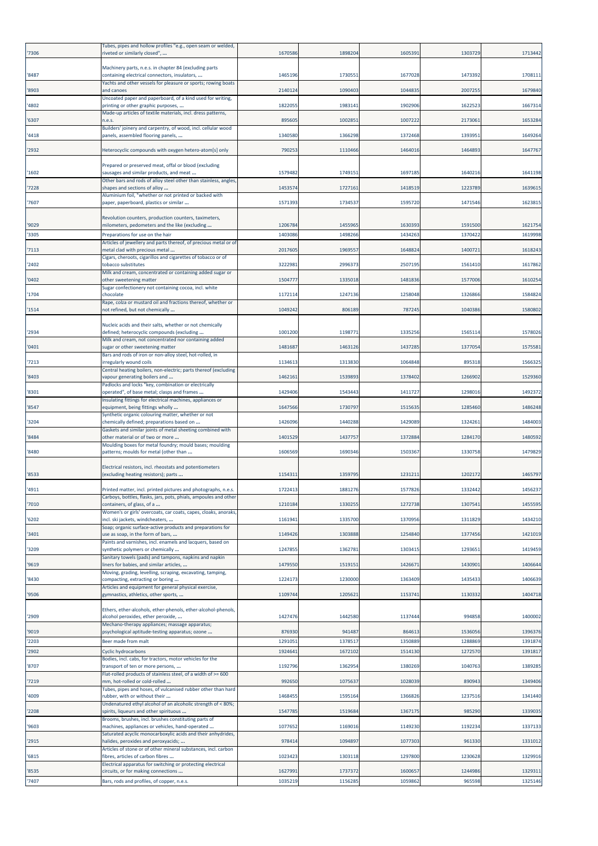| '7306 | Tubes, pipes and hollow profiles "e.g., open seam or welded,<br>riveted or similarly closed",           | 1670586 | 1898204 | 1605391 | 1303729 | 1713442 |
|-------|---------------------------------------------------------------------------------------------------------|---------|---------|---------|---------|---------|
| '8487 | Machinery parts, n.e.s. in chapter 84 (excluding parts<br>containing electrical connectors, insulators, | 1465196 | 173055  | 1677028 | 1473392 | 1708111 |
| '8903 | Yachts and other vessels for pleasure or sports; rowing boats<br>and canoes                             | 2140124 | 1090403 | 1044835 | 2007255 | 1679840 |
|       | Uncoated paper and paperboard, of a kind used for writing,                                              | 1822055 | 198314  | 1902906 | 1622523 | 1667314 |
| '4802 | printing or other graphic purposes,<br>Made-up articles of textile materials, incl. dress patterns,     |         |         |         |         |         |
| '6307 | n.e.s.<br>Builders' joinery and carpentry, of wood, incl. cellular wood                                 | 895605  | 100285  | 1007222 | 2173061 | 1653284 |
| '4418 | panels, assembled flooring panels,                                                                      | 1340580 | 1366298 | 1372468 | 1393951 | 1649264 |
| '2932 | Heterocyclic compounds with oxygen hetero-atom[s] only                                                  | 790253  | 1110466 | 1464016 | 1464893 | 1647767 |
| '1602 | Prepared or preserved meat, offal or blood (excluding<br>sausages and similar products, and meat        | 1579482 | 1749151 | 1697185 | 1640216 | 1641198 |
| '7228 | Other bars and rods of alloy steel other than stainless, angles,<br>shapes and sections of alloy        | 1453574 | 1727161 | 1418519 | 1223789 | 1639615 |
|       | Aluminium foil, "whether or not printed or backed with                                                  |         |         |         |         |         |
| '7607 | paper, paperboard, plastics or similar                                                                  | 1571393 | 1734537 | 1595720 | 1471546 | 1623815 |
| '9029 | Revolution counters, production counters, taximeters,<br>milometers, pedometers and the like (excluding | 1206784 | 1455965 | 1630393 | 1591500 | 1621754 |
| '3305 | Preparations for use on the hair                                                                        | 1403086 | 1498266 | 1434263 | 1370422 | 1619998 |
| '7113 | Articles of jewellery and parts thereof, of precious metal or of<br>metal clad with precious metal      | 2017605 | 1969557 | 1648824 | 1400721 | 1618243 |
| '2402 | Cigars, cheroots, cigarillos and cigarettes of tobacco or of<br>tobacco substitutes                     | 3222981 | 2996373 | 2507195 | 1561410 | 1617862 |
| '0402 | Milk and cream, concentrated or containing added sugar or<br>other sweetening matter                    | 1504777 | 1335018 | 1481836 | 1577006 | 1610254 |
| '1704 | Sugar confectionery not containing cocoa, incl. white<br>chocolate                                      | 1172114 | 1247136 | 1258048 | 1326866 | 1584824 |
| '1514 | Rape, colza or mustard oil and fractions thereof, whether or<br>not refined, but not chemically         | 1049242 | 806189  | 787245  | 1040386 | 1580802 |
|       |                                                                                                         |         |         |         |         |         |
| '2934 | Nucleic acids and their salts, whether or not chemically<br>defined; heterocyclic compounds (excluding  | 1001200 | 119877  | 1335256 | 1565114 | 1578026 |
| '0401 | Milk and cream, not concentrated nor containing added<br>sugar or other sweetening matter               | 1481687 | 1463126 | 1437285 | 1377054 | 1575581 |
| '7213 | Bars and rods of iron or non-alloy steel, hot-rolled, in<br>irregularly wound coils                     | 1134613 | 1313830 | 1064848 | 895318  | 1566325 |
| '8403 | Central heating boilers, non-electric; parts thereof (excluding<br>vapour generating boilers and        | 1462161 | 1539893 | 1378402 | 1266902 | 1529360 |
| '8301 | Padlocks and locks "key, combination or electrically<br>operated", of base metal; clasps and frames     | 1429406 | 1543443 | 1411727 | 1298016 | 1492372 |
| '8547 | Insulating fittings for electrical machines, appliances or<br>equipment, being fittings wholly          | 1647566 | 1730797 | 1515635 | 1285460 | 1486248 |
|       | Synthetic organic colouring matter, whether or not                                                      |         |         |         |         |         |
| '3204 | chemically defined; preparations based on<br>Gaskets and similar joints of metal sheeting combined with | 1426096 | 1440288 | 1429089 | 1324261 | 1484003 |
| '8484 | other material or of two or more<br>Moulding boxes for metal foundry; mould bases; moulding             | 1401529 | 1437757 | 1372884 | 1284170 | 1480592 |
| '8480 | patterns; moulds for metal (other than                                                                  | 1606569 | 1690346 | 1503367 | 1330758 | 1479829 |
| '8533 | Electrical resistors, incl. rheostats and potentiometers<br>(excluding heating resistors); parts        | 1154311 | 1359795 | 1231211 | 1202172 | 1465797 |
| '4911 | Printed matter, incl. printed pictures and photographs, n.e.s.                                          | 1722413 | 1881276 | 1577826 | 1332442 | 1456237 |
| '7010 | Carboys, bottles, flasks, jars, pots, phials, ampoules and other<br>containers, of glass, of a          | 1210184 | 1330255 | 1272738 | 1307541 | 1455595 |
| '6202 | Women's or girls' overcoats, car coats, capes, cloaks, anoraks,<br>incl. ski jackets, windcheaters,     | 1161941 | 1335700 | 1370956 | 1311829 | 1434210 |
| '3401 | Soap; organic surface-active products and preparations for<br>use as soap, in the form of bars,         | 1149426 | 1303888 | 1254840 | 1377456 | 1421019 |
| '3209 | Paints and varnishes, incl. enamels and lacquers, based on<br>synthetic polymers or chemically          | 1247855 | 136278  | 1303415 | 1293651 | 1419459 |
| '9619 | Sanitary towels (pads) and tampons, napkins and napkin<br>liners for babies, and similar articles,      | 1479550 | 1519151 | 1426671 | 1430901 | 1406644 |
|       | Moving, grading, levelling, scraping, excavating, tamping,                                              |         |         |         |         |         |
| '8430 | compacting, extracting or boring<br>Articles and equipment for general physical exercise,               | 1224173 | 1230000 | 1363409 | 1435433 | 1406639 |
| '9506 | gymnastics, athletics, other sports,                                                                    | 1109744 | 120562  | 1153741 | 1130332 | 1404718 |
| '2909 | Ethers, ether-alcohols, ether-phenols, ether-alcohol-phenols,<br>alcohol peroxides, ether peroxide,     | 1427476 | 1442580 | 1137444 | 994858  | 1400002 |
| '9019 | Mechano-therapy appliances; massage apparatus;<br>psychological aptitude-testing apparatus; ozone       | 876930  | 941487  | 864613  | 1536056 | 1396376 |
| '2203 | Beer made from malt                                                                                     | 1291051 | 1378517 | 1350889 | 1288869 | 1391874 |
| '2902 | <b>Cyclic hydrocarbons</b><br>Bodies, incl. cabs, for tractors, motor vehicles for the                  | 1924641 | 1672102 | 1514130 | 1272570 | 1391817 |
| '8707 | transport of ten or more persons,<br>lat-rolled products of stainless steel, of a width of >= 600       | 1192796 | 1362954 | 1380269 | 1040763 | 1389285 |
| '7219 | mm, hot-rolled or cold-rolled<br>Tubes, pipes and hoses, of vulcanised rubber other than hard           | 992650  | 1075637 | 1028039 | 890943  | 1349406 |
| '4009 | rubber, with or without their                                                                           | 1468455 | 1595164 | 1366826 | 1237516 | 1341440 |
| '2208 | Undenatured ethyl alcohol of an alcoholic strength of < 80%;<br>spirits, liqueurs and other spirituous  | 1547785 | 1519684 | 1367175 | 985290  | 1339035 |
| '9603 | Brooms, brushes, incl. brushes constituting parts of<br>machines, appliances or vehicles, hand-operated | 1077652 | 1169016 | 1149230 | 1192234 | 1337133 |
| '2915 | Saturated acyclic monocarboxylic acids and their anhydrides,<br>halides, peroxides and peroxyacids;     | 978414  | 1094897 | 1077303 | 961330  | 1331012 |
| '6815 | Articles of stone or of other mineral substances, incl. carbon<br>fibres, articles of carbon fibres     | 1023423 | 1303118 | 1297800 | 1230628 | 1329916 |
| '8535 | Electrical apparatus for switching or protecting electrical<br>circuits, or for making connections      | 1627991 | 1737372 | 1600657 | 1244986 | 1329311 |
| '7407 | Bars, rods and profiles, of copper, n.e.s.                                                              | 1035219 | 1156285 | 1059862 | 965598  | 1325146 |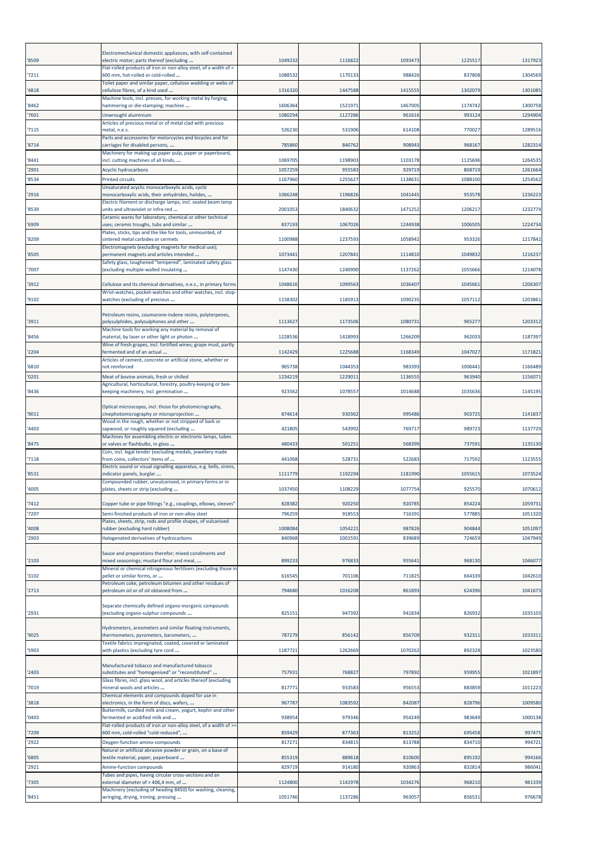|                | Electromechanical domestic appliances, with self-contained                                                                                                    |                    |                    |                    |                   |                                                     |
|----------------|---------------------------------------------------------------------------------------------------------------------------------------------------------------|--------------------|--------------------|--------------------|-------------------|-----------------------------------------------------|
| '8509          | electric motor; parts thereof (excluding<br>Flat-rolled products of iron or non-alloy steel, of a width of <                                                  | 1049232            | 1116822            | 1093473            | 1225517           | 1317923                                             |
| '7211          | 500 mm, hot-rolled or cold-rolled<br>Toilet paper and similar paper, cellulose wadding or webs of                                                             | 1088532            | 1170133            | 988426             | 837808            | 1304569                                             |
| '4818          | cellulose fibres, of a kind used<br>Machine tools, incl. presses, for working metal by forging,                                                               | 1316320            | 1447588            | 1415555            | 1302079           | 1301085                                             |
| '8462<br>'7601 | hammering or die-stamping; machine                                                                                                                            | 1606364<br>1080294 | 152197<br>1127286  | 1467005<br>961616  | 1174742<br>993124 | 1300758<br>1294904                                  |
|                | Unwrought aluminium<br>Articles of precious metal or of metal clad with precious                                                                              |                    |                    |                    |                   |                                                     |
| '7115          | metal, n.e.s.<br>Parts and accessories for motorcycles and bicycles and for                                                                                   | 526230             | 531906             | 614108             | 770027            | 1289516                                             |
| '8714          | carriages for disabled persons,<br>Machinery for making up paper pulp, paper or paperboard,                                                                   | 785860             | 840762             | 908943             | 968167            | 1282314                                             |
| '8441          | incl. cutting machines of all kinds,                                                                                                                          | 1069705            | 1198903            | 1103178            | 1125696           | 1264535                                             |
| '2901<br>'8534 | Acyclic hydrocarbons<br>Printed circuits                                                                                                                      | 1057259<br>1167960 | 955583<br>1255627  | 929719<br>1138631  | 808719<br>1088100 | 1261664<br>1254562                                  |
|                | Unsaturated acyclic monocarboxylic acids, cyclic                                                                                                              |                    |                    |                    |                   |                                                     |
| '2916          | monocarboxylic acids, their anhydrides, halides,<br>Electric filament or discharge lamps, incl. sealed beam lamp                                              | 1066248            | 1196826            | 1041445            | 953578            | 1236223                                             |
| '8539          | units and ultraviolet or infra-red<br>Ceramic wares for laboratory, chemical or other technical                                                               | 2001053            | 1840632            | 1471252            | 1206217           | 1232774                                             |
| '6909          | uses; ceramic troughs, tubs and similar<br>Plates, sticks, tips and the like for tools, unmounted, of                                                         | 837193             | 1067026            | 1244938            | 1006505           | 1224734                                             |
| '8209          | sintered metal carbides or cermets<br>Electromagnets (excluding magnets for medical use);                                                                     | 1100988            | 1237593            | 1058942            | 953326            | 1217842                                             |
| '8505          | permanent magnets and articles intended<br>Safety glass, toughened "tempered", laminated safety glass                                                         | 1073441            | 1207841            | 1114810            | 1049832           | 1216237                                             |
| '7007          | (excluding multiple-walled insulating                                                                                                                         | 1147430            | 1240990            | 1137262            | 1055666           | 1214078                                             |
| '3912          | Cellulose and its chemical derivatives, n.e.s., in primary forms                                                                                              | 1048616            | 1099563            | 1036407            | 1045661           | 1206307                                             |
| '9102          | Wrist-watches, pocket-watches and other watches, incl. stop-<br>watches (excluding of precious                                                                | 1158302            | 1185913            | 1090235            | 1057112           | 1203861                                             |
|                | Petroleum resins, coumarone-indene resins, polyterpenes,                                                                                                      |                    |                    |                    |                   |                                                     |
| '3911<br>'8456 | polysulphides, polysulphones and other<br>Machine tools for working any material by removal of<br>material, by laser or other light or photon                 | 1113627<br>1228536 | 1173506<br>1418993 | 1080731<br>1266209 | 965277<br>962033  | 1203312<br>1187397                                  |
|                | Wine of fresh grapes, incl. fortified wines; grape must, partly                                                                                               |                    |                    |                    |                   |                                                     |
| '2204          | fermented and of an actual<br>Articles of cement, concrete or artificial stone, whether or                                                                    | 1142429            | 1225688            | 1168349            | 1047027           | 1171821                                             |
| '6810<br>'0201 | not reinforced<br>Meat of bovine animals, fresh or chilled                                                                                                    | 965738<br>1234219  | 1044353<br>122901  | 983393<br>113655   | 1006441<br>963940 | 1166489<br>1156071                                  |
| '8436          | Agricultural, horticultural, forestry, poultry-keeping or bee-<br>keeping machinery, incl. germination                                                        | 923562             | 1078557            | 1014688            | 1035636           | 1145195                                             |
|                |                                                                                                                                                               |                    |                    |                    |                   |                                                     |
| '9011          | Optical microscopes, incl. those for photomicrography,<br>cinephotomicrography or microprojection                                                             | 874614             | 930362             | 995486             | 903725            | 1141837                                             |
|                | Wood in the rough, whether or not stripped of bark or                                                                                                         |                    |                    |                    |                   |                                                     |
| '4403          | sapwood, or roughly squared (excluding                                                                                                                        | 421805             | 543992             | 769717             | 989723            |                                                     |
| '8475          | Machines for assembling electric or electronic lamps, tubes<br>or valves or flashbulbs, in glass                                                              | 480433             | 50125              | 568399             | 737591            |                                                     |
| '7118          | Coin, incl. legal tender (excluding medals, jewellery made<br>from coins, collectors' items of                                                                | 441068             | 528731             | 522683             | 717592            | 1123555                                             |
| '8531          | Electric sound or visual signalling apparatus, e.g. bells, sirens,<br>indicator panels, burglar                                                               | 1111779            | 1192294            | 1181990            | 1055615           |                                                     |
|                | Compounded rubber, unvulcanised, in primary forms or in                                                                                                       |                    | 1108229            | 1077754            | 925570            |                                                     |
| '4005          | plates, sheets or strip (excluding                                                                                                                            | 1037450            |                    |                    |                   |                                                     |
| '7412<br>'7207 | Copper tube or pipe fittings "e.g., couplings, elbows, sleeves'<br>Semi-finished products of iron or non-alloy steel                                          | 828382<br>796259   | 920250<br>91855    | 920785<br>716391   | 854224<br>577885  | 1059731<br>1051320                                  |
| '4008          | Plates, sheets, strip, rods and profile shapes, of vulcanised<br>rubber (excluding hard rubber)                                                               | 1008084            | 105422             | 987826             | 904844            | 1051097                                             |
| '2903          | Halogenated derivatives of hydrocarbons                                                                                                                       | 840968             | 1001591            | 839689             | 724659            | 1047949                                             |
|                | Sauce and preparations therefor; mixed condiments and                                                                                                         |                    |                    |                    |                   |                                                     |
| '2103          | mixed seasonings; mustard flour and meal,<br>Mineral or chemical nitrogenous fertilisers (excluding those in                                                  | 899233             | 976833             | 95564              | 968130            | 1046077                                             |
| '3102          | pellet or similar forms, or<br>Petroleum coke, petroleum bitumen and other residues of                                                                        | 616545             | 701106             | 711825             | 664339            | 1042610                                             |
| '2713          | petroleum oil or of oil obtained from                                                                                                                         | 794680             | 1016208            | 861893             | 624396            | 1041673                                             |
| '2931          | Separate chemically defined organo-inorganic compounds<br>(excluding organo-sulphur compounds                                                                 | 825151             | 947392             | 941834             | 826932            |                                                     |
|                |                                                                                                                                                               |                    |                    |                    |                   | 1137729<br>1135130<br>1073524<br>1070612<br>1035103 |
| '9025          | Hydrometers, areometers and similar floating instruments,<br>thermometers, pyrometers, barometers,                                                            | 787279             | 856142             | 856709             | 932311            | 1033311                                             |
| '5903          | Textile fabrics impregnated, coated, covered or laminated<br>with plastics (excluding tyre cord                                                               | 1187721            | 1262669            | 1070262            | 892328            | 1023580                                             |
| '2403          | Manufactured tobacco and manufactured tobacco<br>substitutes and "homogenised" or "reconstituted"                                                             | 757931             | 768827             | 797892             | 959955            | 1021897                                             |
| '7019          | Glass fibres, incl. glass wool, and articles thereof (excluding<br>mineral wools and articles                                                                 | 817771             | 933583             | 956553             | 883859            | 1011223                                             |
| '3818          | Chemical elements and compounds doped for use in<br>electronics, in the form of discs, wafers,                                                                | 967787             | 1083592            | 842087             | 828796            | 1009580                                             |
| '0403          | Buttermilk, curdled milk and cream, yogurt, kephir and other<br>fermented or acidified milk and                                                               | 938954             | 979346             | 954249             | 983649            | 1000138                                             |
|                | Flat-rolled products of iron or non-alloy steel, of a width of >=                                                                                             |                    |                    |                    |                   |                                                     |
| '7209<br>'2922 | 600 mm, cold-rolled "cold-reduced",<br>Oxygen-function amino-compounds                                                                                        | 859429<br>817271   | 877363<br>83481    | 813252<br>813788   | 695458<br>834710  | 997475<br>994721                                    |
| '6805          | Natural or artificial abrasive powder or grain, on a base of<br>textile material, paper, paperboard                                                           | 855319             | 889618             | 810600             | 895192            | 994166                                              |
| '2921          | Amine-function compounds                                                                                                                                      | 829719             | 914180             | 920863             | 832814            | 98604                                               |
| '7305          | Tubes and pipes, having circular cross-sections and an<br>external diameter of > 406,4 mm, of<br>Machinery (excluding of heading 8450) for washing, cleaning, | 1124800            | 1141978            | 1034276            | 968210            | 981339                                              |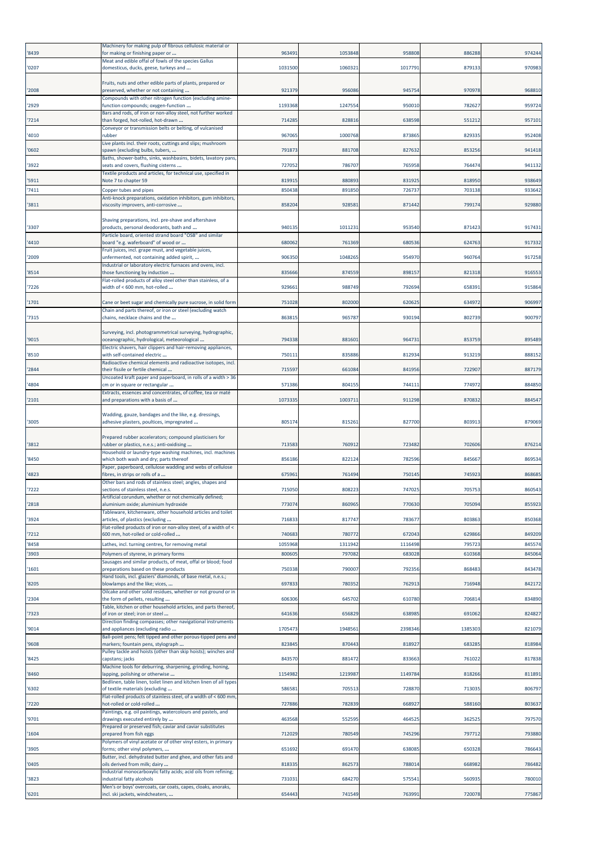| '8439 | Machinery for making pulp of fibrous cellulosic material or<br>for making or finishing paper or                             | 963491  | 1053848 | 958808  | 886288  | 974244 |
|-------|-----------------------------------------------------------------------------------------------------------------------------|---------|---------|---------|---------|--------|
|       | Meat and edible offal of fowls of the species Gallus                                                                        |         |         |         |         |        |
| '0207 | domesticus, ducks, geese, turkeys and                                                                                       | 1031500 | 106032  | 1017791 | 879133  | 970983 |
| '2008 | Fruits, nuts and other edible parts of plants, prepared or<br>preserved, whether or not containing                          | 921379  | 956086  | 945754  | 970978  | 968810 |
| '2929 | Compounds with other nitrogen function (excluding amine-<br>function compounds; oxygen-function                             | 1193368 | 124755  | 950010  | 782627  | 959724 |
|       | Bars and rods, of iron or non-alloy steel, not further worked                                                               |         |         |         |         |        |
| '7214 | than forged, hot-rolled, hot-drawn<br>Conveyor or transmission belts or belting, of vulcanised                              | 714285  | 828816  | 638598  | 551212  | 95710  |
| '4010 | rubber<br>Live plants incl. their roots, cuttings and slips; mushroom                                                       | 967065  | 1000768 | 873865  | 829335  | 952408 |
| '0602 | spawn (excluding bulbs, tubers,<br>Baths, shower-baths, sinks, washbasins, bidets, lavatory pans,                           | 791873  | 881708  | 827632  | 853256  | 941418 |
| '3922 | seats and covers, flushing cisterns                                                                                         | 727052  | 786707  | 765958  | 764474  | 941132 |
| '5911 | Textile products and articles, for technical use, specified in<br>Note 7 to chapter 59                                      | 819915  | 880893  | 831925  | 818950  | 938649 |
| '7411 | Copper tubes and pipes<br>Anti-knock preparations, oxidation inhibitors, gum inhibitors,                                    | 850438  | 891850  | 726737  | 703138  | 933642 |
| '3811 | viscosity improvers, anti-corrosive                                                                                         | 858204  | 92858   | 871442  | 799174  | 929880 |
| '3307 | Shaving preparations, incl. pre-shave and aftershave<br>products, personal deodorants, bath and                             | 940135  | 101123: | 953540  | 871423  | 91743  |
| '4410 | Particle board, oriented strand board "OSB" and similar<br>board "e.g. waferboard" of wood or                               | 680062  | 761369  | 680536  | 624763  | 917332 |
| '2009 | Fruit juices, incl. grape must, and vegetable juices,<br>unfermented, not containing added spirit,                          | 906350  | 1048265 | 954970  | 960764  | 917258 |
| '8514 | Industrial or laboratory electric furnaces and ovens, incl.<br>those functioning by induction                               | 835666  | 874559  | 898157  | 821318  | 91655  |
| '7226 | Flat-rolled products of alloy steel other than stainless, of a<br>width of < 600 mm, hot-rolled                             | 929661  | 988749  | 792694  | 658391  | 915864 |
|       |                                                                                                                             |         |         |         |         |        |
| '1701 | Cane or beet sugar and chemically pure sucrose, in solid form<br>Chain and parts thereof, or iron or steel (excluding watch | 751028  | 802000  | 620625  | 634972  | 906997 |
| '7315 | chains, necklace chains and the                                                                                             | 86381   | 965787  | 930194  | 802739  | 900797 |
| '9015 | Surveying, incl. photogrammetrical surveying, hydrographic,<br>oceanographic, hydrological, meteorological                  | 794338  | 88160   | 964731  | 853759  | 895489 |
| '8510 | Electric shavers, hair clippers and hair-removing appliances,<br>with self-contained electric                               | 750111  | 835886  | 812934  | 913219  | 888152 |
| '2844 | Radioactive chemical elements and radioactive isotopes, incl.<br>their fissile or fertile chemical                          | 71559   | 661084  | 841956  | 722907  | 887179 |
| '4804 | Uncoated kraft paper and paperboard, in rolls of a width > 36<br>cm or in square or rectangular                             | 571386  | 80415   | 744111  | 774972  | 884850 |
| '2101 | Extracts, essences and concentrates, of coffee, tea or maté<br>and preparations with a basis of                             | 1073335 | 100371  | 911298  | 870832  | 884547 |
| '3005 | Wadding, gauze, bandages and the like, e.g. dressings,<br>adhesive plasters, poultices, impregnated                         | 805174  | 81526   | 827700  | 803913  | 879069 |
|       | Prepared rubber accelerators; compound plasticisers for                                                                     |         |         |         |         |        |
| '3812 | rubber or plastics, n.e.s.; anti-oxidising<br>Household or laundry-type washing machines, incl. machines                    | 713583  | 760912  | 723482  | 702606  | 876214 |
| '8450 | which both wash and dry; parts thereof                                                                                      | 856186  | 822124  | 782596  | 845667  | 869534 |
| '4823 | Paper, paperboard, cellulose wadding and webs of cellulose<br>fibres, in strips or rolls of a                               | 675961  | 761494  | 750145  | 745923  | 868685 |
| '7222 | Other bars and rods of stainless steel; angles, shapes and<br>sections of stainless steel, n.e.s.                           | 715050  | 808223  | 747025  | 705753  | 860543 |
| '2818 | Artificial corundum, whether or not chemically defined;<br>aluminium oxide; aluminium hydroxide                             | 773074  | 860965  | 770630  | 705094  | 855923 |
| '3924 | Tableware, kitchenware, other household articles and toilet<br>articles, of plastics (excluding                             | 716833  | 817747  | 783677  | 803863  | 850368 |
| '7212 | Flat-rolled products of iron or non-alloy steel, of a width of <<br>600 mm, hot-rolled or cold-rolled                       | 740683  | 780772  | 672043  | 629866  | 849209 |
| '8458 | Lathes, incl. turning centres, for removing metal                                                                           | 1055968 | 1311942 | 1116498 | 795723  | 845574 |
| '3903 | Polymers of styrene, in primary forms<br>Sausages and similar products, of meat, offal or blood; food                       | 800605  | 797082  | 683028  | 610368  | 845064 |
| '1601 | preparations based on these products                                                                                        | 750338  | 790007  | 792356  | 868483  | 843478 |
| '8205 | Hand tools, incl. glaziers' diamonds, of base metal, n.e.s.;<br>blowlamps and the like; vices,                              | 697833  | 780352  | 762913  | 716948  | 842172 |
| '2304 | Oilcake and other solid residues, whether or not ground or in<br>the form of pellets, resulting                             | 606306  | 645702  | 610780  | 706814  | 834890 |
| '7323 | Table, kitchen or other household articles, and parts thereof,<br>of iron or steel; iron or steel                           | 641636  | 656829  | 638985  | 691062  | 824827 |
| '9014 | Direction finding compasses; other navigational instruments<br>and appliances (excluding radio                              | 1705473 | 194856  | 2398346 | 1385303 | 821079 |
| '9608 | Ball-point pens; felt tipped and other porous-tipped pens and<br>markers; fountain pens, stylograph                         | 823845  | 870443  | 818927  | 683285  | 818984 |
|       | Pulley tackle and hoists (other than skip hoists); winches and                                                              |         |         |         |         |        |
| '8425 | capstans; jacks<br>Machine tools for deburring, sharpening, grinding, honing,                                               | 843570  | 88147   | 833663  | 761022  | 817838 |
| '8460 | lapping, polishing or otherwise<br>Bedlinen, table linen, toilet linen and kitchen linen of all types                       | 1154982 | 1219987 | 1149784 | 818266  | 811891 |
| '6302 | of textile materials (excluding<br>Flat-rolled products of stainless steel, of a width of < 600 mm,                         | 586581  | 70551   | 728870  | 713035  | 806797 |
| '7220 | not-rolled or cold-rolled<br>Paintings, e.g. oil paintings, watercolours and pastels, and                                   | 727886  | 782839  | 668927  | 588160  | 803637 |
| '9701 | drawings executed entirely by<br>Prepared or preserved fish; caviar and caviar substitutes                                  | 463568  | 55259   | 464525  | 362525  | 797570 |
| '1604 | prepared from fish eggs<br>Polymers of vinyl acetate or of other vinyl esters, in primary                                   | 712029  | 780549  | 745296  | 797712  | 793880 |
| '3905 | forms; other vinyl polymers,<br>Butter, incl. dehydrated butter and ghee, and other fats and                                | 651692  | 691470  | 638085  | 650328  | 786643 |
| '0405 | oils derived from milk; dairy<br>Industrial monocarboxylic fatty acids; acid oils from refining;                            | 818335  | 862573  | 788014  | 668982  | 786482 |
| '3823 | industrial fatty alcohols<br>Men's or boys' overcoats, car coats, capes, cloaks, anoraks,                                   | 731031  | 684270  | 575541  | 560935  | 780010 |
| '6201 | incl. ski jackets, windcheaters,                                                                                            | 654443  | 741549  | 763991  | 720078  | 775867 |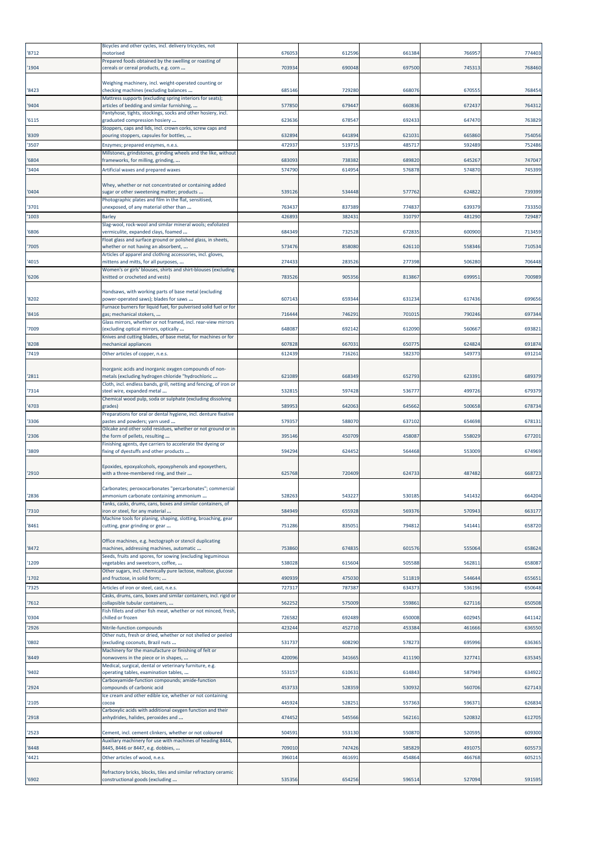| '8712          | Bicycles and other cycles, incl. delivery tricycles, not<br>motorised                                                                                        | 676053         | 612596           | 661384           | 76695            | 774403           |
|----------------|--------------------------------------------------------------------------------------------------------------------------------------------------------------|----------------|------------------|------------------|------------------|------------------|
| '1904          | Prepared foods obtained by the swelling or roasting of<br>cereals or cereal products, e.g. corn                                                              | 703934         | 690048           | 697500           | 745313           | 768460           |
|                | Weighing machinery, incl. weight-operated counting or                                                                                                        |                |                  |                  |                  |                  |
| '8423          | checking machines (excluding balances<br>Mattress supports (excluding spring interiors for seats);                                                           | 685146         | 729280           | 668076           | 67055            | 76845            |
| '9404          | articles of bedding and similar furnishing,                                                                                                                  | 577850         | 679447           | 660836           | 672437           | 764312           |
| '6115          | Pantyhose, tights, stockings, socks and other hosiery, incl.<br>graduated compression hosiery                                                                | 623636         | 678547           | 692433           | 647470           | 763829           |
| '8309          | Stoppers, caps and lids, incl. crown corks, screw caps and<br>pouring stoppers, capsules for bottles,                                                        | 632894         | 641894           | 621031           | 665860           | 754056           |
| '3507          | Enzymes; prepared enzymes, n.e.s.<br>Millstones, grindstones, grinding wheels and the like, without                                                          | 472937         | 519715           | 485717           | 592489           | 752486           |
| '6804          | frameworks, for milling, grinding,                                                                                                                           | 683093         | 738382           | 689820           | 645267           | 747047           |
| '3404          | Artificial waxes and prepared waxes                                                                                                                          | 57479          | 614954           | 576878           | 574870           | 745399           |
| '0404          | Whey, whether or not concentrated or containing added<br>sugar or other sweetening matter; products<br>Photographic plates and film in the flat, sensitised, | 539126         | 534448           | 577762           | 62482            | 739399           |
| '3701          | unexposed, of any material other than                                                                                                                        | 763437         | 837389           | 774837           | 639379           | 733350           |
| '1003          | Barley<br>Slag-wool, rock-wool and similar mineral wools; exfoliated                                                                                         | 426893         | 382431           | 310797           | 481290           | 729487           |
| '6806          | vermiculite, expanded clays, foamed<br>Float glass and surface ground or polished glass, in sheets,                                                          | 684349         | 732528           | 672835           | 600900           | 713459           |
| '7005          | whether or not having an absorbent,                                                                                                                          | 573476         | 858080           | 626110           | 55834            | 710534           |
| '4015          | Articles of apparel and clothing accessories, incl. gloves,<br>mittens and mitts, for all purposes,                                                          | 274433         | 283526           | 277398           | 506280           | 706448           |
| '6206          | Women's or girls' blouses, shirts and shirt-blouses (excluding<br>knitted or crocheted and vests)                                                            | 783526         | 905356           | 813867           | 69995            | 700989           |
|                | Handsaws, with working parts of base metal (excluding                                                                                                        |                |                  |                  |                  |                  |
| '8202          | power-operated saws); blades for saws<br>Furnace burners for liquid fuel, for pulverised solid fuel or for                                                   | 607143         | 659344           | 631234           | 617436           | 699656           |
| '8416          | gas; mechanical stokers,                                                                                                                                     | 716444         | 746291           | 701015           | 790246           | 697344           |
| '7009          | Glass mirrors, whether or not framed, incl. rear-view mirrors<br>(excluding optical mirrors, optically                                                       | 648087         | 692142           | 612090           | 560667           | 693821           |
| '8208          | Knives and cutting blades, of base metal, for machines or for<br>mechanical appliances                                                                       | 607828         | 66703            | 650775           | 624824           | 691874           |
| '7419          | Other articles of copper, n.e.s.                                                                                                                             | 612439         | 716261           | 582370           | 549773           | 691214           |
| '2811          | Inorganic acids and inorganic oxygen compounds of non-<br>metals (excluding hydrogen chloride "hydrochloric                                                  | 621089         | 668349           | 652793           | 62339            | 689379           |
| '7314          | Cloth, incl. endless bands, grill, netting and fencing, of iron or<br>steel wire, expanded metal                                                             | 53281          | 597428           | 536777           | 499726           | 679379           |
| '4703          | Chemical wood pulp, soda or sulphate (excluding dissolving<br>grades)                                                                                        | 58995          | 642063           | 645662           | 500658           | 678734           |
| '3306          | Preparations for oral or dental hygiene, incl. denture fixative<br>pastes and powders; yarn used                                                             | 57935          | 588070           | 637102           | 65469            | 678131           |
| '2306          | Oilcake and other solid residues, whether or not ground or in<br>the form of pellets, resulting                                                              | 395146         | 450709           | 458087           | 558029           | 677201           |
|                | Finishing agents, dye carriers to accelerate the dyeing or                                                                                                   |                |                  |                  |                  |                  |
| '3809          | fixing of dyestuffs and other products                                                                                                                       | 594294         | 624452           | 564468           | 553009           | 674969           |
| '2910          | Epoxides, epoxyalcohols, epoxyphenols and epoxyethers,<br>with a three-membered ring, and their                                                              | 625768         | 720409           | 624733           | 487482           | 668723           |
| '2836          | Carbonates; peroxocarbonates "percarbonates"; commercial<br>ammonium carbonate containing ammonium                                                           | 52826          | 543227           | 530185           | 541432           | 664204           |
| '7310          | Tanks, casks, drums, cans, boxes and similar containers, of<br>iron or steel, for any material                                                               | 58494          | 655928           | 569376           | 570943           | 663177           |
| '8461          | Machine tools for planing, shaping, slotting, broaching, gear<br>cutting, gear grinding or gear                                                              | 751286         | 835051           | 794812           | 541441           | 658720           |
|                |                                                                                                                                                              |                |                  |                  |                  |                  |
| '8472          | Office machines, e.g. hectograph or stencil duplicating<br>machines, addressing machines, automatic                                                          | 753860         | 674835           | 601576           | 555064           | 658624           |
| '1209          | Seeds, fruits and spores, for sowing (excluding leguminous<br>vegetables and sweetcorn, coffee,                                                              | 538028         | 615604           | 505588           | 562811           | 658087           |
| '1702          | Other sugars, incl. chemically pure lactose, maltose, glucose<br>and fructose, in solid form;                                                                | 490939         | 475030           | 511819           | 544644           | 655651           |
| '7325          | Articles of iron or steel, cast, n.e.s.                                                                                                                      | 72731          | 787387           | 634373           | 53619            | 650648           |
| '7612          | Casks, drums, cans, boxes and similar containers, incl. rigid or<br>collapsible tubular containers,                                                          | 56225          | 575009           | 559861           | 627116           | 650508           |
| '0304          | Fish fillets and other fish meat, whether or not minced, fresh,<br>chilled or frozen                                                                         | 72658          | 692489           | 650008           | 602945           | 641142           |
| '2926          | Nitrile-function compounds                                                                                                                                   | 42324          | 452710           | 453384           | 461666           | 636550           |
| '0802          | Other nuts, fresh or dried, whether or not shelled or peeled<br>(excluding coconuts, Brazil nuts                                                             | 531737         | 608290           | 578273           | 695996           | 636365           |
| '8449          | Machinery for the manufacture or finishing of felt or<br>nonwovens in the piece or in shapes,                                                                | 420096         | 341665           | 411190           | 327741           | 635345           |
| '9402          | Medical, surgical, dental or veterinary furniture, e.g.<br>operating tables, examination tables,                                                             | 553157         | 610631           | 614843           | 587949           | 634922           |
| '2924          | Carboxyamide-function compounds; amide-function<br>compounds of carbonic acid                                                                                | 45373          | 528359           | 530932           | 560706           | 627143           |
| '2105          | Ice cream and other edible ice, whether or not containing<br>cocoa                                                                                           | 44592          | 528251           | 557363           | 596371           | 626834           |
|                | Carboxylic acids with additional oxygen function and their                                                                                                   |                |                  |                  |                  |                  |
| '2918          | anhydrides, halides, peroxides and                                                                                                                           | 474452         | 545566           | 562161           | 520832           | 612705           |
| '2523          | Cement, incl. cement clinkers, whether or not coloured<br>Auxiliary machinery for use with machines of heading 8444,                                         | 504591         | 553130           | 550870           | 520595           | 609300           |
| '8448<br>'4421 | 8445, 8446 or 8447, e.g. dobbies,<br>Other articles of wood, n.e.s.                                                                                          | 70901<br>39601 | 747426<br>461691 | 585829<br>454864 | 491075<br>466768 | 605573<br>605215 |
|                |                                                                                                                                                              |                |                  |                  |                  |                  |
| '6902          | Refractory bricks, blocks, tiles and similar refractory ceramic<br>constructional goods (excluding                                                           | 535356         | 654256           | 596514           | 527094           | 591595           |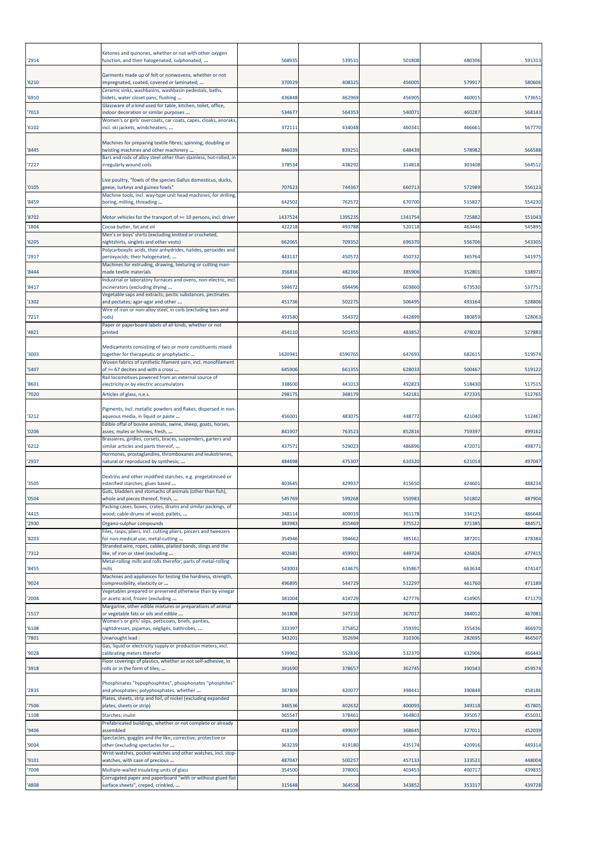| '2914          | Ketones and quinones, whether or not with other oxygen<br>function, and their halogenated, sulphonated,  | 568935  | 53953:  | 501808  | 480306 | 591313 |
|----------------|----------------------------------------------------------------------------------------------------------|---------|---------|---------|--------|--------|
| '6210          | Garments made up of felt or nonwovens, whether or not<br>impregnated, coated, covered or laminated;      | 370029  | 40832   | 456005  | 579917 | 580606 |
| '6910          | Ceramic sinks, washbasins, washbasin pedestals, baths,<br>bidets, water closet pans, flushing            | 436848  | 462969  | 456905  | 460015 | 57365  |
| '7013          | Glassware of a kind used for table, kitchen, toilet, office,<br>indoor decoration or similar purposes    | 534677  | 564353  | 540071  | 460287 | 568143 |
| '6102          | Women's or girls' overcoats, car coats, capes, cloaks, anoraks,<br>incl. ski jackets, windcheaters,      | 372111  | 434048  | 460341  | 466661 | 567770 |
| '8445          | Machines for preparing textile fibres; spinning, doubling or<br>twisting machines and other machinery    | 846039  | 83925   | 648439  | 578982 | 566588 |
| '7227          | Bars and rods of alloy steel other than stainless, hot-rolled, in<br>irregularly wound coils             | 37853   | 438292  | 314818  | 303408 | 564512 |
| '0105          | Live poultry, "fowls of the species Gallus domesticus, ducks,<br>geese, turkeys and guinea fowls"        | 707623  | 744367  | 660713  | 572989 | 556123 |
| '8459          | Machine tools, incl. way-type unit head machines, for drilling,<br>boring, milling, threading            | 642502  | 762572  | 670700  | 515827 | 554230 |
|                | Motor vehicles for the transport of >= 10 persons, incl. driver                                          | 1437524 | 1395235 | 1341754 | 725882 | 551043 |
| '8702<br>'1804 | Cocoa butter, fat and oil                                                                                | 42221   | 493788  | 520118  | 463446 | 545895 |
| '6205          | Men's or boys' shirts (excluding knitted or crocheted,<br>nightshirts, singlets and other vests)         | 662065  | 709352  | 696370  | 556706 | 54330  |
| '2917          | Polycarboxylic acids, their anhydrides, halides, peroxides and<br>peroxyacids; their halogenated,        | 443137  | 450572  | 450732  | 365764 | 541975 |
| '8444          | Machines for extruding, drawing, texturing or cutting man-<br>made textile materials                     | 356816  | 482366  | 385906  | 352801 | 53897  |
| '8417          | Industrial or laboratory furnaces and ovens, non-electric, incl.<br>incinerators (excluding drying       | 594672  | 694496  | 603860  | 673530 | 53775  |
| '1302          | Vegetable saps and extracts; pectic substances, pectinates<br>and pectates; agar-agar and other          | 451736  | 50227   | 506495  | 493164 | 528806 |
| '7217          | Wire of iron or non-alloy steel, in coils (excluding bars and<br>rods)                                   | 493580  | 554372  | 442899  | 380859 | 528063 |
|                | Paper or paperboard labels of all kinds, whether or not                                                  |         |         |         |        |        |
| '4821          | printed                                                                                                  | 454110  | 50145   | 483852  | 478028 | 52788  |
| '3003          | Medicaments consisting of two or more constituents mixed<br>together for therapeutic or prophylactic     | 1620941 | 6590765 | 647693  | 682615 | 519574 |
| '5407          | Woven fabrics of synthetic filament yarn, incl. monofilament<br>of >= 67 decitex and with a cross        | 645906  | 66135   | 628033  | 500467 | 519122 |
| '8601          | Rail locomotives powered from an external source of<br>electricity or by electric accumulators           | 338600  | 441013  | 492823  | 518430 | 517515 |
| '7020          | Articles of glass, n.e.s.                                                                                | 29817   | 368179  | 542181  | 472335 | 512765 |
| '3212          | Pigments, incl. metallic powders and flakes, dispersed in non-<br>aqueous media, in liquid or paste      | 456001  | 48307   | 448772  | 421040 | 512467 |
| '0206          | Edible offal of bovine animals, swine, sheep, goats, horses,<br>asses, mules or hinnies, fresh,          | 841907  | 763523  | 852816  | 759397 | 499162 |
| '6212          | Brassieres, girdles, corsets, braces, suspenders, garters and<br>similar articles and parts thereof,     | 437571  | 529023  | 486896  | 472071 | 49877  |
| '2937          | Hormones, prostaglandins, thromboxanes and leukotrienes,<br>natural or reproduced by synthesis;          | 484698  | 475307  | 610320  | 621014 | 497047 |
| '3505          | Dextrins and other modified starches, e.g. pregelatinised or<br>esterified starches; glues based         | 403645  | 429937  | 415650  | 424601 | 488234 |
| '0504          | Guts, bladders and stomachs of animals (other than fish),<br>whole and pieces thereof, fresh,            | 545769  | 599268  | 550983  | 501802 | 487904 |
| '4415          | Packing cases, boxes, crates, drums and similar packings, of<br>wood; cable-drums of wood; pallets,      | 34811   | 409019  | 361178  | 334125 | 486648 |
| '2930          | Organo-sulphur compounds                                                                                 | 38398   | 455469  | 375522  | 371385 | 484571 |
| '8203          | Files, rasps, pliers, incl. cutting pliers, pincers and tweezers<br>for non-medical use, metal-cutting   | 354946  | 394662  | 385161  | 387201 | 478384 |
| '7312          | Stranded wire, ropes, cables, plaited bands, slings and the<br>like, of iron or steel (excluding         | 402681  | 45990   | 449724  | 426826 | 477415 |
| '8455          | Metal-rolling mills and rolls therefor; parts of metal-rolling<br>mills                                  | 543003  | 61467   | 635867  | 663634 | 474147 |
| '9024          | Machines and appliances for testing the hardness, strength,<br>compressibility, elasticity or            | 496895  | 544729  | 512297  | 461760 | 471189 |
| '2004          | Vegetables prepared or preserved otherwise than by vinegar<br>or acetic acid, frozen (excluding          | 381004  | 414729  | 427776  | 414905 | 471170 |
| '1517          | Margarine, other edible mixtures or preparations of animal<br>or vegetable fats or oils and edible       | 361808  | 347210  | 367017  | 384012 | 467081 |
| '6108          | Women's or girls' slips, petticoats, briefs, panties,<br>nightdresses, pyjamas, négligés, bathrobes,     | 333397  | 375852  | 359391  | 355436 | 466970 |
| '7801          | Unwrought lead:                                                                                          | 34320   | 352694  | 310306  | 282695 | 46650  |
| '9028          | Gas, liquid or electricity supply or production meters, incl.<br>calibrating meters therefor             | 539962  | 552830  | 532370  | 432906 | 466443 |
| '3918          | Floor coverings of plastics, whether or not self-adhesive, in<br>rolls or in the form of tiles;          | 391690  | 378657  | 362745  | 390343 | 459574 |
| '2835          | Phosphinates "hypophosphites", phosphonates "phosphites"<br>and phosphates; polyphosphates, whether      | 387809  | 420077  | 398441  | 390848 | 458186 |
| '7506          | Plates, sheets, strip and foil, of nickel (excluding expanded<br>plates, sheets or strip)                | 346536  | 402632  | 400093  | 349118 | 457805 |
| '1108          | Starches; inulin                                                                                         | 365547  | 37846   | 364803  | 395057 | 455031 |
| '9406          | Prefabricated buildings, whether or not complete or already<br>assembled                                 | 418109  | 499697  | 368645  | 327011 | 452039 |
| '9004          | Spectacles, goggles and the like, corrective, protective or<br>other (excluding spectacles for           | 363239  | 419180  | 435174  | 420916 | 449314 |
| '9101          | Wrist-watches, pocket-watches and other watches, incl. stop-<br>watches, with case of precious           | 487047  | 500257  | 457133  | 333521 | 448004 |
| '7008          | Multiple-walled insulating units of glass<br>Corrugated paper and paperboard "with or without glued flat | 354500  | 378001  | 403453  | 400717 | 439835 |
| '4808          | surface sheets", creped, crinkled,                                                                       | 315648  | 364558  | 343852  | 353317 | 439728 |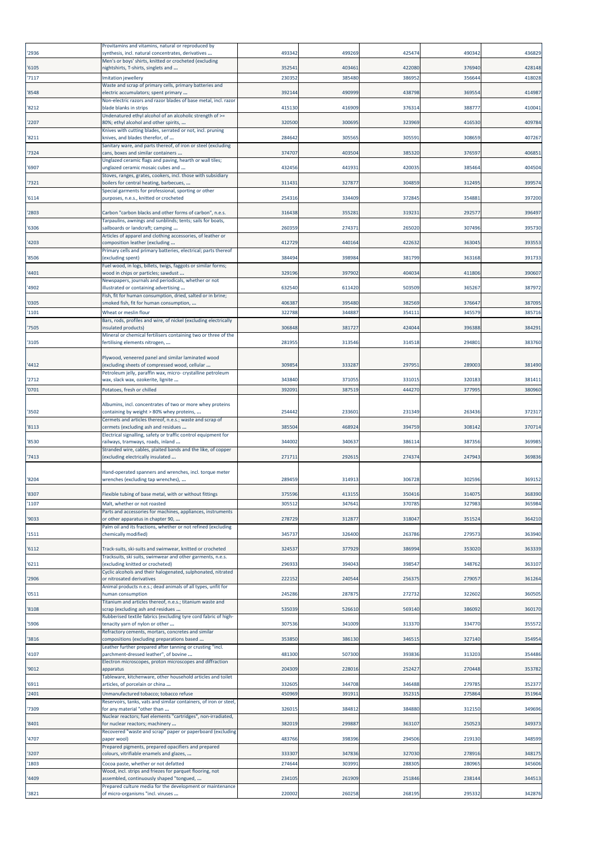| '2936          | Provitamins and vitamins, natural or reproduced by<br>synthesis, incl. natural concentrates, derivatives | 493342           | 499269           | 425474           | 490342           | 436829           |
|----------------|----------------------------------------------------------------------------------------------------------|------------------|------------------|------------------|------------------|------------------|
| '6105          | Men's or boys' shirts, knitted or crocheted (excluding<br>nightshirts, T-shirts, singlets and            | 352541           | 403461           | 422080           | 376940           | 428148           |
| '7117          | <b>Imitation jewellery</b><br>Waste and scrap of primary cells, primary batteries and                    | 23035            | 385480           | 386952           | 356644           | 418028           |
| '8548          | electric accumulators; spent primary                                                                     | 392144           | 490999           | 438798           | 369554           | 414987           |
| '8212          | Non-electric razors and razor blades of base metal, incl. razor<br>blade blanks in strips                | 415130           | 416909           | 376314           | 38877            | 410041           |
| '2207          | Undenatured ethyl alcohol of an alcoholic strength of >=<br>80%; ethyl alcohol and other spirits,        | 320500           | 300695           | 323969           | 416530           | 409784           |
| '8211          | Knives with cutting blades, serrated or not, incl. pruning<br>knives, and blades therefor, of            | 284642           | 30556            | 305591           | 308659           | 407267           |
| '7324          | Sanitary ware, and parts thereof, of iron or steel (excluding<br>cans, boxes and similar containers      | 374707           | 403504           | 385320           | 376597           | 406851           |
| '6907          | Unglazed ceramic flags and paving, hearth or wall tiles;<br>unglazed ceramic mosaic cubes and            | 432456           | 441931           | 420035           | 385464           | 404504           |
| '7321          | Stoves, ranges, grates, cookers, incl. those with subsidiary<br>boilers for central heating, barbecues,  | 311431           | 327877           | 304859           | 312495           | 399574           |
| '6114          | Special garments for professional, sporting or other<br>purposes, n.e.s., knitted or crocheted           | 254316           | 334409           | 372845           | 354881           | 397200           |
| '2803          | Carbon "carbon blacks and other forms of carbon", n.e.s.                                                 | 316438           | 35528            | 31923:           | 292577           | 396497           |
| '6306          | Tarpaulins, awnings and sunblinds; tents; sails for boats,<br>sailboards or landcraft; camping           | 260359           | 27437            | 265020           | 307496           | 395730           |
| '4203          | Articles of apparel and clothing accessories, of leather or<br>composition leather (excluding            | 412729           | 440164           | 422632           | 363045           | 393553           |
| '8506          | Primary cells and primary batteries, electrical; parts thereof<br>(excluding spent)                      | 384494           | 398984           | 381799           | 363168           | 391733           |
| '4401          | Fuel wood, in logs, billets, twigs, faggots or similar forms;<br>wood in chips or particles; sawdust     | 329196           | 397902           | 404034           | 411806           | 390607           |
|                | Newspapers, journals and periodicals, whether or not                                                     |                  |                  |                  |                  |                  |
| '4902          | illustrated or containing advertising<br>Fish, fit for human consumption, dried, salted or in brine;     | 632540           | 611420           | 503509           | 365267           | 387972           |
| '0305<br>'1101 | smoked fish, fit for human consumption,<br>Wheat or meslin flour                                         | 406387<br>322788 | 395480<br>344887 | 382569<br>354111 | 376647<br>345579 | 387095<br>385716 |
| '7505          | Bars, rods, profiles and wire, of nickel (excluding electrically<br>insulated products)                  | 306848           | 381727           | 424044           | 396388           | 384291           |
| '3105          | Mineral or chemical fertilisers containing two or three of the<br>fertilising elements nitrogen,         | 281955           | 313546           | 314518           | 294801           | 383760           |
|                | Plywood, veneered panel and similar laminated wood                                                       |                  |                  |                  |                  |                  |
| '4412          | (excluding sheets of compressed wood, cellular                                                           | 309854           | 333287           | 297951           | 289003           | 381490           |
| '2712          | Petroleum jelly, paraffin wax, micro- crystalline petroleum<br>wax, slack wax, ozokerite, lignite        | 343840           | 371055           | 331015           | 320183           | 381411           |
| '0701          | Potatoes, fresh or chilled                                                                               | 392091           | 387519           | 444270           | 377995           | 380960           |
| '3502          | Albumins, incl. concentrates of two or more whey proteins<br>containing by weight > 80% whey proteins,   | 254442           | 23360            | 231349           | 263436           | 372317           |
| '8113          | Cermets and articles thereof, n.e.s.; waste and scrap of<br>cermets (excluding ash and residues          | 385504           | 468924           | 394759           | 308142           | 370714           |
|                | Electrical signalling, safety or traffic control equipment for                                           |                  |                  |                  |                  |                  |
| '8530          | railways, tramways, roads, inland<br>Stranded wire, cables, plaited bands and the like, of copper        | 344002           | 340637           | 386114           | 387356           | 369985           |
| '7413          | (excluding electrically insulated                                                                        | 271711           | 292615           | 274374           | 247943           | 369836           |
| '8204          | Hand-operated spanners and wrenches, incl. torque meter<br>wrenches (excluding tap wrenches),            | 289459           | 314913           | 306728           | 302596           | 369152           |
| '8307          | lexible tubing of base metal, with or without fittings                                                   | 375591           | 41315            | 350416           | 31407            | 308390           |
| '1107          | Malt, whether or not roasted<br>Parts and accessories for machines, appliances, instruments              | 305512           | 34764            | 370785           | 327983           | 365984           |
| '9033          | or other apparatus in chapter 90,<br>Palm oil and its fractions, whether or not refined (excluding       | 278729           | 312877           | 318047           | 351524           | 364210           |
| '1511          | chemically modified)                                                                                     | 345737           | 326400           | 263786           | 279573           | 363940           |
| '6112          | Track-suits, ski-suits and swimwear, knitted or crocheted                                                | 324537           | 377929           | 386994           | 353020           | 363339           |
| '6211          | Tracksuits, ski suits, swimwear and other garments, n.e.s.<br>(excluding knitted or crocheted)           | 296933           | 394043           | 398547           | 348762           | 363107           |
| '2906          | Cyclic alcohols and their halogenated, sulphonated, nitrated<br>or nitrosated derivatives                | 222152           | 24054            | 256375           | 279057           | 361264           |
| '0511          | Animal products n.e.s.; dead animals of all types, unfit for<br>human consumption                        | 245286           | 28787            | 272732           | 322602           | 360505           |
| '8108          | Titanium and articles thereof, n.e.s.; titanium waste and<br>scrap (excluding ash and residues           | 535039           | 526610           | 569140           | 386092           | 360170           |
| '5906          | Rubberised textile fabrics (excluding tyre cord fabric of high-<br>tenacity yarn of nylon or other       | 307536           | 341009           | 313370           | 334770           | 355572           |
| '3816          | Refractory cements, mortars, concretes and similar<br>compositions (excluding preparations based         | 353850           | 386130           | 346515           | 327140           | 354954           |
| '4107          | Leather further prepared after tanning or crusting "incl.<br>parchment-dressed leather", of bovine       | 481300           | 507300           | 393836           | 313203           | 354486           |
| '9012          | Electron microscopes, proton microscopes and diffraction<br>apparatus                                    | 204309           | 228016           | 252427           | 270448           | 353782           |
| '6911          | Tableware, kitchenware, other household articles and toilet<br>articles, of porcelain or china           | 332605           | 344708           | 346488           | 279785           | 352377           |
| '2401          | Unmanufactured tobacco; tobacco refuse                                                                   | 450969           | 39191            | 352315           | 275864           | 351964           |
| '7309          | Reservoirs, tanks, vats and similar containers, of iron or steel,<br>for any material "other than        | 326015           | 38481            | 384880           | 312150           | 349696           |
| '8401          | Nuclear reactors; fuel elements "cartridges", non-irradiated,<br>for nuclear reactors; machinery         | 382019           | 299887           | 363107           | 250523           | 349373           |
| '4707          | Recovered "waste and scrap" paper or paperboard (excluding<br>paper wool)                                | 483766           | 398396           | 294506           | 219130           | 348599           |
| '3207          | Prepared pigments, prepared opacifiers and prepared<br>colours, vitrifiable enamels and glazes,          | 333307           | 347836           | 327030           | 278916           | 348175           |
| '1803          | Cocoa paste, whether or not defatted<br>Wood, incl. strips and friezes for parquet flooring, not         | 274644           | 303991           | 288305           | 280965           | 345606           |
| '4409          | assembled, continuously shaped "tongued,                                                                 | 234105           | 261909           | 251846           | 238144           | 344513           |
| '3821          | Prepared culture media for the development or maintenance<br>of micro-organisms "incl. viruses           | 220002           | 260258           | 268195           | 295332           | 342876           |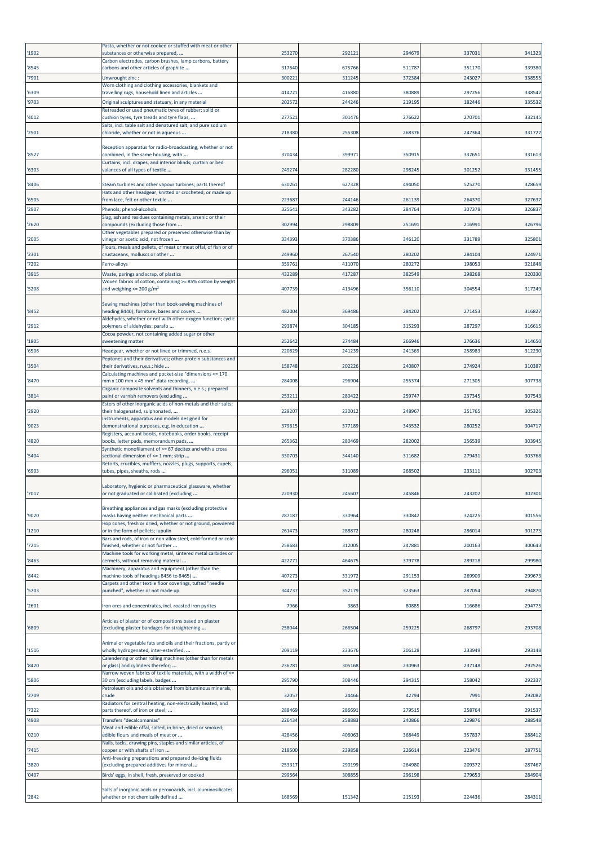|       | Pasta, whether or not cooked or stuffed with meat or other                                                           |                 |                  |                  |                  |                 |
|-------|----------------------------------------------------------------------------------------------------------------------|-----------------|------------------|------------------|------------------|-----------------|
| '1902 | substances or otherwise prepared,<br>Carbon electrodes, carbon brushes, lamp carbons, battery                        | 253270          | 29212            | 294679           | 337031           | 341323          |
| '8545 | carbons and other articles of graphite                                                                               | 317540          | 675766           | 511787           | 351170           | 339380          |
| '7901 | Unwrought zinc:                                                                                                      | 300221          | 31124            | 372384           | 243027           | 338555          |
| '6309 | Worn clothing and clothing accessories, blankets and<br>travelling rugs, household linen and articles                | 414721          | 416880           | 380889           | 297256           | 338542          |
| '9703 | Original sculptures and statuary, in any material                                                                    | 20257           | 24424            | 219195           | 182446           | 335532          |
| '4012 | Retreaded or used pneumatic tyres of rubber; solid or<br>cushion tyres, tyre treads and tyre flaps,                  | 27752           | 301476           | 276622           | 270701           | 33214           |
| '2501 | Salts, incl. table salt and denatured salt, and pure sodium<br>chloride, whether or not in aqueous                   | 218380          | 255308           | 268376           | 247364           | 331727          |
| '8527 | Reception apparatus for radio-broadcasting, whether or not<br>combined, in the same housing, with                    | 370434          | 39997            | 350915           | 332651           | 33161           |
| '6303 | Curtains, incl. drapes, and interior blinds; curtain or bed<br>valances of all types of textile                      | 24927           | 282280           | 298245           | 301252           | 33145           |
|       |                                                                                                                      | 630261          | 627328           | 494050           |                  | 328659          |
| '8406 | Steam turbines and other vapour turbines; parts thereof<br>Hats and other headgear, knitted or crocheted, or made up |                 |                  |                  | 525270           |                 |
| '6505 | from lace, felt or other textile                                                                                     | 223687<br>32564 | 244146<br>343282 | 261139<br>284764 | 264370<br>307378 | 327637<br>32683 |
| '2907 | Phenols; phenol-alcohols<br>Slag, ash and residues containing metals, arsenic or their                               |                 |                  |                  |                  |                 |
| '2620 | compounds (excluding those from<br>Other vegetables prepared or preserved otherwise than by                          | 302994          | 298809           | 251691           | 216991           | 326796          |
| '2005 | vinegar or acetic acid, not frozen<br>Flours, meals and pellets, of meat or meat offal, of fish or of                | 33439           | 370386           | 346120           | 331789           | 32580           |
| '2301 | crustaceans, molluscs or other                                                                                       | 249960          | 267540           | 280202           | 284104           | 32497           |
| '7202 | Ferro-alloys                                                                                                         | 35976           | 411070           | 280272           | 198053           | 321848          |
| '3915 | Waste, parings and scrap, of plastics                                                                                | 432289          | 417287           | 382549           | 298268           | 320330          |
| '5208 | Woven fabrics of cotton, containing >= 85% cotton by weight<br>and weighing $\leq$ 200 g/m <sup>2</sup>              | 407739          | 413496           | 356110           | 304554           | 317249          |
|       | Sewing machines (other than book-sewing machines of                                                                  |                 |                  |                  |                  |                 |
| '8452 | heading 8440); furniture, bases and covers<br>Aldehydes, whether or not with other oxygen function; cyclic           | 482004          | 369486           | 284202           | 271453           | 316827          |
| '2912 | polymers of aldehydes; parafo<br>Cocoa powder, not containing added sugar or other                                   | 293874          | 30418            | 315293           | 287297           | 31661           |
| '1805 | sweetening matter                                                                                                    | 252642          | 274484           | 266946           | 276636           | 314650          |
| '6506 | Headgear, whether or not lined or trimmed, n.e.s.<br>Peptones and their derivatives; other protein substances and    | 22082           | 241239           | 241369           | 258983           | 312230          |
| '3504 | their derivatives, n.e.s.; hide<br>Calculating machines and pocket-size "dimensions <= 170                           | 158748          | 202226           | 240807           | 274924           | 310387          |
| '8470 | mm x 100 mm x 45 mm" data recording,                                                                                 | 284008          | 296904           | 255374           | 271305           | 307738          |
| '3814 | Organic composite solvents and thinners, n.e.s.; prepared<br>paint or varnish removers (excluding                    | 253211          | 280422           | 259747           | 237345           | 307543          |
| '2920 | Esters of other inorganic acids of non-metals and their salts;<br>their halogenated, sulphonated,                    | 229207          | 230012           | 248967           | 251765           | 305326          |
| '9023 | Instruments, apparatus and models designed for<br>demonstrational purposes, e.g. in education                        | 37961           | 377189           | 343532           | 280252           | 30471           |
| '4820 | Registers, account books, notebooks, order books, receipt<br>books, letter pads, memorandum pads,                    | 265362          | 280469           | 282002           | 256539           | 30394           |
|       | Synthetic monofilament of >= 67 decitex and with a cross                                                             |                 |                  |                  |                  |                 |
| '5404 | sectional dimension of <= 1 mm; strip<br>Retorts, crucibles, mufflers, nozzles, plugs, supports, cupels,             | 330703          | 34414            | 311682           | 279431           | 303768          |
| '6903 | tubes, pipes, sheaths, rods                                                                                          | 296051          | 311089           | 268502           | 233111           | 302703          |
| 7017  | Laboratory, hygienic or pharmaceutical glassware, whether<br>or not graduated or calibrated (excluding               | 22093           | 24560            | 245846           | 243202           | 302301          |
| '9020 | Breathing appliances and gas masks (excluding protective<br>masks having neither mechanical parts                    | 287187          | 330964           | 330842           | 324225           | 301556          |
| '1210 | Hop cones, fresh or dried, whether or not ground, powdered<br>or in the form of pellets; lupulin                     | 261473          | 288872           | 280248           | 286014           | 301273          |
| '7215 | Bars and rods, of iron or non-alloy steel, cold-formed or cold-<br>finished, whether or not further                  | 258683          | 312005           | 247881           | 200163           | 300643          |
| '8463 | Machine tools for working metal, sintered metal carbides or<br>cermets, without removing material                    | 422771          | 464675           | 379778           | 289218           | 299980          |
| '8442 | Machinery, apparatus and equipment (other than the<br>machine-tools of headings 8456 to 8465)                        | 407273          | 331972           | 291153           | 269909           | 29967           |
| '5703 | Carpets and other textile floor coverings, tufted "needle<br>punched", whether or not made up                        | 344737          | 352179           | 323563           | 287054           | 294870          |
| '2601 | Iron ores and concentrates, incl. roasted iron pyrites                                                               | 7966            | 386              | 80885            | 116686           | 29477           |
|       | Articles of plaster or of compositions based on plaster                                                              |                 |                  |                  |                  |                 |
| '6809 | (excluding plaster bandages for straightening                                                                        | 258044          | 266504           | 259225           | 268797           | 293708          |
| '1516 | Animal or vegetable fats and oils and their fractions, partly or<br>wholly hydrogenated, inter-esterified,           | 209119          | 233676           | 206128           | 233949           | 293148          |
| '8420 | Calendering or other rolling machines (other than for metals<br>or glass) and cylinders therefor;                    | 236781          | 305168           | 230963           | 237148           | 292526          |
| '5806 | Narrow woven fabrics of textile materials, with a width of <=<br>30 cm (excluding labels, badges                     | 295790          | 308446           | 294315           | 258042           | 292337          |
|       | Petroleum oils and oils obtained from bituminous minerals,                                                           |                 |                  |                  |                  |                 |
| '2709 | crude<br>Radiators for central heating, non-electrically heated, and                                                 | 32057           | 24466            | 42794            | 7991             | 292082          |
| '7322 | parts thereof, of iron or steel;                                                                                     | 288469          | 28669            | 279515           | 258764           | 291537          |
| '4908 | Transfers "decalcomanias"<br>Meat and edible offal, salted, in brine, dried or smoked;                               | 22643           | 258883           | 240866           | 229876           | 288548          |
| '0210 | edible flours and meals of meat or<br>Nails, tacks, drawing pins, staples and similar articles, of                   | 428456          | 40606            | 368449           | 357837           | 288412          |
| '7415 | copper or with shafts of iron<br>Anti-freezing preparations and prepared de-icing fluids                             | 218600          | 239858           | 226614           | 223476           | 287751          |
| '3820 | (excluding prepared additives for mineral                                                                            | 253317          | 290199           | 264980           | 209372           | 287467          |
| '0407 | Birds' eggs, in shell, fresh, preserved or cooked                                                                    | 29956           | 30885            | 296198           | 279653           | 284904          |
|       | Salts of inorganic acids or peroxoacids, incl. aluminosilicates                                                      | 168569          |                  | 215193           | 224436           |                 |
| '2842 | whether or not chemically defined                                                                                    |                 | 151342           |                  |                  | 284311          |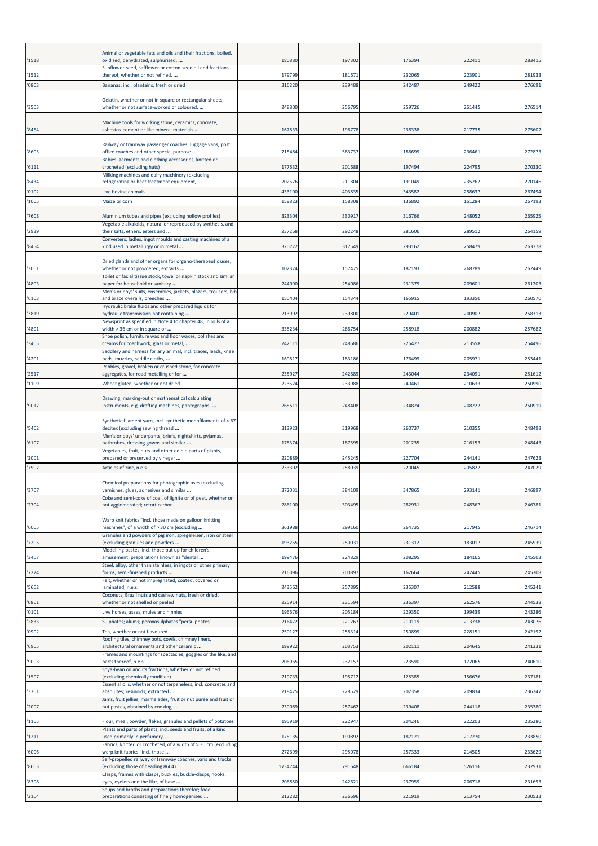| '1518          | Animal or vegetable fats and oils and their fractions, boiled,<br>oxidised, dehydrated, sulphurised,                                    | 180880           | 197302           | 176394           | 22241            | 283415           |
|----------------|-----------------------------------------------------------------------------------------------------------------------------------------|------------------|------------------|------------------|------------------|------------------|
| '1512          | Sunflower-seed, safflower or cotton-seed oil and fractions<br>thereof, whether or not refined,                                          | 179799           | 18167            | 232065           | 223901           | 281933           |
| '0803          |                                                                                                                                         | 316220           | 239488           | 242487           | 249422           | 276691           |
|                | Bananas, incl. plantains, fresh or dried                                                                                                |                  |                  |                  |                  |                  |
| '3503          | Gelatin, whether or not in square or rectangular sheets,<br>whether or not surface-worked or coloured,                                  | 248800           | 25679            | 259726           | 261445           | 276514           |
| '8464          | Machine tools for working stone, ceramics, concrete,<br>asbestos-cement or like mineral materials                                       | 167833           | 196778           | 238338           | 217735           | 275602           |
| '8605          | Railway or tramway passenger coaches, luggage vans, post<br>office coaches and other special purpose                                    | 715484           | 563737           | 186699           | 236461           | 272873           |
| '6111          | Babies' garments and clothing accessories, knitted or<br>crocheted (excluding hats)                                                     | 177632           | 201688           | 197494           | 224795           | 270330           |
| '8434          | Milking machines and dairy machinery (excluding<br>refrigerating or heat treatment equipment,                                           | 202576           | 211804           | 191049           | 235262           | 270146           |
| '0102          | Live bovine animals                                                                                                                     | 433100           | 40383            | 343582           | 288637           | 267494           |
| '1005          | Maize or corn                                                                                                                           | 159823           | 158308           | 136892           | 161284           | 267193           |
| '7608          | Aluminium tubes and pipes (excluding hollow profiles)                                                                                   | 323304           | 330917           | 316766           | 248052           | 265925           |
| '2939          | Vegetable alkaloids, natural or reproduced by synthesis, and<br>their salts, ethers, esters and                                         | 237268           | 292248           | 281606           | 289512           | 264159           |
| '8454          | Converters, ladles, ingot moulds and casting machines of a<br>kind used in metallurgy or in metal                                       | 320772           | 317549           | 293162           | 258479           | 263778           |
| '3001          | Dried glands and other organs for organo-therapeutic uses,<br>whether or not powdered; extracts                                         | 102374           | 157475           | 187193           | 268789           | 262449           |
| '4803          | Toilet or facial tissue stock, towel or napkin stock and similar<br>oaper for household or sanitary                                     | 244990           | 254086           | 231379           | 209601           | 261203           |
|                | Men's or boys' suits, ensembles, jackets, blazers, trousers, bib                                                                        |                  |                  |                  |                  |                  |
| '6103          | and brace overalls, breeches<br>Hydraulic brake fluids and other prepared liquids for                                                   | 150404           | 15434            | 165915           | 193350           | 260570           |
| '3819          | nydraulic transmission not containing<br>Newsprint as specified in Note 4 to chapter 48, in rolls of a                                  | 213992           | 239800           | 229401           | 200907           | 258313           |
| '4801          | width > 36 cm or in square or<br>Shoe polish, furniture wax and floor waxes, polishes and                                               | 338234           | 266754           | 258918           | 200882           | 257682           |
| '3405          | creams for coachwork, glass or metal,                                                                                                   | 242111           | 248686           | 225427           | 213558           | 254496           |
| '4201          | Saddlery and harness for any animal, incl. traces, leads, knee<br>pads, muzzles, saddle cloths,                                         | 169817           | 183186           | 176499           | 205971           | 253441           |
| '2517          | Pebbles, gravel, broken or crushed stone, for concrete<br>aggregates, for road metalling or for                                         | 235927           | 242889           | 243044           | 234091           | 251612           |
| '1109          | Wheat gluten, whether or not dried                                                                                                      | 223524           | 233988           | 240461           | 210633           | 250990           |
| '9017          | Drawing, marking-out or mathematical calculating<br>instruments, e.g. drafting machines, pantographs,                                   | 26551            | 248408           | 234824           | 208222           | 250919           |
| '5402          | Synthetic filament yarn, incl. synthetic monofilaments of < 67<br>decitex (excluding sewing thread                                      | 313923           | 319968           | 260737           | 210355           | 248498           |
| '6107          | Men's or boys' underpants, briefs, nightshirts, pyjamas,<br>bathrobes, dressing gowns and similar                                       | 178374           | 187595           | 201235           | 216153           | 248443           |
|                | Vegetables, fruit, nuts and other edible parts of plants,                                                                               |                  |                  |                  |                  |                  |
| '2001<br>'7907 | prepared or preserved by vinegar<br>Articles of zinc, n.e.s.                                                                            | 220889<br>233302 | 245245<br>258039 | 227704<br>220045 | 244141<br>205822 | 247623<br>247029 |
|                | Chemical preparations for photographic uses (excluding                                                                                  |                  |                  |                  |                  |                  |
| '3707          | varnishes, glues, adhesives and similar                                                                                                 | 372031           | 384109           | 347865           | 293141           | 246897           |
| '2704          | Coke and semi-coke of coal, of lignite or of peat, whether or<br>not agglomerated; retort carbon                                        | 286100           | 303495           | 282931           | 248367           | 246781           |
| '6005          | Warp knit fabrics "incl. those made on galloon knitting<br>machines", of a width of > 30 cm (excluding                                  | 361988           | 299160           | 264735           | 217945           | 246714           |
| '7205          | Granules and powders of pig iron, spiegeleisen, iron or steel<br>(excluding granules and powders                                        | 193255           | 25003            | 231312           | 183017           | 245939           |
| '3407          | Modelling pastes, incl. those put up for children's<br>amusement; preparations known as "dental                                         | 199476           | 224829           | 208295           | 184165           | 245503           |
| '7224          | Steel, alloy, other than stainless, in ingots or other primary<br>forms, semi-finished products                                         | 216096           | 200897           | 162664           | 242445           | 245308           |
| '5602          | Felt, whether or not impregnated, coated, covered or<br>laminated, n.e.s.                                                               | 243562           | 257895           | 235307           | 212588           | 245241           |
|                | Coconuts, Brazil nuts and cashew nuts, fresh or dried,                                                                                  |                  |                  |                  |                  |                  |
| '0801<br>'0101 | whether or not shelled or peeled<br>Live horses, asses, mules and hinnies                                                               | 225914<br>196676 | 231594<br>20518  | 236397<br>229350 | 262576<br>199439 | 244538<br>243286 |
| '2833          | Sulphates; alums; peroxosulphates "persulphates"                                                                                        | 216472           | 221267           | 210119           | 213738           | 243076           |
| '0902          | Tea, whether or not flavoured                                                                                                           | 250127           | 25831            | 250899           | 228151           | 242192           |
| '6905          | Roofing tiles, chimney pots, cowls, chimney liners,<br>architectural ornaments and other ceramic                                        | 199922           | 203753           | 202111           | 204645           | 241331           |
| '9003          | Frames and mountings for spectacles, goggles or the like, and<br>parts thereof, n.e.s.                                                  | 206965           | 232157           | 223590           | 172065           | 240610           |
| '1507          | Soya-bean oil and its fractions, whether or not refined<br>(excluding chemically modified)                                              | 219733           | 195712           | 125385           | 156676           | 237181           |
|                | Essential oils, whether or not terpeneless, incl. concretes and                                                                         |                  |                  |                  |                  |                  |
| '3301<br>'2007 | absolutes; resinoids; extracted<br>lams, fruit jellies, marmalades, fruit or nut purée and fruit or<br>nut pastes, obtained by cooking, | 218425<br>230089 | 228529<br>257462 | 202358<br>239408 | 209834<br>244118 | 236247<br>235380 |
| '1105          | Flour, meal, powder, flakes, granules and pellets of potatoes                                                                           | 195919           | 222947           | 204246           | 222203           | 235280           |
| '1211          | Plants and parts of plants, incl. seeds and fruits, of a kind<br>used primarily in perfumery,                                           | 175135           | 190892           | 18712:           | 217270           | 233850           |
| '6006          | Fabrics, knitted or crocheted, of a width of > 30 cm (excluding<br>warp knit fabrics "incl. those                                       | 272399           | 295078           | 257333           | 214505           | 233629           |
| '8603          | Self-propelled railway or tramway coaches, vans and trucks<br>(excluding those of heading 8604)                                         | 1734744          | 791648           | 666184           | 526116           | 232931           |
| '8308          | Clasps, frames with clasps, buckles, buckle-clasps, hooks,<br>eyes, eyelets and the like, of base                                       | 206850           | 242621           | 237959           | 206718           | 231693           |
| '2104          | Soups and broths and preparations therefor; food<br>preparations consisting of finely homogenised                                       | 212282           | 236696           | 221919           | 213754           | 230533           |
|                |                                                                                                                                         |                  |                  |                  |                  |                  |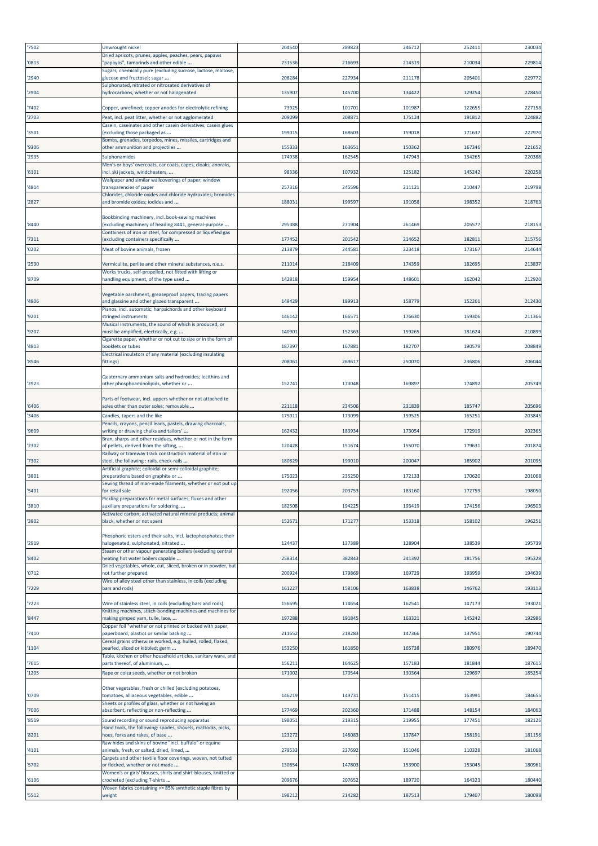| '7502 | Unwrought nickel                                                                                                           | 204540 | 289823 | 246712 | 252411 | 230034 |
|-------|----------------------------------------------------------------------------------------------------------------------------|--------|--------|--------|--------|--------|
| '0813 | Dried apricots, prunes, apples, peaches, pears, papaws<br>'papayas", tamarinds and other edible                            | 231536 | 216693 | 214319 | 210034 | 229814 |
| '2940 | Sugars, chemically pure (excluding sucrose, lactose, maltose,<br>glucose and fructose); sugar                              | 208284 | 227934 | 211178 | 205401 | 229772 |
|       | Sulphonated, nitrated or nitrosated derivatives of                                                                         |        |        |        |        |        |
| '2904 | hydrocarbons, whether or not halogenated                                                                                   | 13590  | 145700 | 134422 | 12925  | 228450 |
| '7402 | Copper, unrefined; copper anodes for electrolytic refining                                                                 | 73925  | 101701 | 101987 | 12265  | 227158 |
| '2703 | Peat, incl. peat litter, whether or not agglomerated<br>Casein, caseinates and other casein derivatives; casein glues      | 20909  | 20887  | 175124 | 19181  | 224882 |
| '3501 | (excluding those packaged as                                                                                               | 19901  | 168603 | 159018 | 171637 | 222970 |
| '9306 | Bombs, grenades, torpedos, mines, missiles, cartridges and<br>other ammunition and projectiles                             | 155333 | 163651 | 150362 | 167346 | 221652 |
| '2935 | Sulphonamides                                                                                                              | 174938 | 162545 | 147943 | 134265 | 220388 |
| '6101 | Men's or boys' overcoats, car coats, capes, cloaks, anoraks,<br>incl. ski jackets, windcheaters,                           | 98336  | 107932 | 125182 | 145242 | 220258 |
| '4814 | Wallpaper and similar wallcoverings of paper; window<br>transparencies of paper                                            | 25731  | 245596 | 21112  | 210447 | 219798 |
|       | Chlorides, chloride oxides and chloride hydroxides; bromides                                                               | 188031 |        | 191058 |        | 218763 |
| '2827 | and bromide oxides; iodides and                                                                                            |        | 199597 |        | 19835  |        |
| '8440 | Bookbinding machinery, incl. book-sewing machines<br>(excluding machinery of heading 8441, general-purpose                 | 295388 | 271904 | 261469 | 20557  | 218153 |
| '7311 | Containers of iron or steel, for compressed or liquefied gas<br>(excluding containers specifically                         | 17745  | 201542 | 214652 | 18281  | 215756 |
| '0202 | Meat of bovine animals, frozen                                                                                             | 213879 | 244581 | 223418 | 173167 | 21464  |
| '2530 | Vermiculite, perlite and other mineral substances, n.e.s.                                                                  | 21101  | 218409 | 174359 | 18269  | 213837 |
|       | Works trucks, self-propelled, not fitted with lifting or                                                                   |        |        |        |        |        |
| '8709 | handling equipment, of the type used                                                                                       | 142818 | 15995  | 14860  | 162042 | 212920 |
| '4806 | Vegetable parchment, greaseproof papers, tracing papers<br>and glassine and other glazed transparent                       | 149429 | 18991  | 158779 | 152261 | 212430 |
| '9201 | Pianos, incl. automatic; harpsichords and other keyboard<br>stringed instruments                                           | 146142 | 16657  | 176630 | 159306 | 211366 |
|       | Musical instruments, the sound of which is produced, or                                                                    |        |        |        |        |        |
| '9207 | must be amplified, electrically, e.g.<br>Cigarette paper, whether or not cut to size or in the form of                     | 14090  | 152363 | 159265 | 181624 | 210899 |
| '4813 | booklets or tubes<br>Electrical insulators of any material (excluding insulating                                           | 18739  | 167881 | 182707 | 19057  | 208849 |
| '8546 | fittings)                                                                                                                  | 208061 | 269617 | 250070 | 236806 | 20604  |
|       | Quaternary ammonium salts and hydroxides; lecithins and                                                                    |        |        |        |        |        |
| '2923 | other phosphoaminolipids, whether or                                                                                       | 152741 | 173048 | 169897 | 174892 | 205749 |
| '6406 | Parts of footwear, incl. uppers whether or not attached to<br>soles other than outer soles; removable                      | 221118 | 234506 | 231839 | 185747 | 205696 |
| '3406 | Candles, tapers and the like                                                                                               | 17501  | 173099 | 159525 | 165251 | 203845 |
| '9609 | Pencils, crayons, pencil leads, pastels, drawing charcoals,<br>writing or drawing chalks and tailors'                      | 162432 | 183934 | 173054 | 172919 | 20236  |
|       | Bran, sharps and other residues, whether or not in the form                                                                |        |        |        |        |        |
| '2302 | of pellets, derived from the sifting,<br>Railway or tramway track construction material of iron or                         | 120428 | 151674 | 155070 | 17963  | 20187  |
| '7302 | steel, the following : rails, check-rails<br>Artificial graphite; colloidal or semi-colloidal graphite;                    | 180829 | 199010 | 200047 | 185902 | 201095 |
| '3801 | preparations based on graphite or<br>Sewing thread of man-made filaments, whether or not put up                            | 17502  | 235250 | 172133 | 17062  | 201068 |
| '5401 | for retail sale                                                                                                            | 192056 | 203753 | 183160 | 172759 | 198050 |
| '3810 | Pickling preparations for metal surfaces; fluxes and other<br>auxiliary preparations for soldering,                        | 182508 | 194225 | 193419 | 174156 | 196503 |
| '3802 | Activated carbon; activated natural mineral products; animal<br>black, whether or not spent                                | 152671 | 171277 | 153318 | 158102 | 196251 |
|       |                                                                                                                            |        |        |        |        |        |
| '2919 | Phosphoric esters and their salts, incl. lactophosphates; their<br>halogenated, sulphonated, nitrated                      | 12443  | 137389 | 128904 | 138539 | 195739 |
| '8402 | Steam or other vapour generating boilers (excluding central<br>heating hot water boilers capable                           | 25831  | 382843 | 241392 | 18175  | 195328 |
| '0712 | Dried vegetables, whole, cut, sliced, broken or in powder, but<br>not further prepared                                     | 200924 | 179869 | 169729 | 193959 | 194639 |
|       | Wire of alloy steel other than stainless, in coils (excluding                                                              |        |        |        |        |        |
| '7229 | bars and rods)                                                                                                             | 16122  | 158106 | 163838 | 146762 | 193113 |
| '7223 | Wire of stainless steel, in coils (excluding bars and rods)<br>Knitting machines, stitch-bonding machines and machines for | 156695 | 174654 | 162541 | 147173 | 193021 |
| '8447 | making gimped yarn, tulle, lace,<br>Copper foil "whether or not printed or backed with paper,                              | 197288 | 191845 | 163321 | 145242 | 192986 |
| '7410 | paperboard, plastics or similar backing                                                                                    | 211652 | 218283 | 147366 | 13795  | 190744 |
| '1104 | Cereal grains otherwise worked, e.g. hulled, rolled, flaked,<br>pearled, sliced or kibbled; germ                           | 153250 | 161850 | 165738 | 180976 | 189470 |
| '7615 | Table, kitchen or other household articles, sanitary ware, and<br>parts thereof, of aluminium,                             | 156211 | 164625 | 157183 | 181844 | 187615 |
| '1205 | Rape or colza seeds, whether or not broken                                                                                 | 17100  | 170544 | 130364 | 12969  | 185254 |
|       | Other vegetables, fresh or chilled (excluding potatoes,                                                                    |        |        |        |        |        |
| '0709 | tomatoes, alliaceous vegetables, edible<br>Sheets or profiles of glass, whether or not having an                           | 146219 | 149731 | 151415 | 16399  | 184655 |
| '7006 | absorbent, reflecting or non-reflecting                                                                                    | 177469 | 202360 | 171488 | 14815  | 184063 |
| '8519 | Sound recording or sound reproducing apparatus<br>Hand tools, the following: spades, shovels, mattocks, picks,             | 19805  | 219315 | 21995  | 177451 | 182126 |
| '8201 | hoes, forks and rakes, of base                                                                                             | 12327  | 148083 | 137847 | 158191 | 181156 |
| '4101 | Raw hides and skins of bovine "incl. buffalo" or equine<br>animals, fresh, or salted, dried, limed,                        | 27953  | 237692 | 151046 | 110328 | 181068 |
| '5702 | Carpets and other textile floor coverings, woven, not tufted<br>or flocked, whether or not made                            | 130654 | 147803 | 153900 | 153045 | 180961 |
| '6106 | Women's or girls' blouses, shirts and shirt-blouses, knitted or<br>crocheted (excluding T-shirts                           | 209676 | 207652 | 189720 | 164323 | 180440 |
|       | Woven fabrics containing >= 85% synthetic staple fibres by                                                                 |        |        |        |        |        |
| '5512 | weight                                                                                                                     | 198212 | 214282 | 187513 | 179407 | 180098 |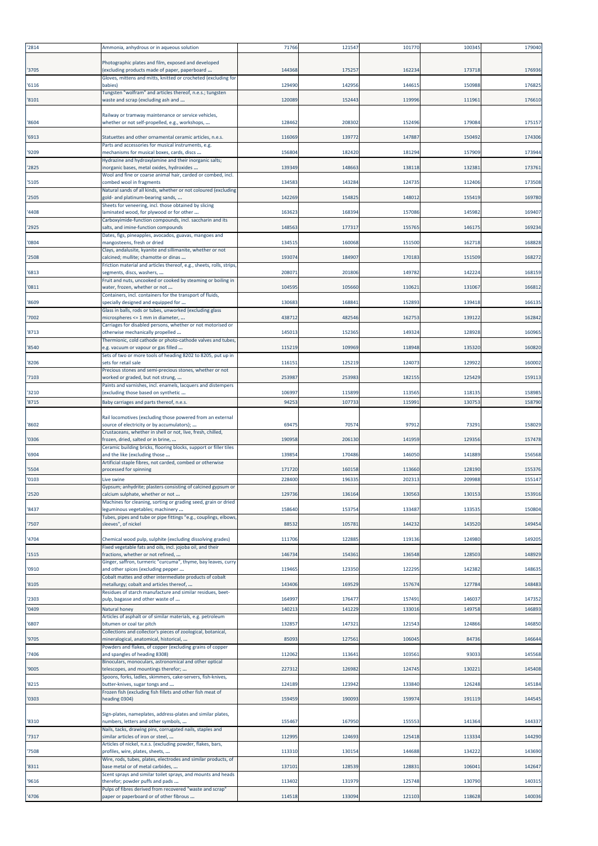| '2814          | Ammonia, anhydrous or in aqueous solution                                                                                                                         | 71766           | 121547           | 101770           | 10034         | 179040           |
|----------------|-------------------------------------------------------------------------------------------------------------------------------------------------------------------|-----------------|------------------|------------------|---------------|------------------|
| '3705          | Photographic plates and film, exposed and developed<br>(excluding products made of paper, paperboard                                                              | 144368          | 175257           | 162234           | 173718        | 176936           |
| '6116          | Gloves, mittens and mitts, knitted or crocheted (excluding for<br>babies)                                                                                         | 129490          | 142956           | 144615           | 150988        | 176825           |
| '8101          | Fungsten "wolfram" and articles thereof, n.e.s.; tungsten<br>waste and scrap (excluding ash and                                                                   | 120089          | 152443           | 119996           | 111961        | 176610           |
| '8604          | Railway or tramway maintenance or service vehicles,<br>whether or not self-propelled, e.g., workshops,                                                            | 128462          | 208302           | 152496           | 179084        | 17515            |
| '6913          | Statuettes and other ornamental ceramic articles, n.e.s.                                                                                                          | 116069          | 139772           | 147887           | 15049         | 174306           |
| '9209          | Parts and accessories for musical instruments, e.g.<br>mechanisms for musical boxes, cards, discs                                                                 | 156804          | 182420           | 181294           | 157909        | 17394            |
| '2825          | Hydrazine and hydroxylamine and their inorganic salts;<br>inorganic bases, metal oxides, hydroxides                                                               | 139349          | 148663           | 138118           | 132381        | 173761           |
| '5105          | Wool and fine or coarse animal hair, carded or combed, incl.<br>combed wool in fragments                                                                          | 134583          | 143284           | 124735           | 112406        | 173508           |
| '2505          | Natural sands of all kinds, whether or not coloured (excluding<br>gold- and platinum-bearing sands,                                                               | 142269          | 154825           | 148012           | 155419        | 169780           |
| '4408          | Sheets for veneering, incl. those obtained by slicing<br>laminated wood, for plywood or for other                                                                 | 163623          | 168394           | 157086           | 145982        | 169407           |
| '2925          | Carboxyimide-function compounds, incl. saccharin and its<br>salts, and imine-function compounds                                                                   | 148563          | 177317           | 155765           | 146175        | 169234           |
| '0804          | Dates, figs, pineapples, avocados, guavas, mangoes and<br>mangosteens, fresh or dried                                                                             | 134515          | 160068           | 151500           | 162718        | 168828           |
| '2508          | Clays, andalusite, kyanite and sillimanite, whether or not<br>calcined; mullite; chamotte or dinas                                                                | 19307           | 184907           | 170183           | 151509        | 168272           |
| '6813          | Friction material and articles thereof, e.g., sheets, rolls, strips,<br>segments, discs, washers,                                                                 | 20807           | 201806           | 149782           | 142224        | 168159           |
| '0811          | Fruit and nuts, uncooked or cooked by steaming or boiling in<br>water, frozen, whether or not                                                                     | 104595          | 105660           | 110621           | 131067        | 166812           |
| '8609          | Containers, incl. containers for the transport of fluids,<br>specially designed and equipped for                                                                  | 130683          | 168841           | 152893           | 139418        | 16613            |
| '7002          | Glass in balls, rods or tubes, unworked (excluding glass<br>microspheres <= 1 mm in diameter,                                                                     | 438712          | 482546           | 162753           | 139122        | 162842           |
| '8713          | Carriages for disabled persons, whether or not motorised or<br>otherwise mechanically propelled                                                                   | 145013          | 152365           | 149324           | 128928        | 160965           |
| '8540          | Thermionic, cold cathode or photo-cathode valves and tubes,<br>e.g. vacuum or vapour or gas filled                                                                | 115219          | 109969           | 118948           | 135320        | 160820           |
| '8206          | Sets of two or more tools of heading 8202 to 8205, put up in<br>sets for retail sale                                                                              | 11615           | 125219           | 124073           | 12992         | 160002           |
| '7103          | Precious stones and semi-precious stones, whether or not<br>worked or graded, but not strung,                                                                     | 25398           | 253983           | 182155           | 125429        | 159113           |
| '3210          | Paints and varnishes, incl. enamels, lacquers and distempers<br>(excluding those based on synthetic                                                               | 106997          | 115899           | 113565           | 118135        | 158985           |
| '8715          | Baby carriages and parts thereof, n.e.s.                                                                                                                          | 94253           | 107733           | 115991           | 130753        | 158790           |
| '8602          | Rail locomotives (excluding those powered from an external<br>source of electricity or by accumulators);                                                          | 69475           | 70574            | 97912            | 7329          | 158029           |
| '0306          | Crustaceans, whether in shell or not, live, fresh, chilled,<br>rozen, dried, salted or in brine,                                                                  | 190958          | 206130           | 141959           | 12935         | 157478           |
| '6904          | Ceramic building bricks, flooring blocks, support or filler tiles<br>and the like (excluding those                                                                | 139854          | 170486           | 146050           | 141889        | 156568           |
| '5504          | Artificial staple fibres, not carded, combed or otherwise<br>processed for spinning                                                                               | 171720          | 160158           | 113660           | 128190        | 155376           |
| '0103          | Live swine                                                                                                                                                        | 228400          | 19633            | 202313           | 209988        | 155147           |
| '2520          | Gypsum; anhydrite; plasters consisting of calcined gypsum or<br>:alcium sulphate, whether or not                                                                  | 129736          | 13616            | 13056:           | 13015         | 153916           |
| '8437          | Machines for cleaning, sorting or grading seed, grain or dried<br>leguminous vegetables; machinery                                                                | 158640          | 153754           | 133487           | 133535        | 150804           |
| '7507          | Tubes, pipes and tube or pipe fittings "e.g., couplings, elbows,<br>sleeves", of nickel                                                                           | 88532           | 105781           | 144232           | 143520        | 149454           |
| '4704          | Chemical wood pulp, sulphite (excluding dissolving grades)<br>Fixed vegetable fats and oils, incl. jojoba oil, and their                                          | 111706          | 122885           | 119136           | 124980        | 149205           |
| '1515          | ractions, whether or not refined,                                                                                                                                 | 14673           | 154361           | 136548           | 128503        | 148929           |
| '0910          | Ginger, saffron, turmeric "curcuma", thyme, bay leaves, curry<br>and other spices (excluding pepper                                                               | 119465          | 123350           | 122295           | 142382        | 148635           |
| '8105          | Cobalt mattes and other intermediate products of cobalt<br>metallurgy; cobalt and articles thereof,<br>Residues of starch manufacture and similar residues, beet- | 143406          | 169529           | 157674           | 127784        | 148483           |
| '2303          | pulp, bagasse and other waste of                                                                                                                                  | 164997          | 176477           | 157491           | 146037        | 147352           |
| '0409          | Natural honey<br>Articles of asphalt or of similar materials, e.g. petroleum                                                                                      | 14021           | 141229           | 133016           | 149758        | 146893           |
| '6807          | bitumen or coal tar pitch<br>Collections and collector's pieces of zoological, botanical,                                                                         | 13285           | 147321           | 121543           | 124866        | 146850           |
| '9705          | mineralogical, anatomical, historical,<br>Powders and flakes, of copper (excluding grains of copper                                                               | 85093<br>112062 | 127561<br>113641 | 106045<br>103561 | 84736<br>9303 | 146644<br>145568 |
| '7406<br>'9005 | and spangles of heading 8308)<br>Binoculars, monoculars, astronomical and other optical<br>telescopes, and mountings therefor;                                    | 227312          | 126982           | 124745           | 130221        | 145408           |
|                | Spoons, forks, ladles, skimmers, cake-servers, fish-knives,                                                                                                       |                 |                  |                  |               |                  |
| '8215          | butter-knives, sugar tongs and<br>Frozen fish (excluding fish fillets and other fish meat of                                                                      | 124189          | 123942           | 133840           | 126248        | 145184           |
| '0303          | heading 0304)<br>Sign-plates, nameplates, address-plates and similar plates,                                                                                      | 159459          | 190093           | 159974           | 191119        | 144545           |
| '8310          | numbers, letters and other symbols,<br>Nails, tacks, drawing pins, corrugated nails, staples and                                                                  | 155467          | 167950           | 155553           | 141364        | 144337           |
| '7317          | similar articles of iron or steel,<br>Articles of nickel, n.e.s. (excluding powder, flakes, bars,                                                                 | 112995          | 124693           | 125418           | 113334        | 144290           |
| '7508          | profiles, wire, plates, sheets,<br>Wire, rods, tubes, plates, electrodes and similar products, of                                                                 | 113310          | 130154           | 144688           | 134222        | 143690           |
| '8311          | base metal or of metal carbides,<br>Scent sprays and similar toilet sprays, and mounts and heads                                                                  | 137101          | 128539           | 128831           | 106041        | 142647           |
| '9616          | therefor; powder puffs and pads<br>Pulps of fibres derived from recovered "waste and scrap"                                                                       | 113402          | 131979           | 125748           | 130790        | 140315           |
| '4706          | paper or paperboard or of other fibrous                                                                                                                           | 114518          | 133094           | 121103           | 118628        | 140036           |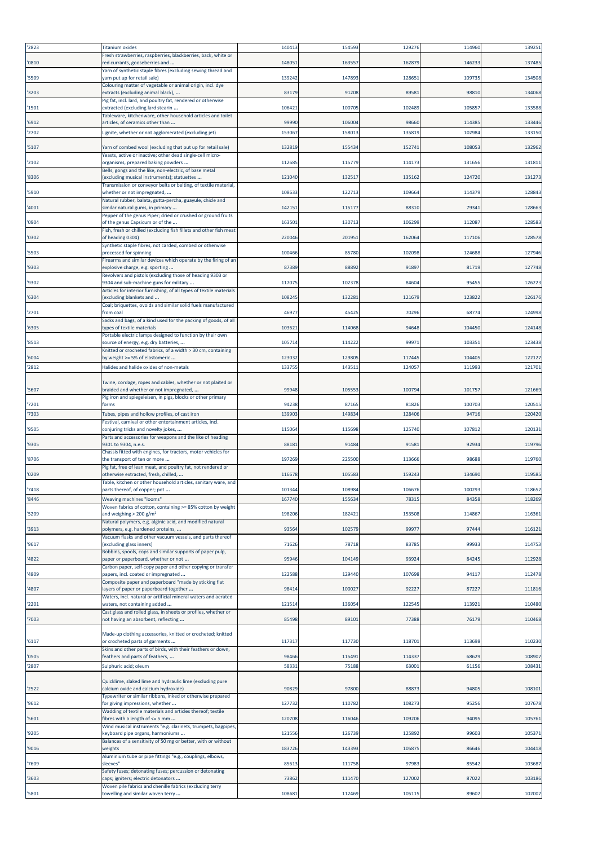| '2823          | <b>Titanium oxides</b>                                                                                        | 140413           | 154593           | 129276           | 11496            | 139251           |
|----------------|---------------------------------------------------------------------------------------------------------------|------------------|------------------|------------------|------------------|------------------|
| '0810          | Fresh strawberries, raspberries, blackberries, back, white or<br>ed currants, gooseberries and                | 14805            | 16355            | 162879           | 14623            | 137485           |
| '5509          | Yarn of synthetic staple fibres (excluding sewing thread and<br>varn put up for retail sale)                  | 139242           | 147893           | 128651           | 10973            | 134508           |
| '3203          | Colouring matter of vegetable or animal origin, incl. dye<br>extracts (excluding animal black),               | 83179            | 91208            | 8958             | 98810            | 134068           |
|                | Pig fat, incl. lard, and poultry fat, rendered or otherwise                                                   |                  |                  |                  |                  |                  |
| '1501          | extracted (excluding lard stearin<br>Tableware, kitchenware, other household articles and toilet              | 106421           | 100705           | 102489           | 10585            | 133588           |
| '6912<br>'2702 | articles, of ceramics other than<br>.ignite, whether or not agglomerated (excluding jet)                      | 99990<br>153067  | 106004<br>158013 | 98660<br>135819  | 114385<br>102984 | 133446<br>133150 |
| '5107          | Yarn of combed wool (excluding that put up for retail sale)                                                   | 132819           | 155434           | 152741           | 108053           | 132962           |
|                | Yeasts, active or inactive; other dead single-cell micro-                                                     | 112685           | 115779           | 114173           | 13165            | 131811           |
| '2102          | organisms, prepared baking powders<br>Bells, gongs and the like, non-electric, of base metal                  |                  |                  |                  |                  |                  |
| '8306          | excluding musical instruments); statuettes<br>Transmission or conveyor belts or belting, of textile material, | 121040           | 132517           | 135162           | 124720           | 131273           |
| '5910          | whether or not impregnated,<br>Natural rubber, balata, gutta-percha, guayule, chicle and                      | 10863            | 122713           | 109664           | 11437            | 12884            |
| '4001          | similar natural gums, in primary<br>Pepper of the genus Piper; dried or crushed or ground fruits              | 142151           | 115177           | 88310            | 79341            | 128663           |
| '0904          | of the genus Capsicum or of the<br>Fish, fresh or chilled (excluding fish fillets and other fish meat         | 16350            | 130713           | 106299           | 11208            | 12858            |
| '0302          | of heading 0304)<br>Synthetic staple fibres, not carded, combed or otherwise                                  | 220046           | 201951           | 162064           | 117106           | 128578           |
| '5503          | processed for spinning                                                                                        | 100466           | 85780            | 102098           | 12468            | 12794            |
| '9303          | Firearms and similar devices which operate by the firing of an<br>explosive charge, e.g. sporting             | 87389            | 88892            | 91897            | 81719            | 127748           |
| '9302          | Revolvers and pistols (excluding those of heading 9303 or<br>9304 and sub-machine guns for military           | 117075           | 102378           | 84604            | 9545             | 126223           |
| '6304          | Articles for interior furnishing, of all types of textile materials<br>excluding blankets and                 | 108245           | 132281           | 121679           | 12382            | 126176           |
| '2701          | Coal; briquettes, ovoids and similar solid fuels manufactured<br>rom coal                                     | 4697             | 45425            | 70296            | 68774            | 124998           |
| '6305          | Sacks and bags, of a kind used for the packing of goods, of all<br>vpes of textile materials                  | 10362            | 114068           | 94648            | 104450           | 124148           |
|                | Portable electric lamps designed to function by their own                                                     |                  |                  |                  |                  |                  |
| '8513          | ource of energy, e.g. dry batteries,<br>Knitted or crocheted fabrics, of a width > 30 cm, containing          | 10571            | 114222           | 9997:            | 10335            | 123438           |
| '6004<br>'2812 | by weight >= 5% of elastomeric<br>Halides and halide oxides of non-metals                                     | 123032<br>133755 | 129805<br>143511 | 117445<br>124057 | 104405<br>11199  | 122127<br>121701 |
|                |                                                                                                               |                  |                  |                  |                  |                  |
| '5607          | Twine, cordage, ropes and cables, whether or not plaited or<br>braided and whether or not impregnated,        | 99948            | 105553           | 100794           | 10175            | 121669           |
| '7201          | Pig iron and spiegeleisen, in pigs, blocks or other primary<br>forms                                          | 94238            | 87165            | 81826            | 100703           | 120519           |
| '7303          | Tubes, pipes and hollow profiles, of cast iron                                                                | 139903           | 149834           | 128406           | 9471             | 120420           |
| '9505          | Festival, carnival or other entertainment articles, incl.<br>conjuring tricks and novelty jokes,              | 115064           | 115698           | 125740           | 107812           | 120131           |
| '9305          | Parts and accessories for weapons and the like of heading<br>9301 to 9304, n.e.s.                             | 88181            | 91484            | 91581            | 92934            | 119796           |
| '8706          | Chassis fitted with engines, for tractors, motor vehicles for<br>the transport of ten or more                 | 197269           | 225500           | 113666           | 98688            | 119760           |
| '0209          | Pig fat, free of lean meat, and poultry fat, not rendered or<br>otherwise extracted, fresh, chilled,          | 11667            | 105583           | 159243           | 13469            | 119585           |
| '7418          | Table, kitchen or other household articles, sanitary ware, and<br>parts thereof, of copper; pot               | 101344           | 108984           | 106676           | 100293           | 118652           |
| '8446          | <b>Weaving machines "looms"</b>                                                                               | 167740           | 155634           | 78315            | 84358            | 118269           |
| '5209          | Woven fabrics of cotton, containing >= 85% cotton by weight<br>and weighing $> 200 g/m2$                      | 198206           | 182421           | 153508           | 114867           | 116361           |
| '3913          | Natural polymers, e.g. alginic acid, and modified natural<br>polymers, e.g. hardened proteins,                | 93564            | 102579           | 99977            | 97444            | 116121           |
| '9617          | Vacuum flasks and other vacuum vessels, and parts thereof<br>(excluding glass inners)                         | 71626            | 78718            | 83785            | 99933            | 114753           |
| '4822          | Bobbins, spools, cops and similar supports of paper pulp,<br>paper or paperboard, whether or not              | 95946            | 104149           | 93924            | 84245            | 112928           |
| '4809          | Carbon paper, self-copy paper and other copying or transfer<br>papers, incl. coated or impregnated            | 122588           | 129440           | 107698           | 94117            | 112478           |
| '4807          | Composite paper and paperboard "made by sticking flat<br>layers of paper or paperboard together               | 9841             | 100027           | 92227            | 87227            | 111816           |
| '2201          | Waters, incl. natural or artificial mineral waters and aerated<br>waters, not containing added                | 121514           | 136054           | 122545           | 113921           | 110480           |
| '7003          | Cast glass and rolled glass, in sheets or profiles, whether or<br>not having an absorbent, reflecting         | 85498            | 89101            | 77388            | 76179            | 110468           |
|                | Made-up clothing accessories, knitted or crocheted; knitted                                                   |                  |                  |                  |                  |                  |
| '6117          | or crocheted parts of garments<br>Skins and other parts of birds, with their feathers or down,                | 11731            | 117730           | 118701           | 11369            | 110230           |
| '0505<br>'2807 | feathers and parts of feathers,<br>Sulphuric acid; oleum                                                      | 98466<br>58331   | 115491<br>75188  | 114337<br>63001  | 68629<br>61156   | 108907<br>108431 |
|                | Quicklime, slaked lime and hydraulic lime (excluding pure                                                     |                  |                  |                  |                  |                  |
| '2522          | calcium oxide and calcium hydroxide)<br>Typewriter or similar ribbons, inked or otherwise prepared            | 90829            | 97800            | 88873            | 94805            | 108101           |
| '9612          | for giving impressions, whether<br>Wadding of textile materials and articles thereof; textile                 | 127732           | 110782           | 108273           | 95256            | 107678           |
| '5601          | fibres with a length of <= 5 mm                                                                               | 120708           | 116046           | 109206           | 94095            | 105761           |
| '9205          | Wind musical instruments "e.g. clarinets, trumpets, bagpipes,<br>keyboard pipe organs, harmoniums             | 121556           | 126739           | 125892           | 99603            | 105371           |
| '9016          | Balances of a sensitivity of 50 mg or better, with or without<br>weights                                      | 183726           | 143393           | 105875           | 86646            | 104418           |
| '7609          | Aluminium tube or pipe fittings "e.g., couplings, elbows,<br>sleeves"                                         | 85613            | 111758           | 97983            | 85542            | 103687           |
| '3603          | Safety fuses; detonating fuses; percussion or detonating<br>caps; igniters; electric detonators               | 73862            | 111470           | 127002           | 87022            | 103186           |
| '5801          | Woven pile fabrics and chenille fabrics (excluding terry<br>towelling and similar woven terry                 | 108681           | 112469           | 105115           | 89602            | 102007           |
|                |                                                                                                               |                  |                  |                  |                  |                  |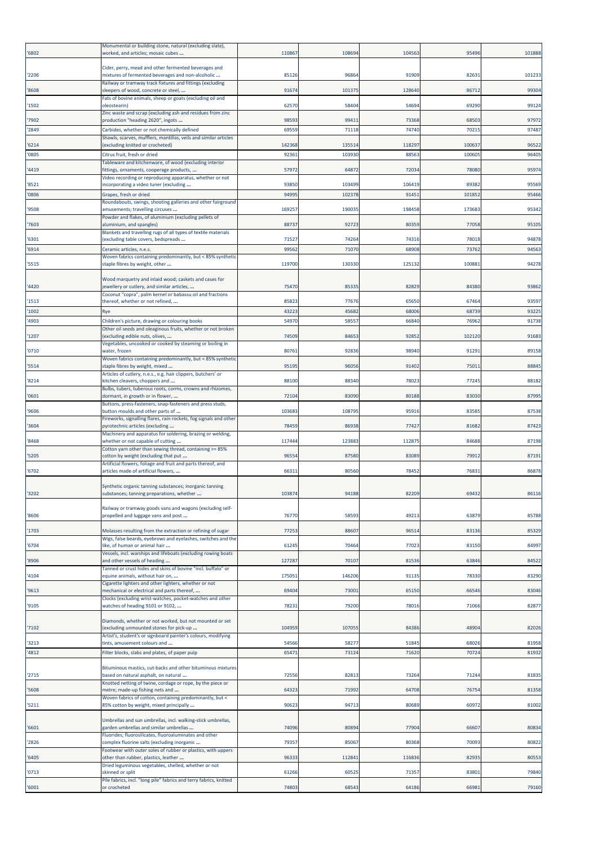| '6802          | Monumental or building stone, natural (excluding slate),<br>worked, and articles; mosaic cubes                 | 110867        | 108694           | 104563          | 95496           | 101888         |
|----------------|----------------------------------------------------------------------------------------------------------------|---------------|------------------|-----------------|-----------------|----------------|
| '2206          | Cider, perry, mead and other fermented beverages and<br>mixtures of fermented beverages and non-alcoholic      | 85126         | 96864            | 91909           | 8263            | 10123          |
| '8608          | Railway or tramway track fixtures and fittings (excluding<br>sleepers of wood, concrete or steel,              | 9167          | 10137            | 128640          | 86712           | 99304          |
| '1502          | Fats of bovine animals, sheep or goats (excluding oil and<br>oleostearin)                                      | 62570         | 58404            | 54694           | 69290           | 99124          |
| '7902          | Zinc waste and scrap (excluding ash and residues from zinc<br>production "heading 2620", ingots                | 98593         | 99411            | 73368           | 68503           | 97972          |
| '2849          | Carbides, whether or not chemically defined                                                                    | 69559         | 71118            | 74740           | 70215           | 97487          |
| '6214          | Shawls, scarves, mufflers, mantillas, veils and similar articles<br>(excluding knitted or crocheted)           | 142368        | 135514           | 118297          | 100637          | 96522          |
| '0805          | Citrus fruit, fresh or dried                                                                                   | 92361         | 103930           | 88563           | 100605          | 96405          |
| '4419          | Tableware and kitchenware, of wood (excluding interior<br>fittings, ornaments, cooperage products,             | 57972         | 64872            | 72034           | 78080           | 95974          |
|                | Video recording or reproducing apparatus, whether or not                                                       |               |                  |                 |                 |                |
| '8521<br>'0806 | incorporating a video tuner (excluding<br>Grapes, fresh or dried                                               | 93850<br>9499 | 103499<br>102378 | 106419<br>91451 | 89382<br>101852 | 95569<br>95466 |
|                | Roundabouts, swings, shooting galleries and other fairground<br>amusements; travelling circuses                | 16925         | 19003            | 198458          | 173683          | 95342          |
| '9508          | Powder and flakes, of aluminium (excluding pellets of                                                          |               |                  |                 |                 |                |
| '7603          | aluminium, and spangles)<br>Blankets and travelling rugs of all types of textile materials                     | 8873          | 92723            | 80359           | 77058           | 95105          |
| '6301          | (excluding table covers, bedspreads                                                                            | 71527         | 74264            | 74316           | 78018           | 94878          |
| '6914          | Ceramic articles, n.e.s.<br>Woven fabrics containing predominantly, but < 85% synthetic                        | 99562         | 7107             | 68908           | 73762           | 94563          |
| '5515          | staple fibres by weight, other                                                                                 | 119700        | 130330           | 125132          | 100881          | 94278          |
| '4420          | Wood marquetry and inlaid wood; caskets and cases for<br>jewellery or cutlery, and similar articles,           | 75470         | 8533             | 82829           | 84380           | 93862          |
| '1513          | Coconut "copra", palm kernel or babassu oil and fractions<br>thereof, whether or not refined,                  | 85823         | 77676            | 65650           | 67464           | 93597          |
| '1002          | Rye                                                                                                            | 43223         | 45682            | 68006           | 68739           | 93225          |
| '4903          | Children's picture, drawing or colouring books<br>Other oil seeds and oleaginous fruits, whether or not broken | 5497          | 5855             | 66840           | 76962           | 91738          |
| '1207          | (excluding edible nuts, olives,<br>Vegetables, uncooked or cooked by steaming or boiling in                    | 74509         | 84653            | 92852           | 102120          | 91683          |
| '0710          | water, frozen                                                                                                  | 80761         | 92836            | 98940           | 91291           | 89158          |
| '5514          | Woven fabrics containing predominantly, but < 85% synthetic<br>staple fibres by weight, mixed                  | 95195         | 96056            | 91402           | 75011           | 88845          |
| '8214          | Articles of cutlery, n.e.s., e.g. hair clippers, butchers' or<br>kitchen cleavers, choppers and                | 88100         | 88340            | 78023           | 77245           | 88182          |
| '0601          | Bulbs, tubers, tuberous roots, corms, crowns and rhizomes,<br>dormant, in growth or in flower,                 | 72104         | 83090            | 80188           | 83030           | 87995          |
| '9606          | Buttons, press-fasteners, snap-fasteners and press studs,<br>button moulds and other parts of                  | 103683        | 10879            | 95916           | 83585           | 87538          |
| '3604          | Fireworks, signalling flares, rain rockets, fog signals and other<br>pyrotechnic articles (excluding           | 78459         | 86938            | 77427           | 81682           | 87423          |
| '8468          | Machinery and apparatus for soldering, brazing or welding,<br>whether or not capable of cutting                | 11744         | 123883           | 112875          | 84688           | 87198          |
| '5205          | Cotton yarn other than sewing thread, containing >= 85%<br>cotton by weight (excluding that put                | 96554         | 87580            | 83089           | 79912           | 87191          |
| '6702          | Artificial flowers, foliage and fruit and parts thereof, and<br>articles made of artificial flowers,           | 66311         | 80560            | 78452           | 76831           | 86878          |
|                |                                                                                                                |               |                  |                 |                 |                |
| '3202          | Synthetic organic tanning substances; inorganic tanning<br>substances; tanning preparations, whether …         | 10387         | 94188            | 82209           | 6943            | 86116          |
| '8606          | Railway or tramway goods vans and wagons (excluding self-<br>propelled and luggage vans and post               | 76770         | 58593            | 49213           | 63879           | 85788          |
| '1703          | Molasses resulting from the extraction or refining of sugar                                                    | 77253         | 88607            | 96514           | 83136           | 85329          |
| '6704          | Wigs, false beards, eyebrows and eyelashes, switches and the<br>like, of human or animal hair                  | 61245         | 7046             | 77023           | 83150           | 84997          |
|                | Vessels, incl. warships and lifeboats (excluding rowing boats                                                  |               |                  |                 |                 |                |
| '8906          | and other vessels of heading<br>Tanned or crust hides and skins of bovine "incl. buffalo" or                   | 127287        | 70107            | 81536           | 63846           | 84522          |
| '4104          | equine animals, without hair on,<br>Cigarette lighters and other lighters, whether or not                      | 175051        | 146206           | 91135           | 78330           | 83290          |
| '9613          | mechanical or electrical and parts thereof,                                                                    | 69404         | 7300             | 65150           | 66546           | 83046          |
| '9105          | Clocks (excluding wrist-watches, pocket-watches and other<br>watches of heading 9101 or 9102,                  | 78231         | 79200            | 78016           | 71066           | 82877          |
|                | Diamonds, whether or not worked, but not mounted or set                                                        |               |                  |                 |                 |                |
| '7102          | (excluding unmounted stones for pick-up<br>Artist's, student's or signboard painter's colours, modifying       | 104959        | 10705            | 84386           | 48904           | 82026          |
| '3213          | tints, amusement colours and                                                                                   | 54566         | 5827             | 51845           | 68026           | 81958          |
| '4812          | Filter blocks, slabs and plates, of paper pulp                                                                 | 65471         | 73124            | 71620           | 70724           | 81932          |
| '2715          | Bituminous mastics, cut-backs and other bituminous mixtures<br>based on natural asphalt, on natural            | 72556         | 8281             | 73264           | 71244           | 81835          |
| '5608          | Knotted netting of twine, cordage or rope, by the piece or<br>metre; made-up fishing nets and                  | 64323         | 71992            | 64708           | 7675            | 81358          |
| '5211          | Woven fabrics of cotton, containing predominantly, but <<br>85% cotton by weight, mixed principally            | 90623         | 94713            | 80689           | 60972           | 81002          |
|                | Umbrellas and sun umbrellas, incl. walking-stick umbrellas,                                                    |               |                  |                 |                 |                |
| '6601          | garden umbrellas and similar umbrellas<br>Fluorides; fluorosilicates, fluoroaluminates and other               | 74096         | 80894            | 77904           | 66607           | 80834          |
| '2826          | complex fluorine salts (excluding inorganic<br>Footwear with outer soles of rubber or plastics, with uppers    | 79357         | 85067            | 80368           | 70093           | 80822          |
| '6405          | other than rubber, plastics, leather<br>Dried leguminous vegetables, shelled, whether or not                   | 96333         | 11284            | 116836          | 82935           | 80553          |
| '0713          | skinned or split<br>Pile fabrics, incl. "long pile" fabrics and terry fabrics, knitted                         | 61266         | 6052             | 71357           | 83801           | 79840          |
| '6001          | or crocheted                                                                                                   | 74803         | 68543            | 64186           | 66981           | 79160          |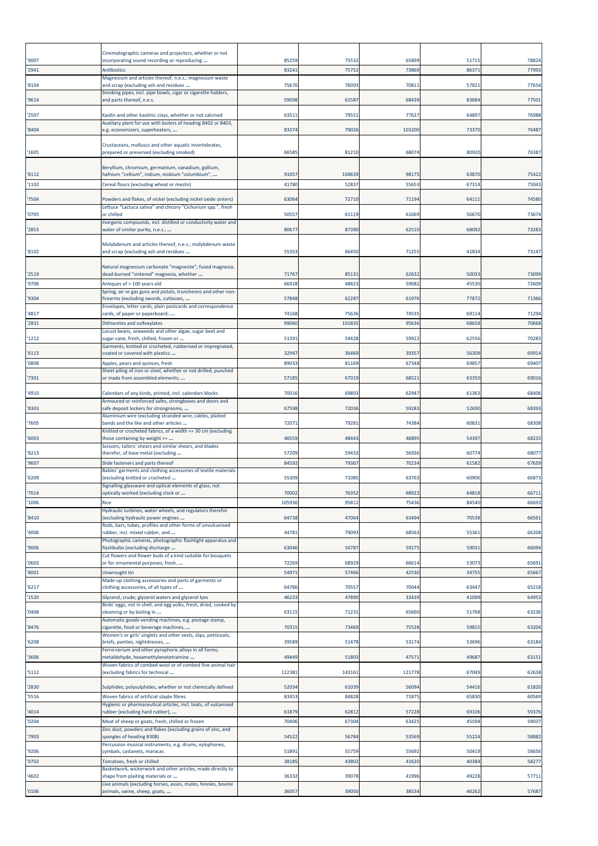| '9007          | Cinematographic cameras and projectors, whether or not<br>incorporating sound recording or reproducing   | 85259          | 75532           | 65899          | 5171           | 78824          |
|----------------|----------------------------------------------------------------------------------------------------------|----------------|-----------------|----------------|----------------|----------------|
| '2941          | <b>Antibiotics</b>                                                                                       | 83241          | 75752           | 73869          | 8637           | 77993          |
| '8104          | Magnesium and articles thereof, n.e.s.; magnesium waste<br>and scrap (excluding ash and residues         | 75676          | 76093           | 7081           | 5782           | 77654          |
| '9614          | Smoking pipes, incl. pipe bowls, cigar or cigarette holders,<br>and parts thereof, n.e.s.                | 59098          | 61587           | 68439          | 83684          | 77501          |
| '2507          | Kaolin and other kaolinic clays, whether or not calcined                                                 | 63511          | 7955            | 77627          | 6489           | 76988          |
| '8404          | Auxiliary plant for use with boilers of heading 8402 or 8403,<br>e.g. economizers, superheaters,         | 83374          | 79026           | 103200         | 73370          | 76487          |
| '1605          | Crustaceans, molluscs and other aquatic invertebrates,<br>prepared or preserved (excluding smoked)       | 66585          | 81210           | 68074          | 80920          | 76387          |
|                | Beryllium, chromium, germanium, vanadium, gallium,                                                       |                |                 |                |                |                |
| '8112<br>'1102 | hafnium "celtium", indium, niobium "columbium",<br>Cereal flours (excluding wheat or meslin)             | 91057<br>41780 | 104639<br>5283  | 98175<br>55653 | 63870<br>6731  | 75422<br>75043 |
| '7504          | Powders and flakes, of nickel (excluding nickel oxide sinters)                                           | 63064          | 72710           | 71194          | 6411           | 74580          |
|                | Lettuce "Lactuca sativa" and chicory "Cichorium spp.", fresh                                             |                |                 |                |                |                |
| '0705          | or chilled<br>Inorganic compounds, incl. distilled or conductivity water and                             | 50557          | 61119           | 61669          | 56670          | 73674          |
| '2853          | water of similar purity, n.e.s.;                                                                         | 80677          | 87390           | 62510          | 68092          | 73283          |
| '8102          | Molybdenum and articles thereof, n.e.s.; molybdenum waste<br>and scrap (excluding ash and residues       | 55353          | 66450           | 71255          | 41834          | 73147          |
|                | Natural magnesium carbonate "magnesite"; fused magnesia;                                                 |                |                 |                |                |                |
| '2519<br>'9706 | dead-burned "sintered" magnesia, whether<br>Antiques of > 100 years old                                  | 71767<br>66928 | 8513<br>48823   | 62632<br>59682 | 5003<br>45530  | 73099<br>72609 |
| '9304          | Spring, air or gas guns and pistols, truncheons and other non-<br>firearms (excluding swords, cutlasses, | 57848          | 62287           | 61976          | 77872          | 71366          |
|                | Envelopes, letter cards, plain postcards and correspondence                                              |                |                 |                |                |                |
| '4817<br>'2831 | cards, of paper or paperboard;<br>Dithionites and sulfoxylates                                           | 74168<br>99060 | 75636<br>101835 | 74535<br>95636 | 69114<br>68658 | 71294<br>70668 |
| '1212          | Locust beans, seaweeds and other algae, sugar beet and<br>sugar cane, fresh, chilled, frozen or          | 51391          | 54428           | 59922          | 62556          | 70283          |
| '6113          | Garments, knitted or crocheted, rubberised or impregnated,<br>coated or covered with plastics            | 32947          | 36469           | 39357          | 56309          | 69914          |
| '0808          | Apples, pears and quinces, fresh                                                                         | 89033          | 81169           | 67348          | 6985           | 69407          |
| '7301          | Sheet piling of iron or steel, whether or not drilled, punched<br>or made from assembled elements;       | 57185          | 67019           | 68521          | 63350          | 69016          |
| '4910          | Calendars of any kinds, printed, incl. calendars blocks                                                  | 70016          | 69893           | 62947          | 61363          | 68406          |
| '8303          | Armoured or reinforced safes, strongboxes and doors and<br>safe deposit lockers for strongrooms,         | 67598          | 72036           | 59283          | 5269           | 68393          |
| '7605          | Aluminium wire (excluding stranded wire, cables, plaited<br>bands and the like and other articles        | 72071          | 79281           | 74384          | 60831          | 68308          |
|                | Knitted or crocheted fabrics, of a width <= 30 cm (excluding                                             |                |                 |                |                |                |
| '6003          | those containing by weight >=<br>Scissors, tailors' shears and similar shears, and blades                | 46559          | 48443           | 4689           | 5439           | 68233          |
| '8213<br>'9607 | therefor, of base metal (excluding<br>Slide fasteners and parts thereof                                  | 57209<br>84592 | 59433<br>79367  | 56936<br>70234 | 60774<br>6158  | 68077<br>67659 |
|                | Babies' garments and clothing accessories of textile materials                                           | 55309          | 71085           |                |                | 66873          |
| '6209          | (excluding knitted or crocheted<br>Signalling glassware and optical elements of glass, not               |                |                 | 63763          | 60906          |                |
| '7014<br>'1006 | optically worked (excluding clock or<br>Rice                                                             | 70002<br>10593 | 76352<br>9581   | 68922<br>75436 | 64818<br>8454  | 6671<br>66693  |
| '8410          | Hydraulic turbines, water wheels, and regulators therefor<br>(excluding hydraulic power engines          | 64738          | 47064           | 63494          | 70538          | 66561          |
|                | Rods, bars, tubes, profiles and other forms of unvulcanised<br>rubber, incl. mixed rubber, and           | 44781          | 79093           | 68563          | 55363          | 66208          |
| '4006          | Photographic cameras, photographic flashlight apparatus and                                              |                |                 |                |                |                |
| '9006          | flashbulbs (excluding discharge<br>Cut flowers and flower buds of a kind suitable for bouquets           | 63046          | 50787           | 59275          | 59031          | 66094          |
| '0603<br>'8001 | or for ornamental purposes, fresh,<br>Unwrought tin                                                      | 72269<br>54971 | 68929<br>57466  | 66614<br>42530 | 53073<br>34755 | 65691<br>65667 |
| 6217           | Made-up clothing accessories and parts of garments or<br>clothing accessories, of all types of           | 64786          | 70557           | 70044          | 63447          | 65218          |
| '1520          | Glycerol, crude; glycerol waters and glycerol lyes                                                       | 46233          | 47890           | 33439          | 41099          | 64953          |
| '0408          | Birds' eggs, not in shell, and egg yolks, fresh, dried, cooked by<br>steaming or by boiling in           | 63115          | 71231           | 65660          | 51768          | 63236          |
| '8476          | Automatic goods-vending machines, e.g. postage stamp,<br>cigarette, food or beverage machines,           | 70315          | 73469           | 75528          | 5981           | 63204          |
| '6208          | Women's or girls' singlets and other vests, slips, petticoats,<br>briefs, panties, nightdresses,         | 39589          | 51478           | 53174          | 53696          | 63184          |
|                | Ferro-cerium and other pyrophoric alloys in all forms;                                                   |                |                 |                |                |                |
| '3606          | metaldehyde, hexamethylenetetramine<br>Woven fabrics of combed wool or of combed fine animal hair        | 49449          | 51803           | 47571          | 49687          | 63151          |
| '5112          | (excluding fabrics for technical                                                                         | 122381         | 143161          | 121778         | 67049          | 62638          |
| '2830<br>'5516 | Sulphides; polysulphides, whether or not chemically defined<br>Woven fabrics of artificial staple fibres | 52034<br>83453 | 61039<br>84828  | 56094<br>71875 | 54416<br>65830 | 61820<br>60569 |
|                | Hygienic or pharmaceutical articles, incl. teats, of vulcanised                                          |                |                 |                |                |                |
| '4014<br>'0204 | rubber (excluding hard rubber),<br>Meat of sheep or goats, fresh, chilled or frozen                      | 61879<br>70406 | 62812<br>67304  | 57228<br>63425 | 69106<br>45594 | 59376<br>59037 |
| '7903          | Zinc dust, powders and flakes (excluding grains of zinc, and<br>spangles of heading 8308)                | 54522          | 56784           | 53569          | 55224          | 58882          |
|                | Percussion musical instruments, e.g. drums, xylophones,                                                  | 51891          |                 | 55692          | 5041           |                |
| '9206<br>'0702 | cymbals, castanets, maracas<br>Tomatoes, fresh or chilled                                                | 3818           | 55759<br>43802  | 41620          | 40384          | 58656<br>58277 |
| '4602          | Basketwork, wickerwork and other articles, made directly to<br>shape from plaiting materials or          | 36332          | 39078           | 41996          | 49228          | 57711          |
| '0106          | Live animals (excluding horses, asses, mules, hinnies, bovine<br>animals, swine, sheep, goats,           | 36057          | 39050           | 38534          | 46262          | 57687          |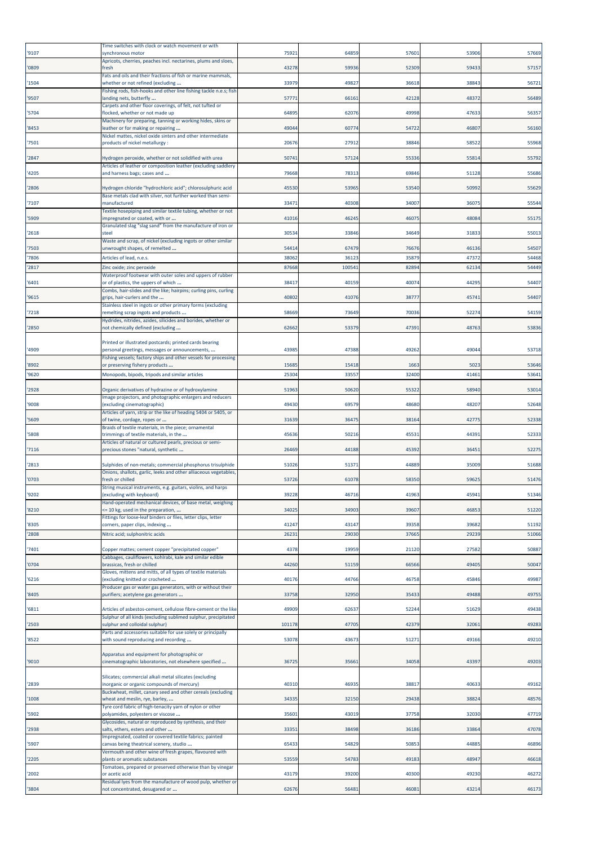| '9107          | Time switches with clock or watch movement or with<br>synchronous motor                                                           | 75921  | 64859  | 5760  | 5390           | 57669          |
|----------------|-----------------------------------------------------------------------------------------------------------------------------------|--------|--------|-------|----------------|----------------|
| '0809          | Apricots, cherries, peaches incl. nectarines, plums and sloes,<br>fresh                                                           | 43278  | 59936  | 52309 | 59433          | 57157          |
| '1504          | Fats and oils and their fractions of fish or marine mammals,<br>whether or not refined (excluding                                 | 33979  | 49827  | 36618 | 38843          | 56721          |
| '9507          | Fishing rods, fish-hooks and other line fishing tackle n.e.s; fish<br>landing nets, butterfly                                     | 5777   | 66161  | 42128 | 48372          | 56489          |
| '5704          | Carpets and other floor coverings, of felt, not tufted or<br>flocked, whether or not made up                                      | 64895  | 62076  | 49998 | 4763           | 56357          |
| '8453          | Machinery for preparing, tanning or working hides, skins or<br>leather or for making or repairing                                 | 49044  | 60774  | 54722 | 4680           | 56160          |
| '7501          | Nickel mattes, nickel oxide sinters and other intermediate<br>products of nickel metallurgy :                                     | 20676  | 27912  | 38846 | 5852           | 55968          |
| '2847          | Hydrogen peroxide, whether or not solidified with urea                                                                            | 50741  | 57124  | 55336 | 55814          | 55792          |
| '4205          | Articles of leather or composition leather (excluding saddlery<br>and harness bags; cases and                                     | 79668  | 78313  | 69846 | 51128          | 55686          |
| '2806          | Hydrogen chloride "hydrochloric acid"; chlorosulphuric acid                                                                       | 45530  | 53965  | 53540 | 5099           | 55629          |
| '7107          | Base metals clad with silver, not further worked than semi-<br>manufactured                                                       | 33471  | 40308  | 34007 | 3607           | 55544          |
| '5909          | Textile hosepiping and similar textile tubing, whether or not<br>impregnated or coated, with or                                   | 41016  | 46245  | 4607  | 48084          | 55175          |
| '2618          | Granulated slag "slag sand" from the manufacture of iron or<br>stee                                                               | 30534  | 33846  | 34649 | 3183           | 55013          |
|                | Waste and scrap, of nickel (excluding ingots or other similar                                                                     | 54414  | 67479  | 76676 |                |                |
| '7503<br>'7806 | unwrought shapes, of remelted<br>Articles of lead, n.e.s.                                                                         | 38062  | 36123  | 35879 | 46136<br>47372 | 54507<br>54468 |
| '2817          | Zinc oxide; zinc peroxide<br>Waterproof footwear with outer soles and uppers of rubber                                            | 8766   | 100541 | 82894 | 62134          | 54449          |
| '6401          | or of plastics, the uppers of which<br>Combs, hair-slides and the like; hairpins; curling pins, curling                           | 3841   | 40159  | 40074 | 4429           | 54407          |
| '9615          | grips, hair-curlers and the<br>Stainless steel in ingots or other primary forms (excluding                                        | 4080   | 41076  | 38777 | 45741          | 54407          |
| '7218          | remelting scrap ingots and products<br>Hydrides, nitrides, azides, silicides and borides, whether or                              | 58669  | 73649  | 70036 | 52274          | 54159          |
| '2850          | not chemically defined (excluding                                                                                                 | 62662  | 53379  | 4739  | 48763          | 53836          |
| '4909          | Printed or illustrated postcards; printed cards bearing<br>personal greetings, messages or announcements,                         | 43985  | 47388  | 49262 | 4904           | 53718          |
| '8902          | Fishing vessels; factory ships and other vessels for processing<br>or preserving fishery products                                 | 15685  | 15418  | 1663  | 5023           | 53646          |
| '9620          | Monopods, bipods, tripods and similar articles                                                                                    | 25304  | 33557  | 32400 | 41461          | 53641          |
| '2928          | Organic derivatives of hydrazine or of hydroxylamine                                                                              | 51963  | 50620  | 55322 | 58940          | 53014          |
| '9008          | Image projectors, and photographic enlargers and reducers<br>(excluding cinematographic)                                          | 49430  | 69579  | 48680 | 4820           | 52648          |
| '5609          | Articles of yarn, strip or the like of heading 5404 or 5405, or<br>of twine, cordage, ropes or                                    | 31639  | 36475  | 38164 | 42775          | 52338          |
| '5808          | Braids of textile materials, in the piece; ornamental<br>trimmings of textile materials, in the                                   | 45636  | 50216  | 4553  | 4439           | 52333          |
| '7116          | Articles of natural or cultured pearls, precious or semi-<br>precious stones "natural, synthetic                                  | 26469  | 44188  | 45392 | 3645           | 52275          |
| '2813          | Sulphides of non-metals; commercial phosphorus trisulphide                                                                        | 51026  | 5137   | 44889 | 3500           | 51688          |
| '0703          | Onions, shallots, garlic, leeks and other alliaceous vegetables,<br>fresh or chilled                                              | 53726  | 61078  | 58350 | 59625          | 51476          |
| 9202           | String musical instruments, e.g. guitars, violins, and harps<br>excluding with keyboard)                                          | 3922   | 46716  | 4196  | 4594.          | 51346          |
| '8210          | Hand-operated mechanical devices, of base metal, weighing<br><= 10 kg, used in the preparation,                                   | 34025  | 34903  | 39607 | 46853          | 51220          |
| '8305          | Fittings for loose-leaf binders or files, letter clips, letter<br>corners, paper clips, indexing                                  | 41247  | 43147  | 39358 | 39682          | 51192          |
| '2808          | Nitric acid; sulphonitric acids                                                                                                   | 26231  | 29030  | 37665 | 29239          | 51066          |
| '7401          | Copper mattes; cement copper "precipitated copper"<br>Cabbages, cauliflowers, kohlrabi, kale and similar edible                   | 4378   | 19959  | 21120 | 27582          | 50887          |
| '0704          | brassicas, fresh or chilled<br>Gloves, mittens and mitts, of all types of textile materials                                       | 44260  | 51159  | 66566 | 49405          | 50047          |
| '6216          | (excluding knitted or crocheted<br>Producer gas or water gas generators, with or without their                                    | 40176  | 44766  | 46758 | 45846          | 49987          |
| '8405          | purifiers; acetylene gas generators                                                                                               | 33758  | 32950  | 35433 | 49488          | 49755          |
| '6811          | Articles of asbestos-cement, cellulose fibre-cement or the like<br>Sulphur of all kinds (excluding sublimed sulphur, precipitated | 49909  | 62637  | 52244 | 51629          | 49438          |
| '2503          | sulphur and colloidal sulphur)<br>Parts and accessories suitable for use solely or principally                                    | 101178 | 47705  | 42379 | 32061          | 49283          |
| '8522          | with sound reproducing and recording                                                                                              | 53078  | 4367   | 5127  | 49166          | 49210          |
| '9010          | Apparatus and equipment for photographic or<br>cinematographic laboratories, not elsewhere specified                              | 36725  | 35661  | 34058 | 43397          | 49203          |
| '2839          | Silicates; commercial alkali metal silicates (excluding<br>inorganic or organic compounds of mercury)                             | 40310  | 46935  | 38817 | 4063           | 49162          |
| '1008          | Buckwheat, millet, canary seed and other cereals (excluding<br>wheat and meslin, rye, barley,                                     | 34335  | 32150  | 29438 | 38824          | 48576          |
| '5902          | Tyre cord fabric of high-tenacity yarn of nylon or other<br>polyamides, polyesters or viscose                                     | 35601  | 43019  | 37758 | 32030          | 47719          |
| '2938          | Glycosides, natural or reproduced by synthesis, and their<br>salts, ethers, esters and other                                      | 33351  | 38498  | 36186 | 33864          | 47078          |
| '5907          | Impregnated, coated or covered textile fabrics; painted<br>canvas being theatrical scenery, studio                                | 65433  | 54829  | 50853 | 44885          | 46896          |
| '2205          | Vermouth and other wine of fresh grapes, flavoured with<br>plants or aromatic substances                                          | 53559  | 54783  | 4918  | 4894           | 46618          |
| '2002          | Tomatoes, prepared or preserved otherwise than by vinegar<br>or acetic acid                                                       | 43179  | 39200  | 40300 | 49230          | 46272          |
| '3804          | Residual lyes from the manufacture of wood pulp, whether or<br>not concentrated, desugared or                                     | 62676  | 56481  | 4608  | 43214          | 46173          |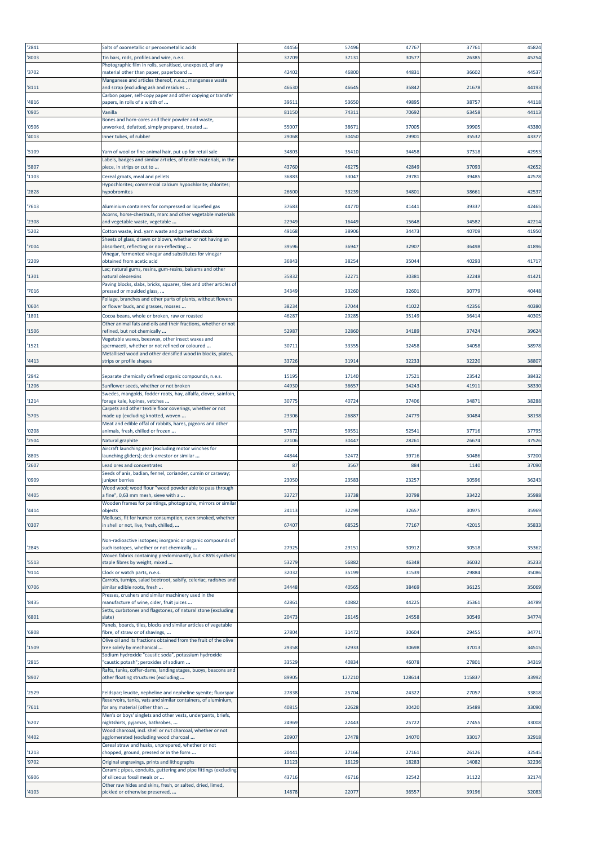| '2841 | Salts of oxometallic or peroxometallic acids                                                                                  | 44456 | 57496  | 47767  | 3776  | 45824 |
|-------|-------------------------------------------------------------------------------------------------------------------------------|-------|--------|--------|-------|-------|
| '8003 | Tin bars, rods, profiles and wire, n.e.s.                                                                                     | 37709 | 3713:  | 30577  | 2638  | 45254 |
|       | Photographic film in rolls, sensitised, unexposed, of any                                                                     |       |        |        |       |       |
| '3702 | material other than paper, paperboard                                                                                         | 42402 | 46800  | 44831  | 36602 | 44537 |
|       | Manganese and articles thereof, n.e.s.; manganese waste                                                                       |       |        |        |       |       |
| '8111 | and scrap (excluding ash and residues<br>Carbon paper, self-copy paper and other copying or transfer                          | 46630 | 46645  | 35842  | 21678 | 44193 |
| '4816 | papers, in rolls of a width of                                                                                                | 39611 | 53650  | 49895  | 3875  | 44118 |
| '0905 | Vanilla                                                                                                                       | 81150 | 7431   | 70692  | 6345  | 44113 |
|       | Bones and horn-cores and their powder and waste,                                                                              |       |        |        |       |       |
| '0506 | unworked, defatted, simply prepared, treated                                                                                  | 55007 | 3867   | 37005  | 39905 | 43380 |
| '4013 | Inner tubes, of rubber                                                                                                        | 29068 | 30450  | 29901  | 3553  | 43377 |
|       |                                                                                                                               |       |        |        |       |       |
| '5109 | Yarn of wool or fine animal hair, put up for retail sale<br>Labels, badges and similar articles, of textile materials, in the | 34803 | 35410  | 34458  | 37318 | 42953 |
| '5807 | piece, in strips or cut to                                                                                                    | 43760 | 46275  | 42849  | 3709  | 42652 |
| '1103 | Cereal groats, meal and pellets                                                                                               | 3688  | 33047  | 2978   | 39485 | 42578 |
|       | Hypochlorites; commercial calcium hypochlorite; chlorites;                                                                    |       |        |        |       |       |
| '2828 | <b>nypobromites</b>                                                                                                           | 2660  | 33239  | 34801  | 3866  | 42537 |
| '7613 | Aluminium containers for compressed or liquefied gas                                                                          | 37683 | 44770  | 41441  | 39337 | 42465 |
|       | Acorns, horse-chestnuts, marc and other vegetable materials                                                                   |       |        |        |       |       |
| '2308 | and vegetable waste, vegetable                                                                                                | 22949 | 16449  | 15648  | 34582 | 42214 |
| '5202 | Cotton waste, incl. yarn waste and garnetted stock                                                                            | 49168 | 38906  | 3447   | 4070  | 41950 |
|       | Sheets of glass, drawn or blown, whether or not having an                                                                     |       |        |        |       |       |
| '7004 | absorbent, reflecting or non-reflecting                                                                                       | 39596 | 36947  | 32907  | 36498 | 41896 |
| '2209 | Vinegar, fermented vinegar and substitutes for vinegar<br>obtained from acetic acid                                           | 36843 | 38254  | 35044  | 4029  | 41717 |
|       | Lac; natural gums, resins, gum-resins, balsams and other                                                                      |       |        |        |       |       |
| '1301 | natural oleoresins                                                                                                            | 35832 | 3227   | 30383  | 32248 | 41421 |
|       | Paving blocks, slabs, bricks, squares, tiles and other articles of                                                            |       |        |        |       |       |
| '7016 | oressed or moulded glass,<br>Foliage, branches and other parts of plants, without flowers                                     | 34349 | 33260  | 32601  | 30779 | 40448 |
| '0604 | or flower buds, and grasses, mosses                                                                                           | 38234 | 37044  | 41022  | 4235  | 40380 |
| '1801 | Cocoa beans, whole or broken, raw or roasted                                                                                  | 4628  | 29285  | 35149  | 3641  | 40305 |
|       | Other animal fats and oils and their fractions, whether or not                                                                |       |        |        |       |       |
| '1506 | efined, but not chemically                                                                                                    | 5298  | 32860  | 34189  | 37424 | 39624 |
|       | Vegetable waxes, beeswax, other insect waxes and<br>spermaceti, whether or not refined or coloured                            | 30711 | 33355  | 32458  | 34058 | 38978 |
| '1521 | Metallised wood and other densified wood in blocks, plates,                                                                   |       |        |        |       |       |
| '4413 | strips or profile shapes                                                                                                      | 33726 | 31914  | 32233  | 32220 | 38807 |
|       |                                                                                                                               |       |        |        |       |       |
| '2942 | Separate chemically defined organic compounds, n.e.s.                                                                         | 15195 | 17140  | 17521  | 23542 | 38432 |
| '1206 | Sunflower seeds, whether or not broken                                                                                        | 44930 | 36657  | 34243  | 41911 | 38330 |
| '1214 | Swedes, mangolds, fodder roots, hay, alfalfa, clover, sainfoin,<br>forage kale, lupines, vetches                              | 30775 | 40724  | 37406  | 34871 | 38288 |
|       | Carpets and other textile floor coverings, whether or not                                                                     |       |        |        |       |       |
| '5705 | made up (excluding knotted, woven                                                                                             | 23306 | 26887  | 24779  | 30484 | 38198 |
|       | Meat and edible offal of rabbits, hares, pigeons and other                                                                    |       |        |        |       |       |
| '0208 | animals, fresh, chilled or frozen                                                                                             | 57872 | 59551  | 52541  | 37716 | 37795 |
| '2504 | Natural graphite                                                                                                              | 2710  | 30447  | 2826   | 26674 | 37526 |
| '8805 | Aircraft launching gear (excluding motor winches for<br>launching gliders); deck-arrestor or similar                          | 44844 | 32472  | 39716  | 50486 | 37200 |
| '2607 | ead ores and concentrates                                                                                                     | 87    | 3567   | 884    | 1140  | 37090 |
|       | Seeds of anis, badian, fennel, coriander, cumin or caraway;                                                                   |       |        |        |       |       |
| '0909 | juniper berries                                                                                                               | 23050 | 23583  | 23257  | 3059  | 36243 |
|       | Wood wool; wood flour "wood powder able to pass through                                                                       |       |        |        |       |       |
| '4405 | a fine", 0,63 mm mesh, sieve with a<br>Wooden frames for paintings, photographs, mirrors or similar                           | 32727 | 33738  | 30798  | 3342  | 35988 |
| '4414 | objects                                                                                                                       | 24113 | 32299  | 32657  | 3097  | 35969 |
|       | Molluscs, fit for human consumption, even smoked, whether                                                                     |       |        |        |       |       |
| '0307 | in shell or not, live, fresh, chilled,                                                                                        | 67407 | 68525  | 77167  | 42015 | 35833 |
|       | Non-radioactive isotopes; inorganic or organic compounds of                                                                   |       |        |        |       |       |
| '2845 | such isotopes, whether or not chemically                                                                                      | 27925 | 2915   | 30912  | 30518 | 35362 |
|       | Woven fabrics containing predominantly, but < 85% synthetic                                                                   |       |        |        |       |       |
| '5513 | staple fibres by weight, mixed                                                                                                | 53279 | 56882  | 46348  | 36032 | 35233 |
| '9114 | Clock or watch parts, n.e.s.                                                                                                  | 32032 | 35199  | 31539  | 29884 | 35086 |
| '0706 | Carrots, turnips, salad beetroot, salsify, celeriac, radishes and<br>similar edible roots, fresh                              | 34448 | 40565  | 38469  | 36125 | 35069 |
|       | Presses, crushers and similar machinery used in the                                                                           |       |        |        |       |       |
| '8435 | manufacture of wine, cider, fruit juices                                                                                      | 42861 | 40882  | 44225  | 3536  | 34789 |
|       | Setts, curbstones and flagstones, of natural stone (excluding                                                                 |       |        |        |       |       |
| '6801 | slate)                                                                                                                        | 20473 | 26145  | 24558  | 30549 | 34774 |
| '6808 | Panels, boards, tiles, blocks and similar articles of vegetable<br>fibre, of straw or of shavings,                            | 27804 | 31472  | 30604  | 29455 | 34771 |
|       | Olive oil and its fractions obtained from the fruit of the olive                                                              |       |        |        |       |       |
| '1509 | tree solely by mechanical                                                                                                     | 29358 | 32933  | 30698  | 37013 | 34515 |
|       | Sodium hydroxide "caustic soda", potassium hydroxide                                                                          |       |        |        |       |       |
| '2815 | caustic potash"; peroxides of sodium<br>Rafts, tanks, coffer-dams, landing stages, buoys, beacons and                         | 33529 | 40834  | 46078  | 2780  | 34319 |
| '8907 | other floating structures (excluding                                                                                          | 89905 | 127210 | 128614 | 11583 | 33992 |
|       |                                                                                                                               |       |        |        |       |       |
| '2529 | Feldspar; leucite, nepheline and nepheline syenite; fluorspar                                                                 | 27838 | 25704  | 24322  | 2705  | 33818 |
| '7611 | Reservoirs, tanks, vats and similar containers, of aluminium,<br>for any material (other than                                 | 40819 | 22628  | 30420  | 35489 | 33090 |
|       | Men's or boys' singlets and other vests, underpants, briefs,                                                                  |       |        |        |       |       |
| '6207 | ightshirts, pyjamas, bathrobes,                                                                                               | 24969 | 22443  | 25722  | 27455 | 33008 |
|       | Wood charcoal, incl. shell or nut charcoal, whether or not                                                                    |       |        |        |       |       |
| '4402 | agglomerated (excluding wood charcoal                                                                                         | 20907 | 27478  | 24070  | 33017 | 32918 |
| '1213 | Cereal straw and husks, unprepared, whether or not<br>chopped, ground, pressed or in the form                                 | 20441 | 27166  | 27161  | 26126 | 32545 |
| '9702 | Original engravings, prints and lithographs                                                                                   | 13123 | 16129  | 18283  | 14082 | 32236 |
|       | Ceramic pipes, conduits, guttering and pipe fittings (excluding                                                               |       |        |        |       |       |
| '6906 | of siliceous fossil meals or                                                                                                  | 43716 | 46716  | 32542  | 31122 | 32174 |
|       | Other raw hides and skins, fresh, or salted, dried, limed,                                                                    |       |        |        |       |       |
| '4103 | pickled or otherwise preserved,                                                                                               | 14878 | 22077  | 36557  | 39196 | 32083 |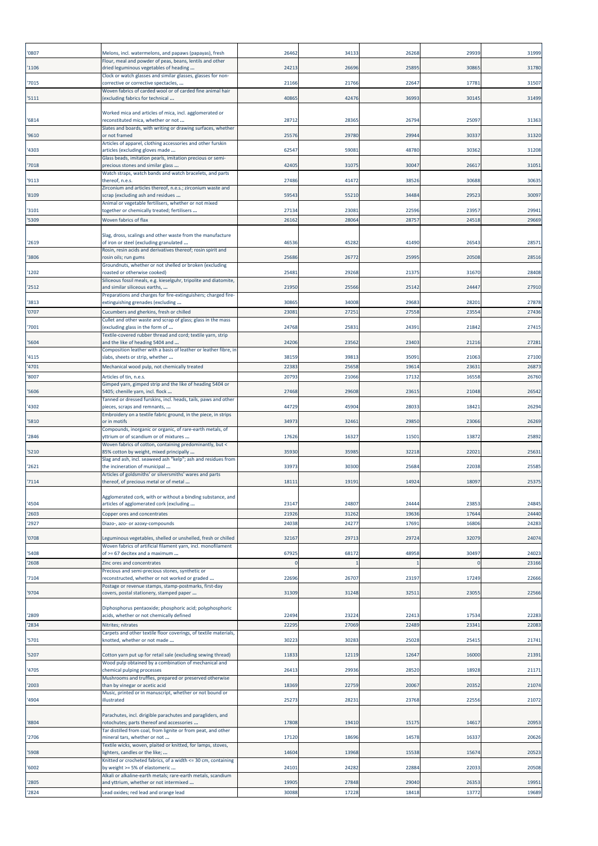| '0807 | Melons, incl. watermelons, and papaws (papayas), fresh                                                   | 26462 | 34133 | 26268 | 2993  | 31999 |
|-------|----------------------------------------------------------------------------------------------------------|-------|-------|-------|-------|-------|
| '1106 | Flour, meal and powder of peas, beans, lentils and other<br>dried leguminous vegetables of heading       | 24213 | 26696 | 25895 | 30865 | 31780 |
| '7015 | Clock or watch glasses and similar glasses, glasses for non-<br>corrective or corrective spectacles,     | 21166 | 21766 | 22647 | 1778  | 31507 |
|       | Woven fabrics of carded wool or of carded fine animal hair                                               |       |       |       |       |       |
| '5111 | (excluding fabrics for technical                                                                         | 40865 | 42476 | 36993 | 30145 | 31499 |
| '6814 | Worked mica and articles of mica, incl. agglomerated or<br>reconstituted mica, whether or not            | 2871  | 28365 | 26794 | 2509  | 31363 |
| '9610 | Slates and boards, with writing or drawing surfaces, whether<br>or not framed                            | 25576 | 29780 | 29944 | 3033  | 31320 |
| '4303 | Articles of apparel, clothing accessories and other furskin<br>articles (excluding gloves made           | 62547 | 5908  | 48780 | 3036  | 31208 |
|       | Glass beads, imitation pearls, imitation precious or semi-                                               |       |       |       |       |       |
| '7018 | precious stones and similar glass<br>Watch straps, watch bands and watch bracelets, and parts            | 42405 | 31075 | 30047 | 2661  | 31051 |
| '9113 | thereof, n.e.s.<br>Zirconium and articles thereof, n.e.s.; zirconium waste and                           | 27486 | 41472 | 38526 | 30688 | 30635 |
| '8109 | scrap (excluding ash and residues<br>Animal or vegetable fertilisers, whether or not mixed               | 59543 | 55210 | 34484 | 2952  | 30097 |
| '3101 | together or chemically treated; fertilisers                                                              | 2713  | 2308  | 22596 | 2395  | 29941 |
| '5309 | Woven fabrics of flax                                                                                    | 26162 | 28064 | 28757 | 24518 | 29669 |
| '2619 | Slag, dross, scalings and other waste from the manufacture<br>of iron or steel (excluding granulated     | 46536 | 45282 | 41490 | 2654  | 2857  |
| '3806 | Rosin, resin acids and derivatives thereof; rosin spirit and<br>rosin oils; run gums                     | 25686 | 2677  | 2599  | 2050  | 28516 |
|       | Groundnuts, whether or not shelled or broken (excluding                                                  |       |       |       |       |       |
| '1202 | roasted or otherwise cooked)<br>Siliceous fossil meals, e.g. kieselguhr, tripolite and diatomite,        | 25481 | 29268 | 21375 | 31670 | 28408 |
| '2512 | and similar siliceous earths,<br>Preparations and charges for fire-extinguishers; charged fire-          | 21950 | 25566 | 25142 | 2444  | 27910 |
| '3813 | extinguishing grenades (excluding                                                                        | 30865 | 34008 | 29683 | 28201 | 27878 |
| '0707 | Cucumbers and gherkins, fresh or chilled<br>Cullet and other waste and scrap of glass; glass in the mass | 23081 | 27251 | 27558 | 2355  | 27436 |
| '7001 | (excluding glass in the form of<br>Textile-covered rubber thread and cord; textile yarn, strip           | 24768 | 2583  | 24391 | 21842 | 27415 |
| '5604 | and the like of heading 5404 and<br>Composition leather with a basis of leather or leather fibre, in     | 24206 | 23562 | 23403 | 2121  | 27281 |
| '4115 | slabs, sheets or strip, whether                                                                          | 38159 | 39813 | 3509: | 21063 | 27100 |
| '4701 | Mechanical wood pulp, not chemically treated                                                             | 22383 | 25658 | 19614 | 2363  | 26873 |
| '8007 | Articles of tin, n.e.s.<br>Gimped yarn, gimped strip and the like of heading 5404 or                     | 20793 | 21066 | 17132 | 16558 | 26760 |
| '5606 | 5405; chenille yarn, incl. flock<br>Tanned or dressed furskins, incl. heads, tails, paws and other       | 27468 | 29608 | 23615 | 21048 | 26542 |
| '4302 | pieces, scraps and remnants,                                                                             | 44729 | 45904 | 2803  | 1842  | 26294 |
| '5810 | Embroidery on a textile fabric ground, in the piece, in strips<br>or in motifs                           | 3497  | 32461 | 29850 | 2306  | 26269 |
| '2846 | Compounds, inorganic or organic, of rare-earth metals, of<br>yttrium or of scandium or of mixtures       | 17626 | 16327 | 11501 | 13872 | 25892 |
| '5210 | Woven fabrics of cotton, containing predominantly, but <<br>85% cotton by weight, mixed principally      | 35930 | 35985 | 32218 | 2202  | 25631 |
| '2621 | Slag and ash, incl. seaweed ash "kelp"; ash and residues from<br>the incineration of municipal           | 33973 | 30300 | 25684 | 22038 | 25585 |
|       | Articles of goldsmiths' or silversmiths' wares and parts                                                 |       |       |       |       |       |
| '7114 | thereof, of precious metal or of metal                                                                   | 18111 | 19191 | 14924 | 1809  | 25375 |
| '4504 | Agglomerated cork, with or without a binding substance, and<br>articles of agglomerated cork (excluding  | 23147 | 24807 | 24444 | 2385  | 24845 |
| '2603 | Copper ores and concentrates                                                                             | 21926 | 31262 | 19636 | 17644 | 24440 |
| '2927 | Diazo-, azo- or azoxy-compounds                                                                          | 24038 | 24277 | 1769: | 16806 | 24283 |
| '0708 | Leguminous vegetables, shelled or unshelled, fresh or chilled                                            | 32167 | 29713 | 29724 | 32079 | 24074 |
| 5408  | Woven fabrics of artificial filament yarn, incl. monofilament<br>of >= 67 decitex and a maximum          | 67925 | 68172 | 48958 | 3049  | 24023 |
| '2608 | Zinc ores and concentrates                                                                               |       |       |       |       | 23166 |
| 7104  | Precious and semi-precious stones, synthetic or<br>reconstructed, whether or not worked or graded        | 22696 | 26707 | 23197 | 17249 | 22666 |
| '9704 | Postage or revenue stamps, stamp-postmarks, first-day<br>covers, postal stationery, stamped paper        | 31309 | 31248 | 3251  | 2305  | 22566 |
|       | Diphosphorus pentaoxide; phosphoric acid; polyphosphoric                                                 |       |       |       |       |       |
| '2809 | acids, whether or not chemically defined                                                                 | 22494 | 23224 | 22413 | 17534 | 22283 |
| '2834 | Nitrites; nitrates<br>Carpets and other textile floor coverings, of textile materials,                   | 2229  | 27069 | 22489 | 2334  | 22083 |
| '5701 | knotted, whether or not made                                                                             | 30223 | 30283 | 25028 | 2541  | 21741 |
| '5207 | Cotton yarn put up for retail sale (excluding sewing thread)                                             | 1183  | 12119 | 12647 | 16000 | 21391 |
| '4705 | Wood pulp obtained by a combination of mechanical and<br>chemical pulping processes                      | 26413 | 29936 | 28520 | 18928 | 21171 |
| '2003 | Mushrooms and truffles, prepared or preserved otherwise<br>than by vinegar or acetic acid                | 18369 | 22759 | 20067 | 20352 | 21074 |
| '4904 | Music, printed or in manuscript, whether or not bound or<br>illustrated                                  | 25273 | 2823  | 23768 | 22556 | 21072 |
|       |                                                                                                          |       |       |       |       |       |
| '8804 | Parachutes, incl. dirigible parachutes and paragliders, and<br>rotochutes; parts thereof and accessories | 17808 | 19410 | 15175 | 14617 | 20953 |
| '2706 | Tar distilled from coal, from lignite or from peat, and other<br>mineral tars, whether or not            | 17120 | 18696 | 14578 | 1633  | 20626 |
| '5908 | Textile wicks, woven, plaited or knitted, for lamps, stoves,<br>lighters, candles or the like;           | 14604 | 13968 | 15538 | 1567  | 20523 |
|       | Knitted or crocheted fabrics, of a width <= 30 cm, containing                                            |       |       |       |       |       |
| '6002 | by weight >= 5% of elastomeric<br>Alkali or alkaline-earth metals; rare-earth metals, scandium           | 2410  | 24282 | 22884 | 22033 | 20508 |
| '2805 | and yttrium, whether or not intermixed                                                                   | 19905 | 27848 | 29040 | 2635  | 19951 |
| '2824 | Lead oxides; red lead and orange lead                                                                    | 30088 | 17228 | 18418 | 13772 | 19689 |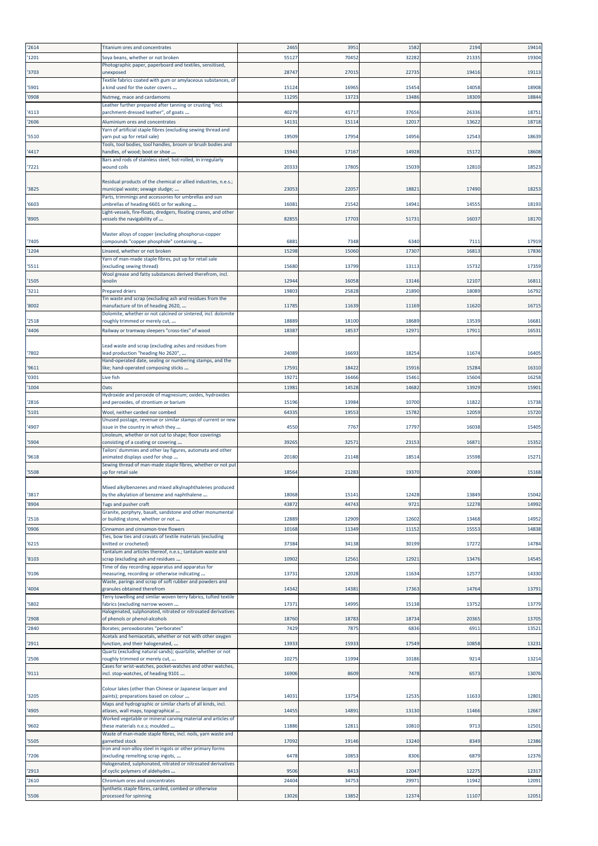| 2614  | Titanium ores and concentrates                                                                     | 2465  | 3951  | 1582  | 219   | 19414 |
|-------|----------------------------------------------------------------------------------------------------|-------|-------|-------|-------|-------|
| 1201  | Soya beans, whether or not broken                                                                  | 5512  | 70452 | 32282 | 21335 | 19304 |
|       | Photographic paper, paperboard and textiles, sensitised,                                           |       |       |       |       |       |
| 3703  | unexposed<br>Textile fabrics coated with gum or amylaceous substances, of                          | 2874  | 27015 | 22735 | 19416 | 19113 |
| 5901  | a kind used for the outer covers                                                                   | 15124 | 16965 | 15454 | 14058 | 18908 |
| '0908 | Nutmeg, mace and cardamoms                                                                         | 1129  | 13723 | 13486 | 18309 | 18844 |
|       | Leather further prepared after tanning or crusting "incl.                                          |       |       |       |       |       |
| 4113  | parchment-dressed leather", of goats                                                               | 40279 | 41717 | 37656 | 26336 | 18751 |
| 2606  | Aluminium ores and concentrates<br>Yarn of artificial staple fibres (excluding sewing thread and   | 1413  | 15114 | 12017 | 1362  | 18718 |
| '5510 | yarn put up for retail sale)                                                                       | 19509 | 17954 | 14956 | 12543 | 18639 |
|       | Tools, tool bodies, tool handles, broom or brush bodies and                                        |       |       |       |       |       |
| 4417  | handles, of wood; boot or shoe<br>Bars and rods of stainless steel, hot-rolled, in irregularly     | 15943 | 17167 | 14928 | 15172 | 18608 |
| 7221  | wound coils                                                                                        | 20333 | 17805 | 15039 | 12810 | 18523 |
|       |                                                                                                    |       |       |       |       |       |
| '3825 | Residual products of the chemical or allied industries, n.e.s.;<br>municipal waste; sewage sludge; | 2305  | 22057 | 18821 | 17490 | 18253 |
|       | Parts, trimmings and accessories for umbrellas and sun                                             |       |       |       |       |       |
| '6603 | umbrellas of heading 6601 or for walking                                                           | 1608  | 21542 | 14941 | 1455  | 18193 |
| '8905 | Light-vessels, fire-floats, dredgers, floating cranes, and other<br>vessels the navigability of    | 8285  | 17703 | 51731 | 16037 | 18170 |
|       |                                                                                                    |       |       |       |       |       |
|       | Master alloys of copper (excluding phosphorus-copper                                               |       |       |       |       |       |
| '7405 | compounds "copper phosphide" containing                                                            | 688   | 7348  | 6340  | 7111  | 17919 |
| 1204  | Linseed, whether or not broken<br>Yarn of man-made staple fibres, put up for retail sale           | 15298 | 15060 | 17307 | 1681  | 17836 |
| '5511 | (excluding sewing thread)                                                                          | 15680 | 13799 | 13113 | 15732 | 17359 |
|       | Wool grease and fatty substances derived therefrom, incl.                                          |       |       |       |       |       |
| 1505  | anolin                                                                                             | 1294  | 16058 | 13146 | 12107 | 16811 |
| 3211  | <b>Prepared driers</b><br>Tin waste and scrap (excluding ash and residues from the                 | 19803 | 25828 | 21890 | 18089 | 16792 |
| '8002 | manufacture of tin of heading 2620,                                                                | 11785 | 11639 | 11169 | 11620 | 16715 |
|       | Dolomite, whether or not calcined or sintered, incl. dolomite                                      |       |       |       |       |       |
| '2518 | roughly trimmed or merely cut,                                                                     | 18889 | 18100 | 18689 | 13539 | 16681 |
| 4406  | Railway or tramway sleepers "cross-ties" of wood                                                   | 1838  | 18537 | 12971 | 17911 | 16531 |
|       | Lead waste and scrap (excluding ashes and residues from                                            |       |       |       |       |       |
| 7802  | lead production "heading No 2620",                                                                 | 24089 | 16693 | 18254 | 11674 | 16405 |
| 9611  | Hand-operated date, sealing or numbering stamps, and the                                           | 17591 | 18422 | 15916 | 15284 | 16310 |
| '0301 | ike; hand-operated composing sticks<br>Live fish                                                   | 1927  | 16466 | 15461 | 15604 | 16258 |
| 1004  | Oats                                                                                               | 1198  | 14528 | 14682 | 13929 | 15901 |
|       | Hydroxide and peroxide of magnesium; oxides, hydroxides                                            |       |       |       |       |       |
| 2816  | and peroxides, of strontium or barium                                                              | 15196 | 13984 | 10700 | 11822 | 15738 |
| '5101 | Wool, neither carded nor combed                                                                    | 6433  | 19553 | 15782 | 12059 | 15720 |
| 4907  | Unused postage, revenue or similar stamps of current or new<br>issue in the country in which they  | 455   | 7767  | 17797 | 16038 | 15405 |
|       | Linoleum, whether or not cut to shape; floor coverings                                             |       |       |       |       |       |
| '5904 | consisting of a coating or covering                                                                | 3926  | 32571 | 23153 | 16871 | 15352 |
| '9618 | Tailors' dummies and other lay figures, automata and other<br>animated displays used for shop      | 2018  | 21148 | 18514 | 15598 | 15271 |
|       | Sewing thread of man-made staple fibres, whether or not put                                        |       |       |       |       |       |
| '5508 | up for retail sale                                                                                 | 1856  | 21283 | 19370 | 20089 | 15168 |
|       | Mixed alkylbenzenes and mixed alkylnaphthalenes produced                                           |       |       |       |       |       |
| 3817  | by the alkylation of benzene and naphthalene                                                       | 18068 | 1514. | 1242  | 1384  | 15042 |
| 8904  | Tugs and pusher craft                                                                              | 43872 | 44743 | 9721  | 12278 | 14992 |
|       | Granite, porphyry, basalt, sandstone and other monumental                                          |       |       |       |       |       |
| '2516 | or building stone, whether or not                                                                  | 12889 | 12909 | 12602 | 13468 | 14952 |
| '0906 | Cinnamon and cinnamon-tree flowers<br>Ties, bow ties and cravats of textile materials (excluding   | 10168 | 11349 | 11152 | 15553 | 14838 |
| '6215 | knitted or crocheted)                                                                              | 37384 | 34138 | 30199 | 17272 | 14784 |
|       | Tantalum and articles thereof, n.e.s.; tantalum waste and                                          |       |       |       |       |       |
| 8103  | scrap (excluding ash and residues<br>Time of day recording apparatus and apparatus for             | 10902 | 12561 | 12921 | 13476 | 14545 |
| '9106 | measuring, recording or otherwise indicating                                                       | 1373  | 12028 | 11634 | 12577 | 14330 |
|       | Waste, parings and scrap of soft rubber and powders and                                            |       |       |       |       |       |
| 4004  | granules obtained therefrom<br>Terry towelling and similar woven terry fabrics, tufted textile     | 14342 | 14381 | 17363 | 14764 | 13791 |
| 5802  | fabrics (excluding narrow woven                                                                    | 1737  | 14995 | 15138 | 13752 | 13779 |
|       | Halogenated, sulphonated, nitrated or nitrosated derivatives                                       |       |       |       |       |       |
| '2908 | of phenols or phenol-alcohols                                                                      | 18760 | 18783 | 18734 | 20365 | 13705 |
| '2840 | Borates; peroxoborates "perborates"<br>Acetals and hemiacetals, whether or not with other oxygen   | 7429  | 7875  | 6836  | 6911  | 13521 |
| 2911  | function, and their halogenated,                                                                   | 13933 | 15933 | 17549 | 10858 | 13231 |
|       | Quartz (excluding natural sands); quartzite, whether or not                                        |       |       |       |       |       |
| 2506  | roughly trimmed or merely cut,<br>Cases for wrist-watches, pocket-watches and other watches,       | 10275 | 11994 | 10186 | 9214  | 13214 |
| '9111 | incl. stop-watches, of heading 9101                                                                | 16906 | 8609  | 7478  | 6573  | 13076 |
|       |                                                                                                    |       |       |       |       |       |
| '3205 | Colour lakes (other than Chinese or Japanese lacquer and<br>paints); preparations based on colour  | 1403  | 13754 | 12535 | 11633 | 12801 |
|       | Maps and hydrographic or similar charts of all kinds, incl.                                        |       |       |       |       |       |
| 4905  | atlases, wall maps, topographical                                                                  | 14455 | 14891 | 13130 | 11466 | 12667 |
| 9602  | Worked vegetable or mineral carving material and articles of<br>these materials n.e.s; moulded     | 11886 | 12811 | 10810 | 9713  | 12501 |
|       | Waste of man-made staple fibres, incl. noils, yarn waste and                                       |       |       |       |       |       |
| 5505  | garnetted stock                                                                                    | 1709  | 19146 | 13240 | 8349  | 12386 |
| 7206  | Iron and non-alloy steel in ingots or other primary forms<br>excluding remelting scrap ingots,     | 6478  | 10853 | 8306  | 6879  | 12376 |
|       | Halogenated, sulphonated, nitrated or nitrosated derivatives                                       |       |       |       |       |       |
| 2913  | of cyclic polymers of aldehydes                                                                    | 9506  | 8413  | 12047 | 12275 | 12317 |
| 2610  | Chromium ores and concentrates                                                                     | 24404 | 34753 | 29971 | 11942 | 12091 |
| 5506  | Synthetic staple fibres, carded, combed or otherwise<br>processed for spinning                     | 13026 | 13852 | 12374 | 11107 | 12051 |
|       |                                                                                                    |       |       |       |       |       |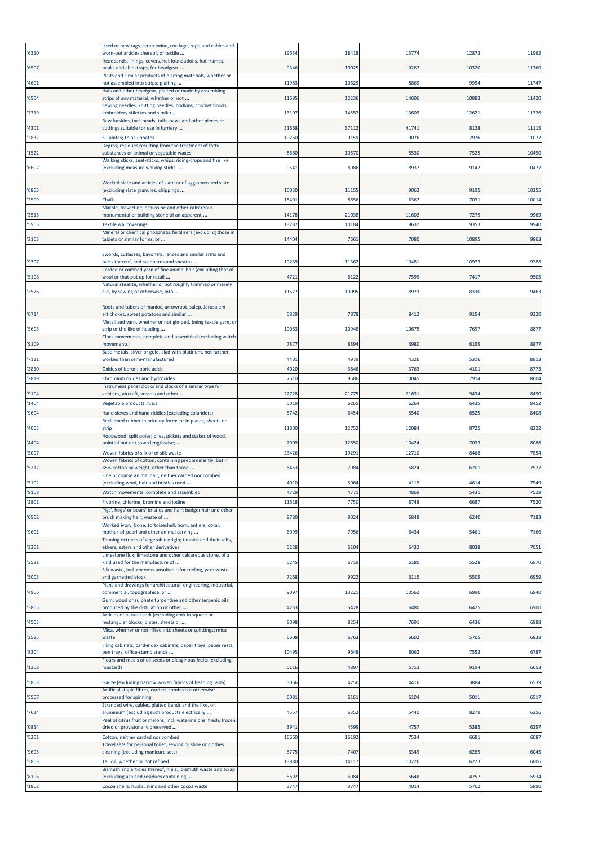| '6310          | Used or new rags, scrap twine, cordage, rope and cables and<br>worn-out articles thereof, of textile            | 1963           | 18418         | 13774         | 1287         | 11962          |
|----------------|-----------------------------------------------------------------------------------------------------------------|----------------|---------------|---------------|--------------|----------------|
|                | Headbands, linings, covers, hat foundations, hat frames,                                                        |                |               |               |              |                |
| '6507          | peaks and chinstraps, for headgear<br>Plaits and similar products of plaiting materials, whether or             | 9346           | 10025         | 9267          | 10320        | 11760          |
| '4601          | not assembled into strips; plaiting                                                                             | 11983          | 10629         | 8869          | 9994         | 11747          |
| '6504          | Hats and other headgear, plaited or made by assembling<br>strips of any material, whether or not                | 11695          | 12236         | 14606         | 1088         | 11420          |
| '7319          | Sewing needles, knitting needles, bodkins, crochet hoods,<br>embroidery stilettos and similar                   | 13107          | 14552         | 13609         | 1262         | 11326          |
|                | Raw furskins, incl. heads, tails, paws and other pieces or                                                      |                |               |               |              |                |
| '4301<br>'2832 | cuttings suitable for use in furriery<br>Sulphites; thiosulphates                                               | 31668<br>10260 | 37112<br>9159 | 4174<br>9076  | 8128<br>7976 | 11115<br>11077 |
|                | Degras; residues resulting from the treatment of fatty                                                          |                |               |               |              |                |
| '1522          | substances or animal or vegetable waxes<br>Walking sticks, seat-sticks, whips, riding-crops and the like        | 8680           | 10670         | 8530          | 752          | 10490          |
| '6602          | (excluding measure walking sticks,                                                                              | 9541           | 8986          | 8937          | 9142         | 10477          |
|                | Worked slate and articles of slate or of agglomerated slate                                                     |                |               |               |              |                |
| '6803          | (excluding slate granules, chippings                                                                            | 10030          | 1115          | 9062          | 919          | 10355          |
| '2509          | Chalk<br>Marble, travertine, ecaussine and other calcareous                                                     | 1540           | 8656          | 6367          | 703          | 10014          |
| '2515          | monumental or building stone of an apparent                                                                     | 14178          | 21038         | 11602         | 727          | 9969           |
| '5905          | <b>Textile wallcoverings</b><br>Mineral or chemical phosphatic fertilisers (excluding those in                  | 1328           | 10184         | 9637          | 9353         | 9940           |
| '3103          | tablets or similar forms, or                                                                                    | 14404          | 7661          | 7080          | 10895        | 9863           |
|                | Swords, cutlasses, bayonets, lances and similar arms and                                                        |                |               |               |              |                |
| '9307          | parts thereof, and scabbards and sheaths<br>Carded or combed yarn of fine animal hair (excluding that of        | 10239          | 11362         | 1048          | 1097         | 9788           |
| '5108          | wool or that put up for retail                                                                                  | 4721           | 6122          | 7599          | 7417         | 9505           |
| '2526          | Natural steatite, whether or not roughly trimmed or merely<br>cut, by sawing or otherwise, into                 | 1157           | 10095         | 8973          | 8330         | 9463           |
|                | Roots and tubers of manioc, arrowroot, salep, Jerusalem                                                         |                |               |               |              |                |
| '0714          | artichokes, sweet potatoes and similar                                                                          | 5829           | 7878          | 8412          | 9154         | 9220           |
| '5605          | Metallised yarn, whether or not gimped, being textile yarn, or<br>strip or the like of heading                  | 10063          | 10948         | 10675         | 769          | 8877           |
|                | Clock movements, complete and assembled (excluding watch                                                        |                |               |               |              |                |
| '9109          | movements)<br>Base metals, silver or gold, clad with platinum, not further                                      | 7877           | 8894          | 6980          | 6199         | 8877           |
| '7111          | worked than semi-manufactured                                                                                   | 4401           | 4979          | 4326          | 531          | 8813           |
| '2810<br>'2819 | Oxides of boron; boric acids<br>Chromium oxides and hydroxides                                                  | 4020<br>761    | 3846<br>9586  | 3763<br>10045 | 4101<br>7914 | 8773<br>8604   |
|                | Instrument panel clocks and clocks of a similar type for                                                        |                |               |               |              |                |
| '9104          | vehicles, aircraft, vessels and other                                                                           | 22728          | 21775         | 2163          | 9434         | 8490           |
| '1404<br>'9604 | Vegetable products, n.e.s.<br>Hand sieves and hand riddles (excluding colanders)                                | 5019<br>5742   | 6265<br>6454  | 6264<br>5540  | 6435<br>652  | 8452<br>8408   |
|                | Reclaimed rubber in primary forms or in plates, sheets or                                                       | 11800          | 12752         | 12084         | 8725         |                |
| '4003          | strip<br>Hoopwood; split poles; piles, pickets and stakes of wood,                                              |                |               |               |              | 8222           |
| '4404          | pointed but not sawn lengthwise;                                                                                | 7909           | 12650         | 10424         | 7033         | 8086           |
| '5007          | Woven fabrics of silk or of silk waste<br>Woven fabrics of cotton, containing predominantly, but <              | 23426          | 19291         | 12710         | 8468         | 7854           |
| '5212          | 85% cotton by weight, other than those<br>Fine or coarse animal hair, neither carded nor combed                 | 8453           | 7984          | 6824          | 620          | 7577           |
| '5102          | (excluding wool, hair and bristles used                                                                         | 4010           | 5064          | 4119          | 4614         | 7549           |
| '9108          | Watch movements, complete and assembled                                                                         | 4729           | 477           | 4869          | 5431         | 7529           |
| '2801          | Fluorine, chlorine, bromine and iodine<br>Pigs', hogs' or boars' bristles and hair; badger hair and other       | 1161           | 7750          | 8748          | 668          | 7520           |
| '0502          | brush making hair; waste of                                                                                     | 9780           | 9024          | 6848          | 6240         | 7183           |
| '9601          | Worked ivory, bone, tortoiseshell, horn, antlers, coral,<br>mother-of-pearl and other animal carving            | 6099           | 7956          | 6434          | 5461         | 7166           |
| '3201          | Tanning extracts of vegetable origin; tannins and their salts,<br>ethers, esters and other derivatives          | 5228           | 6104          | 6432          | 8038         | 7051           |
|                | Limestone flux; limestone and other calcareous stone, of a                                                      |                |               |               |              |                |
| '2521          | kind used for the manufacture of<br>Silk waste, incl. cocoons unsuitable for reeling, yarn waste                | 5245           | 6719          | 6180          | 5528         | 6970           |
| '5003          | and garnetted stock<br>Plans and drawings for architectural, engineering, industrial,                           | 7268           | 9922          | 6115          | 5509         | 6959           |
| '4906          | commercial, topographical or                                                                                    | 9097           | 13221         | 10562         | 6990         | 6940           |
| '3805          | Gum, wood or sulphate turpentine and other terpenic oils<br>produced by the distillation or other               | 4233           | 5428          | 6480          | 642          | 6900           |
|                | Articles of natural cork (excluding cork in square or                                                           |                |               |               |              |                |
| '4503          | rectangular blocks, plates, sheets or<br>Mica, whether or not rifted into sheets or splittings; mica            | 8098           | 8254          | 7691          | 6436         | 6888           |
| '2525          | waste<br>Filing cabinets, card-index cabinets, paper trays, paper rests,                                        | 6608           | 6763          | 6602          | 5705         | 6838           |
| '8304          | pen trays, office-stamp stands                                                                                  | 10495          | 9648          | 8062          | 7553         | 6787           |
| '1208          | Flours and meals of oil seeds or oleaginous fruits (excluding<br>mustard)                                       | 5116           | 4897          | 6713          | 9194         | 6653           |
|                |                                                                                                                 |                |               |               |              |                |
| '5803          | Gauze (excluding narrow woven fabrics of heading 5806)<br>Artificial staple fibres, carded, combed or otherwise | 3066           | 4250          | 4416          | 3884         | 6539           |
| '5507          | processed for spinning<br>Stranded wire, cables, plaited bands and the like, of                                 | 6081           | 6161          | 6104          | 5011         | 6517           |
| '7614          | aluminium (excluding such products electrically                                                                 | 4557           | 6352          | 5440          | 8279         | 6356           |
|                | Peel of citrus fruit or melons, incl. watermelons, fresh, frozen,                                               | 3941           | 4599          | 4757          | 5385         | 6297           |
| '0814          | dried or provisionally preserved                                                                                |                |               |               |              |                |
| '5201          | Cotton, neither carded nor combed                                                                               | 16660          | 16192         | 7534          | 6681         | 6087           |
|                | Travel sets for personal toilet, sewing or shoe or clothes                                                      |                |               | 8349          |              |                |
| '9605<br>3803  | cleaning (excluding manicure sets)<br>Tall oil, whether or not refined                                          | 8775<br>1388   | 7407<br>14117 | 10226         | 6289<br>622  | 6045<br>6006   |
|                | Bismuth and articles thereof, n.e.s.; bismuth waste and scrap                                                   |                |               |               |              |                |
| '8106<br>'1802 | excluding ash and residues containing<br>Cocoa shells, husks, skins and other cocoa waste                       | 5692<br>3747   | 6984<br>3747  | 5648<br>4014  | 425<br>5702  | 5934<br>5890   |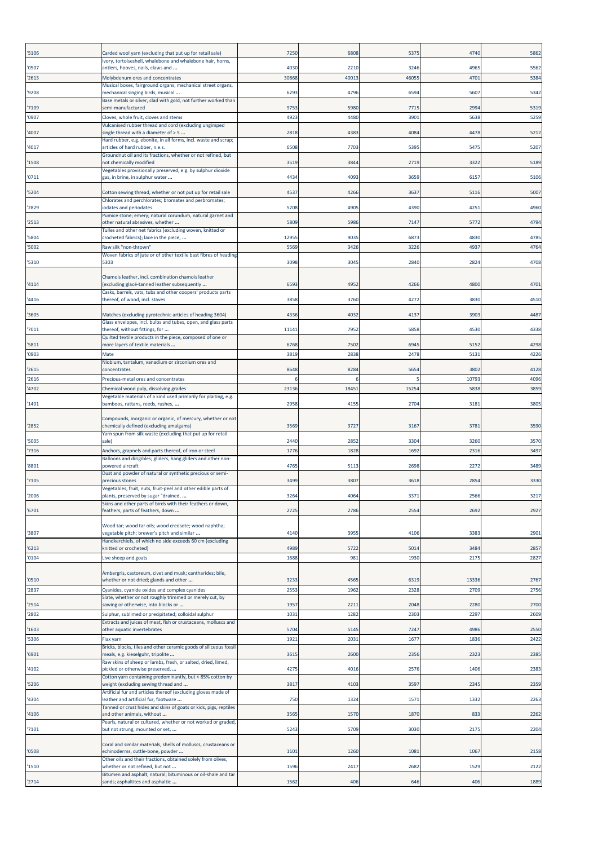| '5106          | Carded wool yarn (excluding that put up for retail sale)                                                                                                            | 7250         | 6808         | 5375         | 474          | 5862         |
|----------------|---------------------------------------------------------------------------------------------------------------------------------------------------------------------|--------------|--------------|--------------|--------------|--------------|
| '0507          | Ivory, tortoiseshell, whalebone and whalebone hair, horns,<br>antlers, hooves, nails, claws and                                                                     | 4030         | 2210         | 3246         | 4965         | 5562         |
| '2613          | Molybdenum ores and concentrates<br>Musical boxes, fairground organs, mechanical street organs,                                                                     | 3086         | 40013        | 4605         | 470          | 5384         |
| '9208          | mechanical singing birds, musical                                                                                                                                   | 6293         | 4796         | 6594         | 560          | 5342         |
| '7109          | Base metals or silver, clad with gold, not further worked than<br>semi-manufactured                                                                                 | 9753         | 5980         | 7715         | 299          | 5319         |
| '0907          | Cloves, whole fruit, cloves and stems<br>Vulcanised rubber thread and cord (excluding ungimped                                                                      | 4923         | 4480         | 3901         | 5638         | 5259         |
| '4007          | single thread with a diameter of > 5                                                                                                                                | 2818         | 4383         | 4084         | 4478         | 5212         |
| '4017          | Hard rubber, e.g. ebonite, in all forms, incl. waste and scrap;<br>articles of hard rubber, n.e.s.                                                                  | 6508         | 7703         | 5395         | 5475         | 5207         |
| '1508          | Groundnut oil and its fractions, whether or not refined, but<br>not chemically modified                                                                             | 3519         | 3844         | 2719         | 3322         | 5189         |
| '0711          | Vegetables provisionally preserved, e.g. by sulphur dioxide<br>gas, in brine, in sulphur water                                                                      | 4434         | 4093         | 3659         | 615          | 5106         |
| '5204          | Cotton sewing thread, whether or not put up for retail sale                                                                                                         | 4537         | 4266         | 3637         | 511          | 5007         |
| '2829          | Chlorates and perchlorates; bromates and perbromates;<br>iodates and periodates                                                                                     | 5208         | 4905         | 4390         | 425          | 4960         |
| '2513          | Pumice stone; emery; natural corundum, natural garnet and<br>other natural abrasives, whether                                                                       | 5809         | 5986         | 7147         | 5772         | 4794         |
| '5804          | Tulles and other net fabrics (excluding woven, knitted or<br>crocheted fabrics); lace in the piece,                                                                 | 12955        | 9035         | 6873         | 4830         | 4785         |
| '5002          | Raw silk "non-thrown"                                                                                                                                               | 5569         | 3426         | 3226         | 493          | 4764         |
| '5310          | Woven fabrics of jute or of other textile bast fibres of heading<br>5303                                                                                            | 3098         | 3045         | 2840         | 2824         | 4708         |
| '4114          | Chamois leather, incl. combination chamois leather<br>(excluding glacé-tanned leather subsequently                                                                  | 6593         | 4952         | 4266         | 4800         | 4701         |
| '4416          | Casks, barrels, vats, tubs and other coopers' products parts<br>thereof, of wood, incl. staves                                                                      | 3858         | 3760         | 4272         | 3830         | 4510         |
| '3605          | Matches (excluding pyrotechnic articles of heading 3604)                                                                                                            | 4336         | 4032         | 4137         | 3903         | 4487         |
| '7011          | Glass envelopes, incl. bulbs and tubes, open, and glass parts<br>thereof, without fittings, for                                                                     | 11141        | 7952         | 5858         | 453          | 4338         |
| '5811          | Quilted textile products in the piece, composed of one or<br>more layers of textile materials                                                                       | 6768         | 7502         | 6945         | 515          | 4298         |
| '0903          | Mate                                                                                                                                                                | 3819         | 2838         | 2478         | 5131         | 4226         |
| '2615          | Niobium, tantalum, vanadium or zirconium ores and<br>concentrates                                                                                                   | 8648         | 8284         | 5654         | 3802         | 4128         |
| '2616          | Precious-metal ores and concentrates                                                                                                                                |              |              |              | 1079         | 4096         |
| '4702          | Chemical wood pulp, dissolving grades<br>Vegetable materials of a kind used primarily for plaiting, e.g.                                                            | 23136        | 18451        | 15254        | 5838         | 3859         |
| '1401          | bamboos, rattans, reeds, rushes,                                                                                                                                    | 2958         | 4155         | 2704         | 3181         | 3805         |
| '2852          | Compounds, inorganic or organic, of mercury, whether or not<br>chemically defined (excluding amalgams)                                                              | 3569         | 3727         | 3167         | 3781         | 3590         |
| '5005          | Yarn spun from silk waste (excluding that put up for retail<br>sale)                                                                                                | 2440         | 2852         | 3304         | 3260         | 3570         |
| '7316          | Anchors, grapnels and parts thereof, of iron or steel<br>Balloons and dirigibles; gliders, hang gliders and other non-                                              | 1776         | 1828         | 1692         | 2316         | 3497         |
| '8801          | powered aircraft<br>Dust and powder of natural or synthetic precious or semi-                                                                                       | 4765         | 5113         | 2698         | 2272         | 3489         |
| '7105          | precious stones                                                                                                                                                     | 3499         | 3807         | 3618         | 285          | 3330         |
| '2006          | Vegetables, fruit, nuts, fruit-peel and other edible parts of<br>plants, preserved by sugar "drained,                                                               | 3264         | 4064         | 3371         | 2566         | 3217         |
| '6701          | Skins and other parts of birds with their feathers or down,<br>feathers, parts of feathers, down                                                                    | 2725         | 2786         | 2554         | 2692         | 2927         |
| '3807          | Wood tar; wood tar oils; wood creosote; wood naphtha;<br>vegetable pitch; brewer's pitch and similar                                                                | 4140         | 3955         | 4106         | 338          | 2901         |
| '6213          | Handkerchiefs, of which no side exceeds 60 cm (excluding<br>knitted or crocheted)                                                                                   | 4989         | 5722         | 5014         | 3484         | 2857         |
| '0104          | Live sheep and goats                                                                                                                                                | 1688         | 981          | 1930         | 2175         | 2827         |
|                | Ambergris, castoreum, civet and musk; cantharides; bile,                                                                                                            |              |              |              |              |              |
| '0510<br>'2837 | whether or not dried; glands and other<br>Cyanides, cyanide oxides and complex cyanides                                                                             | 3233<br>2553 | 4565<br>1962 | 6319<br>2328 | 13336<br>270 | 2767<br>2756 |
|                | Slate, whether or not roughly trimmed or merely cut, by                                                                                                             |              |              |              |              |              |
| '2514<br>'2802 | sawing or otherwise, into blocks or<br>Sulphur, sublimed or precipitated; colloidal sulphur                                                                         | 1957<br>1031 | 2211<br>1282 | 2048<br>2303 | 2280<br>229  | 2700<br>2609 |
| '1603          | Extracts and juices of meat, fish or crustaceans, molluscs and<br>other aquatic invertebrates                                                                       | 5704         | 5145         | 7247         | 4986         | 2550         |
| '5306          | Flax yarn                                                                                                                                                           | 1921         | 2031         | 1677         | 1836         | 2422         |
| '6901          | Bricks, blocks, tiles and other ceramic goods of siliceous fossil<br>meals, e.g. kieselguhr, tripolite                                                              | 3615         | 2600         | 2356         | 232          | 2385         |
| '4102          | Raw skins of sheep or lambs, fresh, or salted, dried, limed,<br>pickled or otherwise preserved,                                                                     | 4275         | 4016         | 2576         | 1406         | 2383         |
| '5206          | Cotton yarn containing predominantly, but < 85% cotton by<br>weight (excluding sewing thread and                                                                    | 3817         | 4103         | 3597         | 2345         | 2359         |
| '4304          | Artificial fur and articles thereof (excluding gloves made of<br>leather and artificial fur, footware                                                               | 750          | 1324         | 1571         | 133          | 2263         |
|                | Tanned or crust hides and skins of goats or kids, pigs, reptiles                                                                                                    | 3565         | 1570         | 1870         | 833          | 2262         |
| '4106          | and other animals, without<br>Pearls, natural or cultured, whether or not worked or graded,                                                                         |              |              |              |              |              |
| '7101          | but not strung, mounted or set,                                                                                                                                     | 5243         | 5709         | 3030         | 2175         | 2204         |
| '0508          | Coral and similar materials, shells of molluscs, crustaceans or<br>echinoderms, cuttle-bone, powder<br>Other oils and their fractions, obtained solely from olives, | 1101         | 1260         | 1081         | 106          | 2158         |
| '1510          | whether or not refined, but not<br>Bitumen and asphalt, natural; bituminous or oil-shale and tar                                                                    | 1596         | 2417         | 2682         | 1529         | 2122         |
| '2714          | sands; asphaltites and asphaltic                                                                                                                                    | 1562         | 406          | 646          | 406          | 1889         |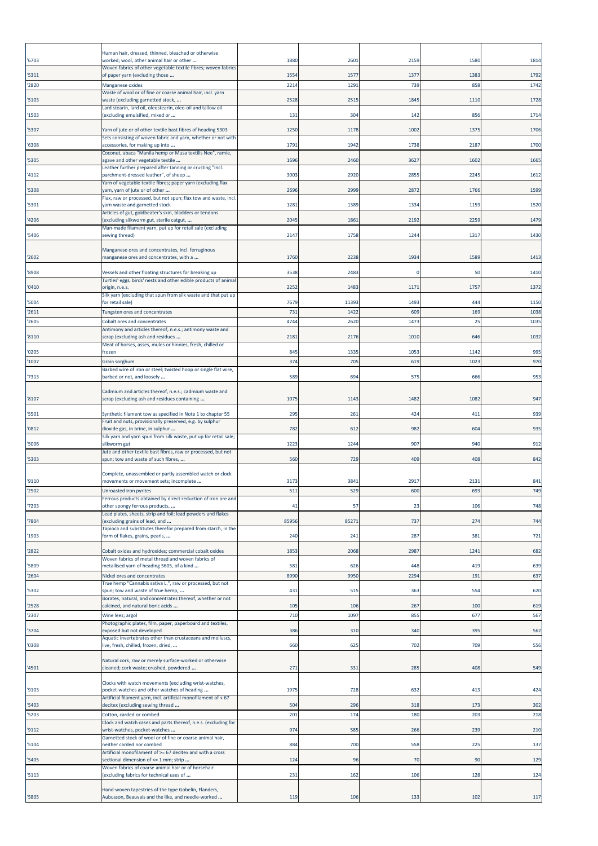| '6703          | Human hair, dressed, thinned, bleached or otherwise<br>worked; wool, other animal hair or other                          | 1880         | 2601         | 2159       | 1580       | 1814         |
|----------------|--------------------------------------------------------------------------------------------------------------------------|--------------|--------------|------------|------------|--------------|
|                | Woven fabrics of other vegetable textile fibres; woven fabrics<br>of paper yarn (excluding those                         |              |              | 1377       | 1383       |              |
| '5311<br>'2820 | Manganese oxides                                                                                                         | 1554<br>2214 | 1577<br>1291 | 739        | 858        | 1792<br>1742 |
| '5103          | Waste of wool or of fine or coarse animal hair, incl. yarn<br>waste (excluding garnetted stock,                          | 2528         | 2515         | 1845       | 1110       | 1728         |
| '1503          | Lard stearin, lard oil, oleostearin, oleo-oil and tallow oil<br>(excluding emulsified, mixed or                          | 131          | 304          | 142        | 856        | 1714         |
| '5307          | Yarn of jute or of other textile bast fibres of heading 5303                                                             | 1250         | 1178         | 1002       | 1375       | 1706         |
|                | Sets consisting of woven fabric and yarn, whether or not with<br>accessories, for making up into                         | 1791         | 1942         | 1738       | 2187       |              |
| '6308          | Coconut, abaca "Manila hemp or Musa textilis Nee", ramie,                                                                |              |              |            |            | 1700         |
| '5305          | agave and other vegetable textile<br>Leather further prepared after tanning or crusting "incl.                           | 1696         | 2460         | 3627       | 1602       | 1665         |
| '4112          | parchment-dressed leather", of sheep<br>Yarn of vegetable textile fibres; paper yarn (excluding flax                     | 3003         | 2920         | 2855       | 2245       | 1612         |
| '5308          | yarn, yarn of jute or of other                                                                                           | 2696         | 2999         | 2872       | 1766       | 1599         |
| '5301          | Flax, raw or processed, but not spun; flax tow and waste, incl.<br>yarn waste and garnetted stock                        | 1281         | 1389         | 1334       | 1159       | 1520         |
| '4206          | Articles of gut, goldbeater's skin, bladders or tendons<br>(excluding silkworm gut, sterile catgut,                      | 2045         | 1861         | 2192       | 2259       | 1479         |
| '5406          | Man-made filament yarn, put up for retail sale (excluding<br>sewing thread)                                              | 2147         | 1758         | 1244       | 1317       | 1430         |
|                |                                                                                                                          |              |              |            |            |              |
| '2602          | Manganese ores and concentrates, incl. ferruginous<br>manganese ores and concentrates, with a                            | 1760         | 2238         | 1934       | 1589       | 1413         |
| '8908          | Vessels and other floating structures for breaking up<br>Turtles' eggs, birds' nests and other edible products of animal | 3538         | 2483         | -C         | 50         | 1410         |
| '0410          | origin, n.e.s.                                                                                                           | 2252         | 1483         | 1171       | 1757       | 1372         |
| '5004          | Silk yarn (excluding that spun from silk waste and that put up<br>for retail sale)                                       | 7679         | 11393        | 1493       | 444        | 1150         |
| '2611          | Tungsten ores and concentrates                                                                                           | 731          | 1422         | 609        | 169        | 1038         |
| '2605          | Cobalt ores and concentrates<br>Antimony and articles thereof, n.e.s.; antimony waste and                                | 4744         | 2620         | 1473       | 25         | 1035         |
| '8110          | scrap (excluding ash and residues<br>Meat of horses, asses, mules or hinnies, fresh, chilled or                          | 2181         | 2176         | 1010       | 646        | 1032         |
| '0205          | frozen                                                                                                                   | 845          | 1335         | 1053       | 1142       | 995          |
| '1007          | Grain sorghum<br>Barbed wire of iron or steel; twisted hoop or single flat wire,                                         | 374          | 705          | 619        | 1023       | 970          |
| '7313          | barbed or not, and loosely                                                                                               | 589          | 694          | 575        | 666        | 953          |
| '8107          | Cadmium and articles thereof, n.e.s.; cadmium waste and<br>scrap (excluding ash and residues containing                  | 1075         | 1143         | 1482       | 1082       | 947          |
| '5501          | Synthetic filament tow as specified in Note 1 to chapter 55                                                              | 295          | 261          | 424        | 411        | 939          |
| '0812          | Fruit and nuts, provisionally preserved, e.g. by sulphur<br>dioxide gas, in brine, in sulphur                            | 782          | 612          | 982        | 604        | 935          |
|                | Silk yarn and yarn spun from silk waste, put up for retail sale;                                                         |              |              |            |            |              |
| '5006          | silkworm gut<br>Jute and other textile bast fibres, raw or processed, but not                                            | 1223         | 1244         | 907        | 940        | 912          |
| '5303          | spun; tow and waste of such fibres,                                                                                      | 560          | 729          | 409        | 408        | 842          |
| '9110          | Complete, unassembled or partly assembled watch or clock<br>movements or movement sets; incomplete                       | 3173         | 384          | 2917       | 2131       | 841          |
| '2502          | Unroasted iron pyrites                                                                                                   | 511          | 529          | 600        | 693        | 749          |
| '7203          | Ferrous products obtained by direct reduction of iron ore and<br>other spongy ferrous products,                          | 41           | 57           | 23         | 106        | 748          |
|                | Lead plates, sheets, strip and foil; lead powders and flakes                                                             |              | 85271        | 737        | 274        |              |
| '7804          | excluding grains of lead, and<br>Tapioca and substitutes therefor prepared from starch, in the                           | 85956        |              |            |            | 744          |
| '1903          | form of flakes, grains, pearls,                                                                                          | 240          | 241          | 287        | 381        | 721          |
| '2822          | Cobalt oxides and hydroxides; commercial cobalt oxides<br>Woven fabrics of metal thread and woven fabrics of             | 1853         | 2068         | 2987       | 1241       | 682          |
| '5809          | metallised yarn of heading 5605, of a kind                                                                               | 581          | 626          | 448        | 419        | 639          |
| '2604          | Nickel ores and concentrates<br>True hemp "Cannabis sativa L.", raw or processed, but not                                | 8990         | 9950         | 2294       | 191        | 637          |
| '5302          | spun; tow and waste of true hemp,<br>Borates, natural, and concentrates thereof, whether or not                          | 431          | 515          | 363        | 554        | 620          |
| '2528          | calcined, and natural boric acids                                                                                        | 105          | 106          | 267        | 100        | 619          |
| '2307          | Wine lees; argol<br>Photographic plates, film, paper, paperboard and textiles,                                           | 710          | 1097         | 855        | 677        | 567          |
| '3704          | exposed but not developed<br>Aquatic invertebrates other than crustaceans and molluscs,                                  | 386          | 310          | 340        | 395        | 562          |
| '0308          | live, fresh, chilled, frozen, dried,                                                                                     | 660          | 625          | 702        | 709        | 556          |
| '4501          | Natural cork, raw or merely surface-worked or otherwise<br>cleaned; cork waste; crushed, powdered                        | 271          | 331          | 285        | 408        | 549          |
|                | Clocks with watch movements (excluding wrist-watches,                                                                    |              |              |            |            |              |
| '9103          | pocket-watches and other watches of heading<br>Artificial filament yarn, incl. artificial monofilament of < 67           | 1975         | 728          | 632        | 413        | 424          |
| '5403          | decitex (excluding sewing thread                                                                                         | 504          | 296<br>174   | 318<br>180 | 173<br>203 | 302          |
| '5203          | Cotton, carded or combed<br>Clock and watch cases and parts thereof, n.e.s. (excluding for                               | 201          |              |            |            | 218          |
| '9112          | wrist-watches, pocket-watches<br>Garnetted stock of wool or of fine or coarse animal hair,                               | 974          | 585          | 266        | 239        | 210          |
| '5104          | neither carded nor combed<br>Artificial monofilament of >= 67 decitex and with a cross                                   | 884          | 700          | 558        | 225        | 137          |
| '5405          | sectional dimension of <= 1 mm; strip                                                                                    | 124          | 96           | 70         | 90         | 129          |
| '5113          | Woven fabrics of coarse animal hair or of horsehair<br>(excluding fabrics for technical uses of                          | 231          | 162          | 106        | 128        | 124          |
| '5805          | Hand-woven tapestries of the type Gobelin, Flanders,<br>Aubusson, Beauvais and the like, and needle-worked               | 119          | 106          | 133        | 102        | 117          |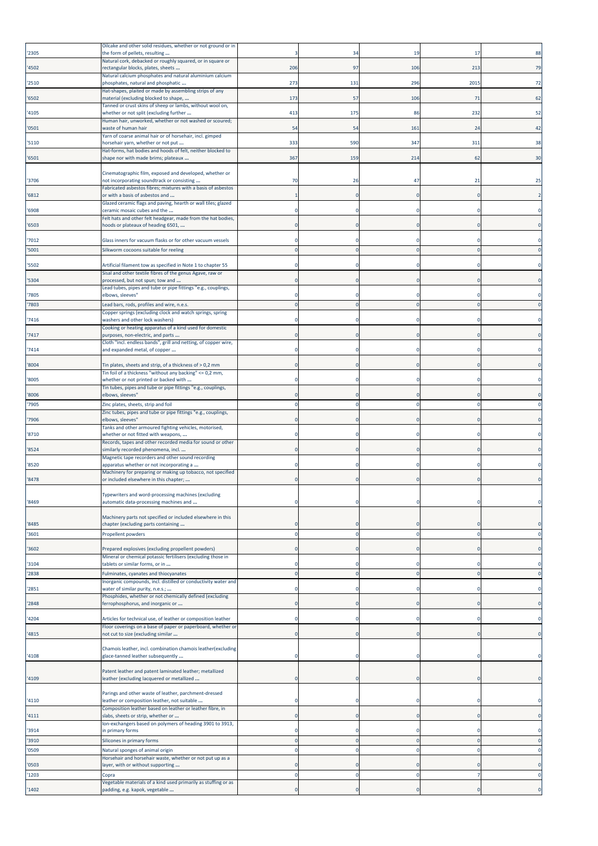| '2305          | Oilcake and other solid residues, whether or not ground or in<br>the form of pellets, resulting                               |     | 34                     | 19         | -17                        | 88                         |
|----------------|-------------------------------------------------------------------------------------------------------------------------------|-----|------------------------|------------|----------------------------|----------------------------|
| '4502          | Natural cork, debacked or roughly squared, or in square or<br>rectangular blocks, plates, sheets                              | 206 | 97                     | 106        | 213                        | 79                         |
| '2510          | Natural calcium phosphates and natural aluminium calcium<br>phosphates, natural and phosphatic                                | 273 | 131                    | 296        | 2015                       | 72                         |
| '6502          | Hat-shapes, plaited or made by assembling strips of any<br>material (excluding blocked to shape,                              | 173 | 57                     | 106        | 71                         | 62                         |
| '4105          | Tanned or crust skins of sheep or lambs, without wool on,<br>whether or not split (excluding further                          | 413 | 175                    | 86         | 232                        | 52                         |
| '0501          | Human hair, unworked, whether or not washed or scoured;<br>waste of human hair                                                | 54  | 54                     | 161        | 24                         | 42                         |
| '5110          | Yarn of coarse animal hair or of horsehair, incl. gimped<br>horsehair yarn, whether or not put                                | 333 | 590                    | 347        | 311                        | 38                         |
| '6501          | Hat-forms, hat bodies and hoods of felt, neither blocked to<br>shape nor with made brims; plateaux                            | 367 | 159                    | 214        | 62                         | 30                         |
|                |                                                                                                                               |     |                        |            |                            |                            |
| '3706          | Cinematographic film, exposed and developed, whether or<br>not incorporating soundtrack or consisting                         | 70  | 26                     | 47         | 21                         | 25                         |
| '6812          | Fabricated asbestos fibres; mixtures with a basis of asbestos<br>or with a basis of asbestos and                              |     |                        |            | $\Omega$                   | $\overline{2}$             |
| '6908          | Glazed ceramic flags and paving, hearth or wall tiles; glazed<br>ceramic mosaic cubes and the                                 |     |                        |            |                            | $\Omega$                   |
| '6503          | Felt hats and other felt headgear, made from the hat bodies,<br>hoods or plateaux of heading 6501,                            |     |                        |            | 0                          | $\mathbf 0$                |
| '7012          | Glass inners for vacuum flasks or for other vacuum vessels                                                                    |     |                        |            |                            |                            |
| '5001          | Silkworm cocoons suitable for reeling                                                                                         |     | $\Omega$               |            | $\mathbf 0$                | $\Omega$                   |
| '5502          | Artificial filament tow as specified in Note 1 to chapter 55                                                                  |     |                        |            |                            | $\Omega$                   |
| '5304          | Sisal and other textile fibres of the genus Agave, raw or<br>processed, but not spun; tow and                                 |     |                        |            | $\mathbf 0$                | $\mathbf 0$                |
| '7805          | Lead tubes, pipes and tube or pipe fittings "e.g., couplings,<br>elbows, sleeves"                                             |     |                        |            | $\mathbf 0$                | $\Omega$                   |
| '7803          | Lead bars, rods, profiles and wire, n.e.s.                                                                                    |     | $\mathbf 0$            |            | $\overline{0}$             | $\mathbf 0$                |
| '7416          | Copper springs (excluding clock and watch springs, spring<br>washers and other lock washers)                                  |     |                        |            |                            | 0                          |
| '7417          | Cooking or heating apparatus of a kind used for domestic<br>purposes, non-electric, and parts                                 |     |                        |            |                            | $\mathbf 0$                |
| '7414          | Cloth "incl. endless bands", grill and netting, of copper wire,<br>and expanded metal, of copper                              |     |                        |            |                            |                            |
| '8004          | Tin plates, sheets and strip, of a thickness of > 0,2 mm                                                                      |     |                        |            |                            | $\mathbf 0$                |
| '8005          | Tin foil of a thickness "without any backing" <= 0,2 mm,<br>whether or not printed or backed with                             |     |                        |            |                            | 0                          |
| '8006          | Tin tubes, pipes and tube or pipe fittings "e.g., couplings,<br>elbows, sleeves"                                              |     |                        |            | $\Omega$                   | $\mathbf 0$                |
| '7905          | Zinc plates, sheets, strip and foil                                                                                           |     |                        |            | $\Omega$                   | 0                          |
| '7906          | Zinc tubes, pipes and tube or pipe fittings "e.g., couplings,<br>elbows, sleeves"                                             |     |                        |            | $\Omega$                   | $\Omega$                   |
| '8710          | Tanks and other armoured fighting vehicles, motorised,<br>whether or not fitted with weapons,                                 |     |                        |            |                            |                            |
| '8524          | Records, tapes and other recorded media for sound or other<br>similarly recorded phenomena, incl.                             |     |                        |            | $\mathbf 0$                |                            |
| '8520          | Magnetic tape recorders and other sound recording<br>apparatus whether or not incorporating a                                 |     |                        |            |                            |                            |
| '8478          | Machinery for preparing or making up tobacco, not specified<br>or included elsewhere in this chapter;                         |     |                        |            |                            |                            |
|                |                                                                                                                               |     |                        |            |                            |                            |
| '8469          | Typewriters and word-processing machines (excluding<br>automatic data-processing machines and                                 |     |                        |            |                            |                            |
|                | Machinery parts not specified or included elsewhere in this                                                                   |     |                        |            |                            |                            |
| '8485<br>'3601 | chapter (excluding parts containing<br>Propellent powders                                                                     |     | $\Omega$               |            | $\mathbf 0$                | $\Omega$<br>$\mathbf 0$    |
|                |                                                                                                                               |     |                        |            |                            |                            |
| '3602          | Prepared explosives (excluding propellent powders)<br>Mineral or chemical potassic fertilisers (excluding those in            |     |                        |            | $\Omega$                   | $\mathbf 0$                |
| '3104<br>'2838 | tablets or similar forms, or in<br>Fulminates, cyanates and thiocyanates                                                      |     | O                      |            | $\Omega$                   | 0<br>$\mathbf{0}$          |
|                | Inorganic compounds, incl. distilled or conductivity water and                                                                |     |                        |            |                            |                            |
| '2851          | water of similar purity, n.e.s.;<br>Phosphides, whether or not chemically defined (excluding                                  |     |                        |            | $\Omega$                   | $\mathbf 0$                |
| '2848          | ferrophosphorus, and inorganic or                                                                                             |     |                        |            | $\Omega$                   | $\mathbf 0$                |
| '4204          | Articles for technical use, of leather or composition leather<br>Floor coverings on a base of paper or paperboard, whether or |     |                        |            | $\Omega$                   | $\mathbf 0$                |
| '4815          | not cut to size (excluding similar                                                                                            |     |                        |            | $\Omega$                   | $\mathbf 0$                |
| '4108          | Chamois leather, incl. combination chamois leather(excluding<br>glace-tanned leather subsequently                             |     |                        |            |                            |                            |
| '4109          | Patent leather and patent laminated leather; metallized<br>leather (excluding lacquered or metallized                         |     |                        |            |                            | $\mathbf 0$                |
|                | Parings and other waste of leather, parchment-dressed                                                                         |     |                        |            |                            |                            |
| '4110          | leather or composition leather, not suitable<br>Composition leather based on leather or leather fibre, in                     |     |                        |            |                            | 0                          |
| '4111          | slabs, sheets or strip, whether or<br>lon-exchangers based on polymers of heading 3901 to 3913,                               |     |                        |            |                            | $\mathbf 0$                |
| '3914          | in primary forms                                                                                                              |     |                        |            |                            | $\mathbf 0$                |
| '3910<br>'0509 | Silicones in primary forms<br>Natural sponges of animal origin                                                                |     | $\sqrt{ }$<br>$\Omega$ |            | $\mathbf 0$<br>$\Omega$    | $\mathbf 0$<br>$\mathbf 0$ |
|                | Horsehair and horsehair waste, whether or not put up as a                                                                     |     |                        |            |                            |                            |
| '0503<br>'1203 | ayer, with or without supporting<br>Copra                                                                                     | 0   | O<br>$\mathbf 0$       | $\epsilon$ | $\Omega$<br>$\overline{7}$ | $\mathbf 0$<br>$\pmb{0}$   |
|                | Jegetable materials of a kind used primarily as stuffing or as                                                                |     |                        |            |                            |                            |
| '1402          | padding, e.g. kapok, vegetable                                                                                                |     |                        |            |                            | $\mathbf 0$                |